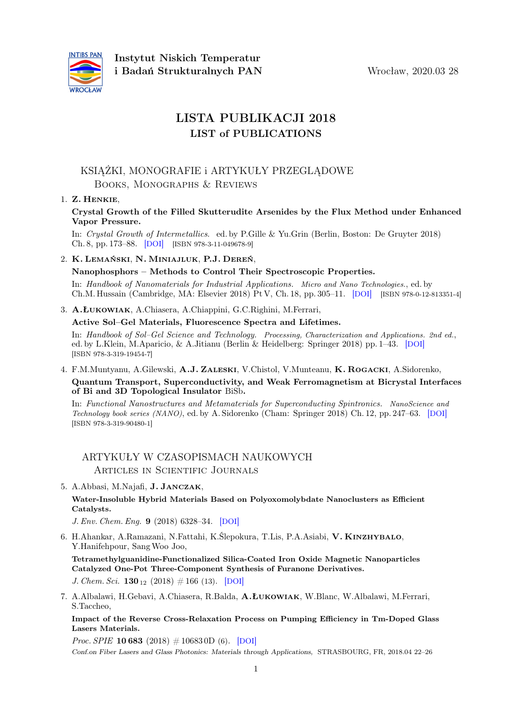

# LISTA PUBLIKACJI 2018 LIST of PUBLICATIONS

## KSIĄŻKI, MONOGRAFIE i ARTYKUŁY PRZEGLĄDOWE Books, Monographs & Reviews

## 1. Z. Henkie,

Crystal Growth of the Filled Skutterudite Arsenides by the Flux Method under Enhanced Vapor Pressure.

In: Crystal Growth of Intermetallics. ed. by P.Gille & Yu.Grin (Berlin, Boston: De Gruyter 2018) Ch. 8, pp. 173–88. [[DOI](https://dx.doi.org/10.1515/9783110496789-008)] [ISBN 978-3-11-049678-9]

2. K. Lemański, N. Miniajluk, P.J. Dereń,

#### Nanophosphors – Methods to Control Their Spectroscopic Properties.

In: Handbook of Nanomaterials for Industrial Applications. Micro and Nano Technologies., ed. by Ch.M. Hussain (Cambridge, MA: Elsevier 2018) Pt V, Ch. 18, pp. 305–11. [[DOI](https://dx.doi.org/10.1016/B978-0-12-813351-4.00019-5)] [ISBN 978-0-12-813351-4]

3. A.Łukowiak, A.Chiasera, A.Chiappini, G.C.Righini, M.Ferrari,

Active Sol–Gel Materials, Fluorescence Spectra and Lifetimes.

In: Handbook of Sol–Gel Science and Technology. Processing, Characterization and Applications. 2nd ed., ed. by L.Klein, M.Aparicio, & A.Jitianu (Berlin & Heidelberg: Springer 2018) pp. 1–43. [[DOI](https://dx.doi.org/10.1007/978-3-319-19454-7_48-1)] [ISBN 978-3-319-19454-7]

4. F.M.Muntyanu, A.Gilewski, A.J. Zaleski, V.Chistol, V.Munteanu, K. Rogacki, A.Sidorenko,

Quantum Transport, Superconductivity, and Weak Ferromagnetism at Bicrystal Interfaces of Bi and 3D Topological Insulator BiSb.

In: Functional Nanostructures and Metamaterials for Superconducting Spintronics. NanoScience and Technology book series (NANO), ed. by A. Sidorenko (Cham: Springer 2018) Ch. 12, pp. 247–63. [[DOI](https://dx.doi.org/10.1007/978-3-319-90481-8_12)] [ISBN 978-3-319-90480-1]

# ARTYKUŁY W CZASOPISMACH NAUKOWYCH Articles in Scientific Journals

5. A.Abbasi, M.Najafi, J. Janczak,

Water-Insoluble Hybrid Materials Based on Polyoxomolybdate Nanoclusters as Efficient Catalysts.

J. Env. Chem. Eng. 9 (2018) 6328–34. [[DOI](https://dx.doi.org/10.1016/j.jece.2018.09.047)]

6. H.Ahankar, A.Ramazani, N.Fattahi, K.Ślepokura, T.Lis, P.A.Asiabi, V. Kinzhybalo, Y.Hanifehpour, SangWoo Joo, Tetramethylguanidine-Functionalized Silica-Coated Iron Oxide Magnetic Nanoparticles

Catalyzed One-Pot Three-Component Synthesis of Furanone Derivatives. J. Chem. Sci.  $130_{12}$  (2018) # 166 (13). [[DOI](https://dx.doi.org/10.1007/s12039-018-1572-7)]

7. A.Albalawi, H.Gebavi, A.Chiasera, R.Balda, A.Łukowiak, W.Blanc, W.Albalawi, M.Ferrari, S.Taccheo,

Impact of the Reverse Cross-Relaxation Process on Pumping Efficiency in Tm-Doped Glass Lasers Materials.

*Proc. SPIE* **10 683** (2018)  $\# 10683$  0D (6). [[DOI](https://dx.doi.org/10.1117/12.2306082)]

Conf.on Fiber Lasers and Glass Photonics: Materials through Applications, STRASBOURG, FR, 2018.04 22–26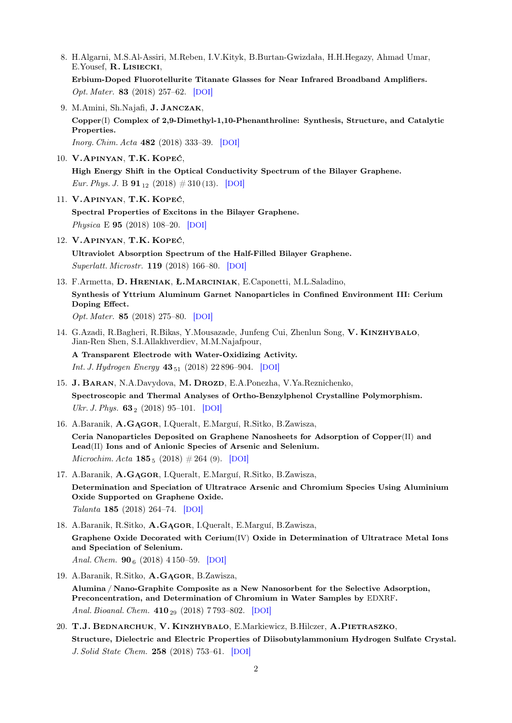8. H.Algarni, M.S.Al-Assiri, M.Reben, I.V.Kityk, B.Burtan-Gwizdała, H.H.Hegazy, Ahmad Umar, E.Yousef, R. Lisiecki,

Erbium-Doped Fluorotellurite Titanate Glasses for Near Infrared Broadband Amplifiers. Opt. Mater. 83 (2018) 257–62. [[DOI](https://dx.doi.org/10.1016/j.optmat.2018.06.020)]

9. M.Amini, Sh.Najafi, J. Janczak, Copper(I) Complex of 2,9-Dimethyl-1,10-Phenanthroline: Synthesis, Structure, and Catalytic Properties.

Inorg. Chim. Acta 482 (2018) 333–39. [[DOI](https://dx.doi.org/10.1016/j.ica.2018.06.032)]

- 10. V.Apinyan, T.K. Kopeć, High Energy Shift in the Optical Conductivity Spectrum of the Bilayer Graphene. Eur. Phys. J. B  $91_{12}$  (2018)  $\#310$  (13). [[DOI](https://dx.doi.org/10.1140/epjb/e2018-90407-y)]
- 11. V.Apinyan, T.K. Kopeć, Spectral Properties of Excitons in the Bilayer Graphene. Physica E 95 (2018) 108–20. [[DOI](https://dx.doi.org/10.1016/j.physe.2017.09.015)]
- 12. V.Apinyan, T.K. Kopeć,

Ultraviolet Absorption Spectrum of the Half-Filled Bilayer Graphene. Superlatt. Microstr. 119 (2018) 166–80. [[DOI](https://dx.doi.org/10.1016/j.spmi.2018.04.036)]

- 13. F.Armetta, D. Hreniak, Ł.Marciniak, E.Caponetti, M.L.Saladino, Synthesis of Yttrium Aluminum Garnet Nanoparticles in Confined Environment III: Cerium Doping Effect. Opt. Mater. 85 (2018) 275–80. [[DOI](https://dx.doi.org/10.1016/j.optmat.2018.08.060)]
- 14. G.Azadi, R.Bagheri, R.Bikas, Y.Mousazade, Junfeng Cui, Zhenlun Song, V. KINZHYBALO, Jian-Ren Shen, S.I.Allakhverdiev, M.M.Najafpour,

A Transparent Electrode with Water-Oxidizing Activity.

*Int. J. Hydrogen Energy*  $43_{51}$  (2018) 22 896-904. [[DOI](https://dx.doi.org/10.1016/j.ijhydene.2018.10.146)]

- 15. J. BARAN, N.A.Davydova, M. DROZD, E.A.Ponezha, V.Ya.Reznichenko, Spectroscopic and Thermal Analyses of Ortho-Benzylphenol Crystalline Polymorphism. Ukr. J. Phys.  $63_2$  (2018) 95–101. [[DOI](https://dx.doi.org/10.15407/ujpe63.2.95)]
- 16. A.Baranik, A.Gągor, I.Queralt, E.Marguí, R.Sitko, B.Zawisza,

Ceria Nanoparticles Deposited on Graphene Nanosheets for Adsorption of Copper(II) and Lead(II) Ions and of Anionic Species of Arsenic and Selenium. Microchim. Acta  $185_5$  (2018)  $\#264$  (9). [[DOI](https://dx.doi.org/10.1007/s00604-018-2806-6)]

17. A.Baranik, A.Gągor, I.Queralt, E.Marguí, R.Sitko, B.Zawisza, Determination and Speciation of Ultratrace Arsenic and Chromium Species Using Aluminium Oxide Supported on Graphene Oxide. Talanta 185 (2018) 264–74. [[DOI](https://dx.doi.org/10.1016/j.talanta.2018.03.090)]

18. A.Baranik, R.Sitko, A.Gągor, I.Queralt, E.Marguí, B.Zawisza, Graphene Oxide Decorated with Cerium(IV) Oxide in Determination of Ultratrace Metal Ions and Speciation of Selenium.

Anal. Chem.  $90<sub>6</sub>$  (2018) 4 150-59. [[DOI](https://dx.doi.org/10.1021/acs.analchem.8b00137)]

19. A.Baranik, R.Sitko, A.Gągor, B.Zawisza,

Alumina / Nano-Graphite Composite as a New Nanosorbent for the Selective Adsorption, Preconcentration, and Determination of Chromium in Water Samples by EDXRF. Anal. Bioanal. Chem. 410<sub>29</sub> (2018) 7793-802. [[DOI](https://dx.doi.org/10.1007/s00216-018-1397-8)]

20. T.J. Bednarchuk, V. Kinzhybalo, E.Markiewicz, B.Hilczer, A.Pietraszko, Structure, Dielectric and Electric Properties of Diisobutylammonium Hydrogen Sulfate Crystal. J. Solid State Chem. 258 (2018) 753–61. [[DOI](https://dx.doi.org/10.1016/j.jssc.2017.11.042)]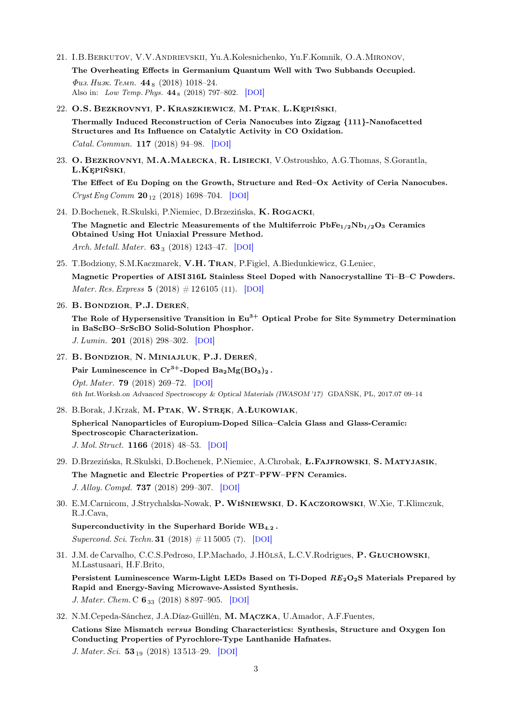21. I.B.Berkutov, V.V.Andrievskii, Yu.A.Kolesnichenko, Yu.F.Komnik, O.A.Mironov, The Overheating Effects in Germanium Quantum Well with Two Subbands Occupied.  $\Phi$ us. Husk. Temp. 44<sub>8</sub> (2018) 1018–24.

Also in: Low Temp. Phys. 44 <sup>8</sup> (2018) 797–802. [[DOI](https://dx.doi.org/10.1063/1.5049161)]

- 22. O.S. Bezkrovnyi, P. Kraszkiewicz, M. Ptak, L.Kępiński, Thermally Induced Reconstruction of Ceria Nanocubes into Zigzag {111}-Nanofacetted Structures and Its Influence on Catalytic Activity in CO Oxidation. Catal. Commun. 117 (2018) 94–98. [[DOI](https://dx.doi.org/10.1016/j.catcom.2018.08.005)]
- 23. O. Bezkrovnyi, M.A.Małecka, R. Lisiecki, V.Ostroushko, A.G.Thomas, S.Gorantla, L.Kępiński,

The Effect of Eu Doping on the Growth, Structure and Red–Ox Activity of Ceria Nanocubes. Cryst Eng Comm 20<sup>12</sup> (2018) 1698–704. [[DOI](https://dx.doi.org/10.1039/C8CE00155C)]

24. D.Bochenek, R.Skulski, P.Niemiec, D.Brzezińska, K. Rogacki,

The Magnetic and Electric Measurements of the Multiferroic  $PbFe_{1/2}Nb_{1/2}O_3$  Ceramics Obtained Using Hot Uniaxial Pressure Method. Arch. Metall. Mater. 63<sub>3</sub> (2018) 1243-47. [[DOI](https://dx.doi.org/10.24425/123797)]

25. T.Bodziony, S.M.Kaczmarek, V.H. Tran, P.Figiel, A.Biedunkiewicz, G.Leniec, Magnetic Properties of AISI 316L Stainless Steel Doped with Nanocrystalline Ti–B–C Powders.

*Mater. Res. Express*  $5 (2018) # 126105 (11)$ . [[DOI](https://dx.doi.org/10.1088/2053-1591/aae115)]

26. B. Bondzior, P.J. Dereń,

The Role of Hypersensitive Transition in  $Eu^{3+}$  Optical Probe for Site Symmetry Determination in BaScBO–SrScBO Solid-Solution Phosphor.

J. Lumin. 201 (2018) 298–302. [[DOI](https://dx.doi.org/10.1016/j.jlumin.2018.05.001)]

27. B. Bondzior, N. Miniajluk, P.J. Dereń,

Pair Luminescence in  $Cr^{3+}$ -Doped Ba<sub>2</sub>Mg(BO<sub>3</sub>)<sub>2</sub>. Opt. Mater. 79 (2018) 269–72. [[DOI](https://dx.doi.org/10.1016/j.optmat.2018.03.028)] 6th Int.Worksh.on Advanced Spectroscopy & Optical Materials (IWASOM '17) GDAŃSK, PL, 2017.07 09–14

28. B.Borak, J.Krzak, M. Ptak, W. Stręk, A.Łukowiak,

Spherical Nanoparticles of Europium-Doped Silica–Calcia Glass and Glass-Ceramic: Spectroscopic Characterization. J. Mol. Struct. 1166 (2018) 48–53. [[DOI](https://dx.doi.org/10.1016/j.molstruc.2018.04.019)]

29. D.Brzezińska, R.Skulski, D.Bochenek, P.Niemiec, A.Chrobak, Ł.Fajfrowski, S. Matyjasik, The Magnetic and Electric Properties of PZT–PFW–PFN Ceramics. J. Alloy. Compd. 737 (2018) 299–307. [[DOI](https://dx.doi.org/10.1016/j.jallcom.2017.12.055)]

30. E.M.Carnicom, J.Strychalska-Nowak, P.Wiśniewski, D. Kaczorowski, W.Xie, T.Klimczuk, R.J.Cava,

Superconductivity in the Superhard Boride  $WB_{4,2}$ . Supercond. Sci. Techn. **31** (2018)  $\#$  11 5005 (7). [[DOI](https://dx.doi.org/10.1088/1361-6668/aade5a)]

31. J.M. de Carvalho, C.C.S.Pedroso, I.P.Machado, J.Hölsä, L.C.V.Rodrigues, P. Głuchowski, M.Lastusaari, H.F.Brito,

Persistent Luminescence Warm-Light LEDs Based on Ti-Doped RE<sub>2</sub>O<sub>2</sub>S Materials Prepared by Rapid and Energy-Saving Microwave-Assisted Synthesis.

J. Mater. Chem. C  $6_{33}$  (2018) 8 897-905. [[DOI](https://dx.doi.org/10.1039/C8TC01826J)]

32. N.M.Cepeda-Sánchez, J.A.Díaz-Guillén, M. Mączka, U.Amador, A.F.Fuentes, Cations Size Mismatch versus Bonding Characteristics: Synthesis, Structure and Oxygen Ion Conducting Properties of Pyrochlore-Type Lanthanide Hafnates. J. Mater. Sci. 53<sub>19</sub> (2018) 13513-29. [[DOI](https://dx.doi.org/10.1007/s10853-018-2402-5)]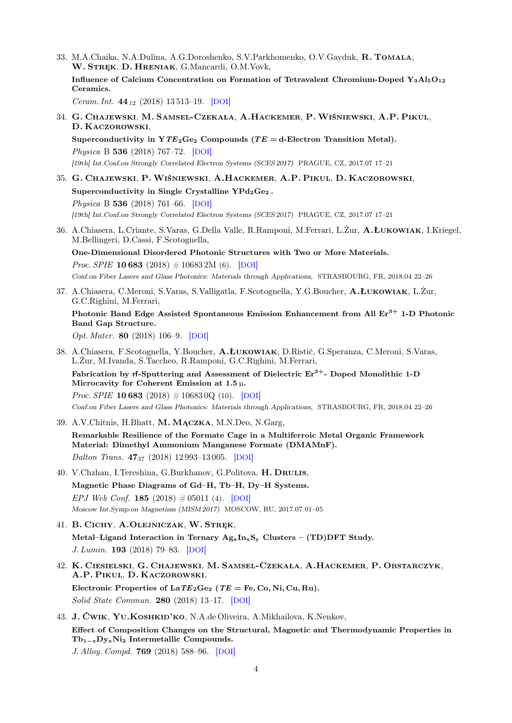33. M.A.Chaika, N.A.Dulina, A.G.Doroshenko, S.V.Parkhomenko, O.V.Gayduk, R. Tomala, W. Stręk, D. Hreniak, G.Mancardi, O.M.Vovk, Influence of Calcium Concentration on Formation of Tetravalent Chromium-Doped  $Y_3Al_5O_{12}$ Ceramics. Ceram. Int. 44<sup>12</sup> (2018) 13 513–19. [[DOI](https://dx.doi.org/10.1016/j.ceramint.2018.04.182)] 34. G. Chajewski, M. Samsel-Czekała, A.Hackemer, P.Wiśniewski, A.P. Pikul, D. Kaczorowski, Superconductivity in  $YTE_2Ge_2$  Compounds (TE = d-Electron Transition Metal). Physica B 536 (2018) 767–72. [[DOI](https://dx.doi.org/10.1016/j.physb.2017.10.063)] [19th] Int.Conf.on Strongly Correlated Electron Systems (SCES 2017) PRAGUE, CZ, 2017.07 17–21 35. G. Chajewski, P.Wiśniewski, A.Hackemer, A.P. Pikul, D. Kaczorowski, Superconductivity in Single Crystalline  $\text{YPd}_2\text{Ge}_2$ . Physica B 536 (2018) 761–66. [[DOI](https://dx.doi.org/10.1016/j.physb.2017.10.076)] [19th] Int.Conf.on Strongly Correlated Electron Systems (SCES 2017) PRAGUE, CZ, 2017.07 17–21 36. A.Chiasera, L.Criante, S.Varas, G.Della Valle, R.Ramponi, M.Ferrari, L.Żur, A.Łukowiak, I.Kriegel, M.Bellingeri, D.Cassi, F.Scotognella, One-Dimensional Disordered Photonic Structures with Two or More Materials. *Proc. SPIE* **10 683** (2018)  $\# 10683$  2M (6). [[DOI](https://dx.doi.org/10.1117/12.2306306)] Conf.on Fiber Lasers and Glass Photonics: Materials through Applications, STRASBOURG, FR, 2018.04 22–26 37. A.Chiasera, C.Meroni, S.Varas, S.Valligatla, F.Scotognella, Y.G.Boucher, A.Łukowiak, L.Żur, G.C.Righini, M.Ferrari, Photonic Band Edge Assisted Spontaneous Emission Enhancement from All  $Er<sup>3+</sup> 1-D$  Photonic Band Gap Structure. Opt. Mater. 80 (2018) 106–9. [[DOI](https://dx.doi.org/10.1016/j.optmat.2018.04.034)] 38. A.Chiasera, F.Scotognella, Y.Boucher, A.Łukowiak, D.Ristić, G.Speranza, C.Meroni, S.Varas, L.Żur, M.Ivanda, S.Taccheo, R.Ramponi, G.C.Righini, M.Ferrari, Fabrication by rf-Sputtering and Assessment of Dielectric  $Er<sup>3+</sup>$ - Doped Monolithic 1-D Microcavity for Coherent Emission at  $1.5 \mu$ . *Proc. SPIE* **10 683** (2018)  $\# 106830Q$  (10). [[DOI](https://dx.doi.org/10.1117/12.2306413)] Conf.on Fiber Lasers and Glass Photonics: Materials through Applications, STRASBOURG, FR, 2018.04 22–26 39. A.V.Chitnis, H.Bhatt, M. Mączka, M.N.Deo, N.Garg, Remarkable Resilience of the Formate Cage in a Multiferroic Metal Organic Framework Material: Dimethyl Ammonium Manganese Formate (DMAMnF). Dalton Trans. 47<sup>37</sup> (2018) 12 993–13 005. [[DOI](https://dx.doi.org/10.1039/C8DT03080D)] 40. V.Chzhan, I.Tereshina, G.Burkhanov, G.Politova, H. DRULIS, Magnetic Phase Diagrams of Gd–H, Tb–H, Dy–H Systems. EPJ Web Conf. 185 (2018)  $\# 05011$  (4). [[DOI](https://dx.doi.org/10.1051/epjconf/201818505011)] Moscow Int.Symp.on Magnetism (MISM 2017) MOSCOW, RU, 2017.07 01–05 41. B. Cichy, A.Olejniczak, W. Stręk, Metal–Ligand Interaction in Ternary  $A_{gx}I_{hx}S_y$  Clusters – (TD)DFT Study. J. Lumin. 193 (2018) 79–83. [[DOI](https://dx.doi.org/10.1016/j.jlumin.2017.07.032)] 42. K. Ciesielski, G. Chajewski, M. Samsel-Czekała, A.Hackemer, P. Obstarczyk, A.P. Pikul, D. Kaczorowski, Electronic Properties of  $LaTE<sub>2</sub>Ge<sub>2</sub>$  (TE = Fe, Co, Ni, Cu, Ru). Solid State Commun. 280 (2018) 13–17. [[DOI](https://dx.doi.org/10.1016/j.ssc.2018.05.013)] 43. J. Ćwik, Yu.Koshkid'ko, N.A.de Oliveira, A.Mikhailova, K.Nenkov, Effect of Composition Changes on the Structural, Magnetic and Thermodynamic Properties in Tb1−xDyxNi<sup>2</sup> Intermetallic Compounds. J. Alloy. Compd. 769 (2018) 588–96. [[DOI](https://dx.doi.org/10.1016/j.jallcom.2018.08.049)]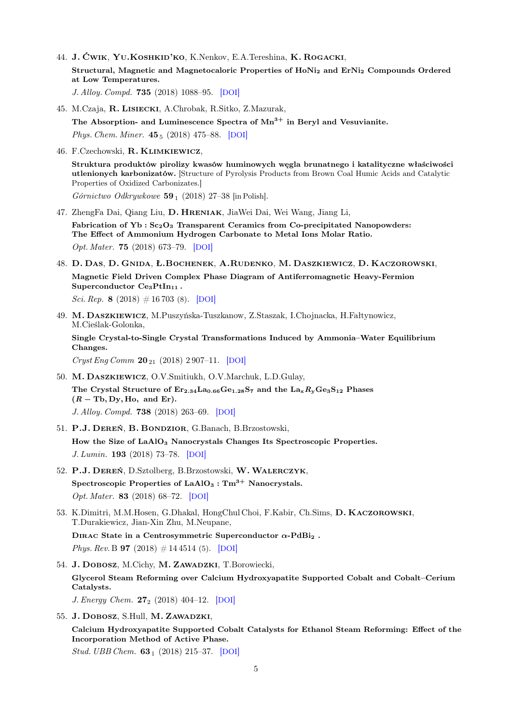44. J. Ćwik, Yu.Koshkid'ko, K.Nenkov, E.A.Tereshina, K. Rogacki, Structural, Magnetic and Magnetocaloric Properties of HoNi<sub>2</sub> and ErNi<sub>2</sub> Compounds Ordered at Low Temperatures.

J. Alloy. Compd. 735 (2018) 1088–95. [[DOI](https://dx.doi.org/10.1016/j.jallcom.2017.11.194)]

- 45. M.Czaja, R. Lisiecki, A.Chrobak, R.Sitko, Z.Mazurak, The Absorption- and Luminescence Spectra of  $Mn^{3+}$  in Beryl and Vesuvianite. Phys. Chem. Miner.  $45_5$  (2018) 475–88. [[DOI](https://dx.doi.org/10.1007/s00269-017-0934-x)]
- 46. F.Czechowski, R. Klimkiewicz,

Struktura produktów pirolizy kwasów huminowych węgla brunatnego i katalityczne właściwości utlenionych karbonizatów. [Structure of Pyrolysis Products from Brown Coal Humic Acids and Catalytic Properties of Oxidized Carbonizates.] Górnictwo Odkrywkowe 59<sub>1</sub> (2018) 27–38 [in Polish].

- 47. ZhengFa Dai, Qiang Liu, D. Hreniak, JiaWei Dai, Wei Wang, Jiang Li, Fabrication of Yb :  $Sc_2O_3$  Transparent Ceramics from Co-precipitated Nanopowders: The Effect of Ammonium Hydrogen Carbonate to Metal Ions Molar Ratio. Opt. Mater. 75 (2018) 673–79. [[DOI](https://dx.doi.org/10.1016/j.optmat.2017.11.035)]
- 48. D. Das, D. Gnida, Ł.Bochenek, A.Rudenko, M. Daszkiewicz, D. Kaczorowski, Magnetic Field Driven Complex Phase Diagram of Antiferromagnetic Heavy-Fermion Superconductor  $Ce<sub>3</sub>PtIn<sub>11</sub>$ .

Sci. Rep. 8 (2018)  $\# 16703$  (8). [[DOI](https://dx.doi.org/10.1038/s41598-018-34991-7)]

49. M. Daszkiewicz, M.Puszyńska-Tuszkanow, Z.Staszak, I.Chojnacka, H.Fałtynowicz, M.Cieślak-Golonka,

Single Crystal-to-Single Crystal Transformations Induced by Ammonia–Water Equilibrium Changes.

Cryst Eng Comm 20<sup>21</sup> (2018) 2 907–11. [[DOI](https://dx.doi.org/10.1039/C8CE00401C)]

- 50. M. Daszkiewicz, O.V.Smitiukh, O.V.Marchuk, L.D.Gulay, The Crystal Structure of  $Er_{2.34}La_{0.66}Ge_{1.28}S_7$  and the  $La_xR_yGe_3S_{12}$  Phases  $(R - Tb, Dy, Ho, and Er).$ J. Alloy. Compd. 738 (2018) 263–69. [[DOI](https://dx.doi.org/10.1016/j.jallcom.2017.12.207)]
- 51. P.J. Dereń, B. Bondzior, G.Banach, B.Brzostowski, How the Size of LaAlO<sub>3</sub> Nanocrystals Changes Its Spectroscopic Properties. J. Lumin. 193 (2018) 73–78. [[DOI](https://dx.doi.org/10.1016/j.jlumin.2017.07.011)]
- 52. P.J. Dereń, D.Sztolberg, B.Brzostowski, W.Walerczyk, Spectroscopic Properties of  $LaAlO<sub>3</sub> : Tm<sup>3+</sup>$  Nanocrystals. Opt. Mater. 83 (2018) 68–72. [[DOI](https://dx.doi.org/10.1016/j.optmat.2018.05.058)]
- 53. K.Dimitri, M.M.Hosen, G.Dhakal, HongChul Choi, F.Kabir, Ch.Sims, D. Kaczorowski, T.Durakiewicz, Jian-Xin Zhu, M.Neupane, DIRAC State in a Centrosymmetric Superconductor  $\alpha$ -PdBi<sub>2</sub>.

Phys. Rev. B **97** (2018)  $\#$  14 4514 (5). [[DOI](https://dx.doi.org/10.1103/PhysRevB.97.144514)]

- 54. J. DOBOSZ, M.Cichy, M. ZAWADZKI, T.Borowiecki, Glycerol Steam Reforming over Calcium Hydroxyapatite Supported Cobalt and Cobalt–Cerium Catalysts. J. Energy Chem.  $27_2$  (2018) 404–12. [[DOI](https://dx.doi.org/10.1016/j.jechem.2017.12.004)]
- 55. J. DOBOSZ, S.Hull, M. ZAWADZKI,

Calcium Hydroxyapatite Supported Cobalt Catalysts for Ethanol Steam Reforming: Effect of the Incorporation Method of Active Phase.

Stud. UBB Chem. 63 <sub>1</sub> (2018) 215-37. [[DOI](https://dx.doi.org/10.24193/SUBBCHEM.2018.1.16)]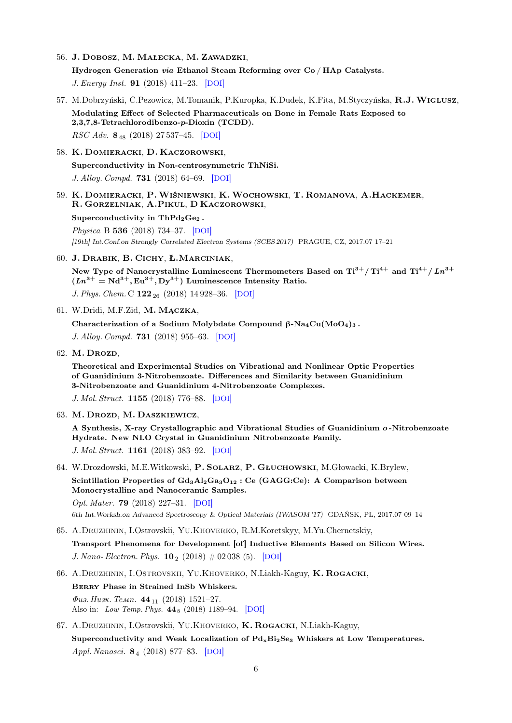- 56. J. Dobosz, M. Małecka, M. Zawadzki, Hydrogen Generation via Ethanol Steam Reforming over Co / HAp Catalysts. J. Energy Inst. 91 (2018) 411–23. [[DOI](https://dx.doi.org/10.1016/j.joei.2017.02.001)]
- 57. M.Dobrzyński, C.Pezowicz, M.Tomanik, P.Kuropka, K.Dudek, K.Fita, M.Styczyńska, R.J.Wiglusz, Modulating Effect of Selected Pharmaceuticals on Bone in Female Rats Exposed to 2,3,7,8-Tetrachlorodibenzo-p-Dioxin (TCDD). RSC Adv. 8<sup>48</sup> (2018) 27 537–45. [[DOI](https://dx.doi.org/10.1039/C8RA03619E)]
- 58. K. Domieracki, D. Kaczorowski, Superconductivity in Non-centrosymmetric ThNiSi. J. Alloy. Compd. 731 (2018) 64–69. [[DOI](https://dx.doi.org/10.1016/j.jallcom.2017.10.004)]
- 59. K. Domieracki, P.Wiśniewski, K.Wochowski, T. Romanova, A.Hackemer, R. Gorzelniak, A.Pikul, D Kaczorowski,

## Superconductivity in  $ThPd_2Ge_2$ .

Physica B 536 (2018) 734–37. [[DOI](https://dx.doi.org/10.1016/j.physb.2017.10.118)]

[19th] Int.Conf.on Strongly Correlated Electron Systems (SCES 2017) PRAGUE, CZ, 2017.07 17–21

60. J. Drabik, B. Cichy, Ł.Marciniak,

New Type of Nanocrystalline Luminescent Thermometers Based on  $Ti^{3+} / Ti^{4+}$  and  $Ti^{4+} / Ln^{3+}$  $(Ln^{3+} = Nd^{3+}, Eu^{3+}, Dy^{3+})$  Luminescence Intensity Ratio.

J. Phys. Chem. C  $122_{26}$  (2018) 14 928–36. [[DOI](https://dx.doi.org/10.1021/acs.jpcc.8b02328)]

61. W.Dridi, M.F.Zid, M. Mączka,

Characterization of a Sodium Molybdate Compound  $\beta$ -Na<sub>4</sub>Cu(MoO<sub>4</sub>)<sub>3</sub>.

J. Alloy. Compd. 731 (2018) 955–63. [[DOI](https://dx.doi.org/10.1016/j.jallcom.2017.10.111)]

62. M. Drozd,

Theoretical and Experimental Studies on Vibrational and Nonlinear Optic Properties of Guanidinium 3-Nitrobenzoate. Differences and Similarity between Guanidinium 3-Nitrobenzoate and Guanidinium 4-Nitrobenzoate Complexes.

J. Mol. Struct. 1155 (2018) 776–88. [[DOI](https://dx.doi.org/10.1016/j.molstruc.2017.11.060)]

63. M. Drozd, M. Daszkiewicz,

A Synthesis, X-ray Crystallographic and Vibrational Studies of Guanidinium o -Nitrobenzoate Hydrate. New NLO Crystal in Guanidinium Nitrobenzoate Family. J. Mol. Struct. 1161 (2018) 383–92. [[DOI](https://dx.doi.org/10.1016/j.molstruc.2018.02.077)]

64. W.Drozdowski, M.E.Witkowski, P. Solarz, P. Głuchowski, M.Głowacki, K.Brylew, Scintillation Properties of  $Gd_3Al_2Ga_3O_{12}$ : Ce (GAGG:Ce): A Comparison between Monocrystalline and Nanoceramic Samples.

Opt. Mater. 79 (2018) 227–31. [[DOI](https://dx.doi.org/10.1016/j.optmat.2018.03.042)] 6th Int.Worksh.on Advanced Spectroscopy & Optical Materials (IWASOM '17) GDAŃSK, PL, 2017.07 09–14

65. A.Druzhinin, I.Ostrovskii, Yu.Khoverko, R.M.Koretskyy, M.Yu.Chernetskiy,

Transport Phenomena for Development [of] Inductive Elements Based on Silicon Wires. J. Nano- Electron. Phys.  $10_2$  (2018)  $\#$  02 038 (5). [[DOI](https://dx.doi.org/10.21272/jnep.10(2).02038)]

- 66. A.Druzhinin, I.Ostrovskii, Yu.Khoverko, N.Liakh-Kaguy, K. Rogacki, Berry Phase in Strained InSb Whiskers.  $\Phi$ us. Husk. Temp. 44<sub>11</sub> (2018) 1521–27. Also in: Low Temp. Phys. 44 <sup>8</sup> (2018) 1189–94. [[DOI](https://dx.doi.org/10.1063/1.5060974)]
- 67. A.Druzhinin, I.Ostrovskii, Yu.Khoverko, K. Rogacki, N.Liakh-Kaguy, Superconductivity and Weak Localization of  $Pd_xBi_2Se_3$  Whiskers at Low Temperatures. Appl. Nanosci. 8<sup>4</sup> (2018) 877–83. [[DOI](https://dx.doi.org/10.1007/s13204-018-0671-6)]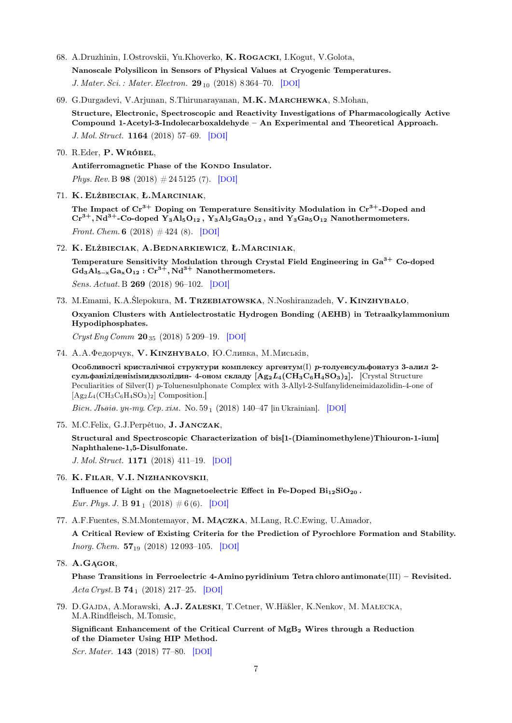- 68. A.Druzhinin, I.Ostrovskii, Yu.Khoverko, K. Rogacki, I.Kogut, V.Golota, Nanoscale Polysilicon in Sensors of Physical Values at Cryogenic Temperatures. J. Mater. Sci. : Mater. Electron.  $29_{10}$  (2018) 8 364–70. [[DOI](https://dx.doi.org/10.1007/s10854-018-8847-0)]
- 69. G.Durgadevi, V.Arjunan, S.Thirunarayanan, M.K. Marchewka, S.Mohan,

Structure, Electronic, Spectroscopic and Reactivity Investigations of Pharmacologically Active Compound 1-Acetyl-3-Indolecarboxaldehyde – An Experimental and Theoretical Approach. J. Mol. Struct. 1164 (2018) 57–69. [[DOI](https://dx.doi.org/10.1016/j.molstruc.2018.03.045)]

70. R.Eder, P.Wróbel,

Antiferromagnetic Phase of the Kondo Insulator. Phys. Rev. B 98 (2018)  $\#24\,5125$  (7). [[DOI](https://dx.doi.org/10.1103/PhysRevB.98.245125)]

71. K. Elżbieciak, Ł.Marciniak,

The Impact of  $Cr^{3+}$  Doping on Temperature Sensitivity Modulation in  $Cr^{3+}$ -Doped and  $Cr^{3+}$ , Nd<sup>3+</sup>-Co-doped Y<sub>3</sub>Al<sub>5</sub>O<sub>12</sub>, Y<sub>3</sub>Al<sub>2</sub>Ga<sub>3</sub>O<sub>12</sub>, and Y<sub>3</sub>Ga<sub>5</sub>O<sub>12</sub> Nanothermometers. Front. Chem. 6 (2018)  $\#$  424 (8). [[DOI](https://dx.doi.org/10.3389/fchem.2018.0042)]

72. K. Elżbieciak, A.Bednarkiewicz, Ł.Marciniak,

Temperature Sensitivity Modulation through Crystal Field Engineering in  $Ga^{3+}$  Co-doped  $Gd_3Al_{5-x}Ga_xO_{12}:Cr^{3+},Nd^{3+}$  Nanothermometers. Sens. Actuat. B 269 (2018) 96–102. [[DOI](https://dx.doi.org/10.1016/j.snb.2018.04.157)]

73. M.Emami, K.A.Ślepokura, M. Trzebiatowska, N.Noshiranzadeh, V. Kinzhybalo, Oxyanion Clusters with Antielectrostatic Hydrogen Bonding (AEHB) in Tetraalkylammonium Hypodiphosphates.

 $Cryst EngComm 20_{35} (2018) 5209-19. [DOI]$  $Cryst EngComm 20_{35} (2018) 5209-19. [DOI]$  $Cryst EngComm 20_{35} (2018) 5209-19. [DOI]$ 

74. А.А.Федорчук, V. КINZHYBALO, Ю.Сливка, М.Миськів,

Особливості кристалічноі структури комплексу аргентум $(I)$  р-толуенсульфонатуз 3-алил 2сульфаніліденімімидазолідин-4-оном складу  $[Ag_2L_4(\text{CH}_3\text{C}_6\text{H}_4\text{SO}_3)_2]$ . [Crystal Structure Peculiarities of Silver(I) p-Toluenesulphonate Complex with 3-Allyl-2-Sulfanylideneimidazolidin-4-one of  $[Ag_2L_4(CH_3C_6H_4SO_3)_2]$  Composition.

Bicu. Jheie. yu-my. Cep. xim. No.  $59<sub>1</sub>$  (2018) 140–47 [in Ukrainian]. [[DOI](https://dx.doi.org/10.30970/vch.5901.140)]

75. M.C.Felix, G.J.Perpétuo, J. Janczak,

Structural and Spectroscopic Characterization of bis[1-(Diaminomethylene)Thiouron-1-ium] Naphthalene-1,5-Disulfonate.

J. Mol. Struct. 1171 (2018) 411–19. [[DOI](https://dx.doi.org/10.1016/j.molstruc.2018.06.033)]

76. K. Filar, V.I. Nizhankovskii,

Influence of Light on the Magnetoelectric Effect in Fe-Doped  $Bi_{12}SiO_{20}$ . Eur. Phys. J. B  $91_1$  (2018)  $\#6(6)$ . [[DOI](https://dx.doi.org/10.1140/epjb/e2017-80258-5)]

77. A.F.Fuentes, S.M.Montemayor, M. Mączka, M.Lang, R.C.Ewing, U.Amador,

A Critical Review of Existing Criteria for the Prediction of Pyrochlore Formation and Stability. *Inorg. Chem.*  $57_{19}$  (2018) 12 093-105. [[DOI](https://dx.doi.org/10.1021/acs.inorgchem.8b01665)]

78. A.Gągor,

Phase Transitions in Ferroelectric 4-Amino pyridinium Tetra chloro antimonate(III) – Revisited. Acta Cryst. B  $74_1$  (2018) 217-25. [[DOI](https://dx.doi.org/10.1107/S2052520618003669)]

79. D.Gajda, A.Morawski, A.J. Zaleski, T.Cetner, W.Häßler, K.Nenkov, M. Małecka, M.A.Rindfleisch, M.Tomsic,

Significant Enhancement of the Critical Current of MgB<sup>2</sup> Wires through a Reduction of the Diameter Using HIP Method.

Scr. Mater. 143 (2018) 77–80. [[DOI](https://dx.doi.org/10.1016/j.scriptamat.2017.09.017)]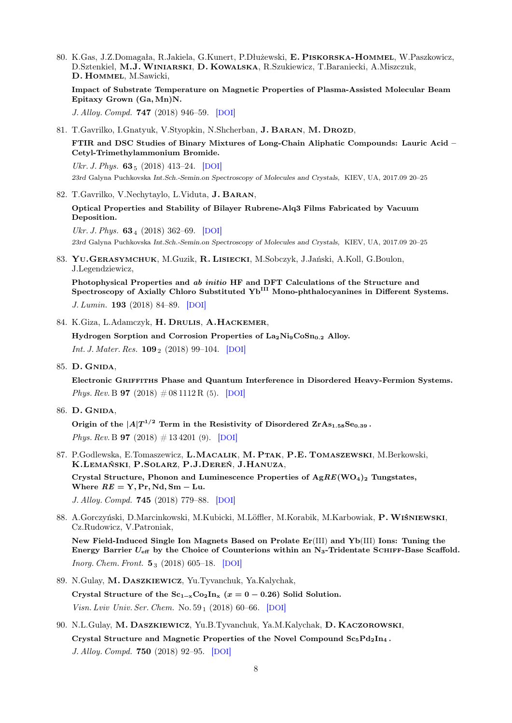80. K.Gas, J.Z.Domagała, R.Jakiela, G.Kunert, P.Dłużewski, E. Piskorska-Hommel, W.Paszkowicz, D.Sztenkiel, M.J.Winiarski, D. Kowalska, R.Szukiewicz, T.Baraniecki, A.Miszczuk, D. Hommel, M.Sawicki,

Impact of Substrate Temperature on Magnetic Properties of Plasma-Assisted Molecular Beam Epitaxy Grown (Ga, Mn)N.

J. Alloy. Compd. 747 (2018) 946–59. [[DOI](https://dx.doi.org/10.1016/j.jallcom.2018.03.056)]

81. T.Gavrilko, I.Gnatyuk, V.Styopkin, N.Shcherban, **J. BARAN, M. DROZD,** 

FTIR and DSC Studies of Binary Mixtures of Long-Chain Aliphatic Compounds: Lauric Acid – Cetyl-Trimethylammonium Bromide.

Ukr. J. Phys.  $63_5$  (2018) 413–24. [[DOI](https://dx.doi.org/10.15407/ujpe63.5.413)]

23rd Galyna Puchkovska Int.Sch.-Semin.on Spectroscopy of Molecules and Crystals, KIEV, UA, 2017.09 20–25

82. T.Gavrilko, V.Nechytaylo, L.Viduta, J. Baran,

Optical Properties and Stability of Bilayer Rubrene-Alq3 Films Fabricated by Vacuum Deposition.

Ukr. J. Phys.  $63_4$  (2018) 362–69. [[DOI](https://dx.doi.org/10.15407/ujpe63.4.362)] 23rd Galyna Puchkovska Int.Sch.-Semin.on Spectroscopy of Molecules and Crystals, KIEV, UA, 2017.09 20–25

83. Yu.Gerasymchuk, M.Guzik, R. Lisiecki, M.Sobczyk, J.Jański, A.Koll, G.Boulon, J.Legendziewicz,

Photophysical Properties and ab initio HF and DFT Calculations of the Structure and Spectroscopy of Axially Chloro Substituted Yb<sup>III</sup> Mono-phthalocyanines in Different Systems. J. Lumin. 193 (2018) 84–89. [[DOI](https://dx.doi.org/10.1016/j.jlumin.2017.09.002)]

84. K.Giza, L.Adamczyk, H. Drulis, A.Hackemer,

Hydrogen Sorption and Corrosion Properties of La<sub>2</sub>Ni<sub>9</sub>CoSn<sub>0.2</sub> Alloy. *Int. J. Mater. Res.*  $109_2$  (2018) 99–104. [[DOI](https://dx.doi.org/10.3139/146.111585)]

85. D. Gnida,

Electronic Griffiths Phase and Quantum Interference in Disordered Heavy-Fermion Systems. *Phys. Rev.* B **97** (2018)  $\#$  08 1112 R (5). [[DOI](https://dx.doi.org/10.1103/PhysRevB.97.081112)]

86. D. Gnida,

Origin of the  $|A|T^{1/2}$  Term in the Resistivity of Disordered  $\text{ZrAs}_{1.58}\text{Se}_{0.39}$ . *Phys. Rev.* B **97** (2018)  $\#$  13 4201 (9). [[DOI](https://dx.doi.org/10.1103/PhysRevB.97.134201)]

87. P.Godlewska, E.Tomaszewicz, L.MACALIK, M. PTAK, P.E. TOMASZEWSKI, M.Berkowski, K.Lemański, P.Solarz, P.J.Dereń, J.Hanuza,

Crystal Structure, Phonon and Luminescence Properties of  $AgRE(WO<sub>4</sub>)$ <sub>2</sub> Tungstates, Where  $RE = Y, Pr, Nd, Sm - Lu.$ 

J. Alloy. Compd. 745 (2018) 779–88. [[DOI](https://dx.doi.org/10.1016/j.jallcom.2018.02.196)]

88. A.Gorczyński, D.Marcinkowski, M.Kubicki, M.Löffler, M.Korabik, M.Karbowiak, P.Wiśniewski, Cz.Rudowicz, V.Patroniak,

New Field-Induced Single Ion Magnets Based on Prolate Er(III) and Yb(III) Ions: Tuning the Energy Barrier  $U_{\text{eff}}$  by the Choice of Counterions within an N<sub>3</sub>-Tridentate SCHIFF-Base Scaffold. *Inorg. Chem. Front.*  $5_3$  (2018) 605–18. [[DOI](https://dx.doi.org/10.1039/C7QI00727B)]

89. N.Gulay, M. Daszkiewicz, Yu.Tyvanchuk, Ya.Kalychak, Crystal Structure of the  $Sc_{1-x}Co_2In_x$  ( $x = 0 - 0.26$ ) Solid Solution.

Visn. Lviv Univ. Ser. Chem. No. 59 <sup>1</sup> (2018) 60–66. [[DOI](https://dx.doi.org/10.30970/vch.5901.060)]

90. N.L.Gulay, M. Daszkiewicz, Yu.B.Tyvanchuk, Ya.M.Kalychak, D. Kaczorowski, Crystal Structure and Magnetic Properties of the Novel Compound  $Sc_5Pd_2In_4$ . J. Alloy. Compd. 750 (2018) 92–95. [[DOI](https://dx.doi.org/10.1016/j.jallcom.2018.03.360)]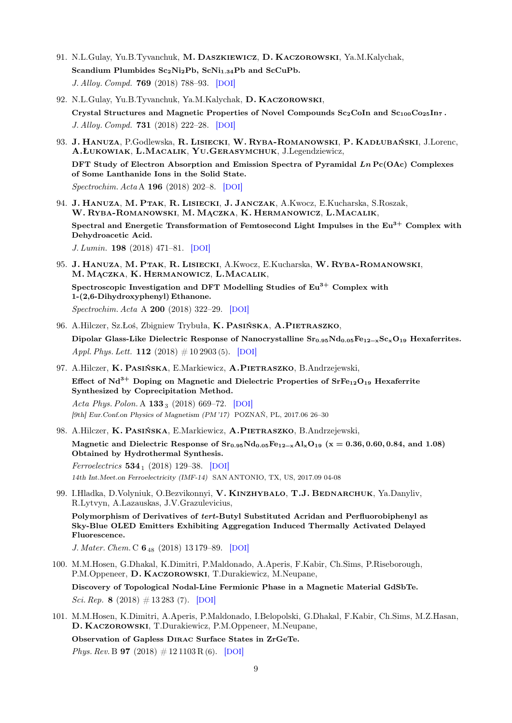- 91. N.L.Gulay, Yu.B.Tyvanchuk, M. Daszkiewicz, D. Kaczorowski, Ya.M.Kalychak, Scandium Plumbides  $Sc_2Ni_2Pb$ ,  $ScNi_{1.34}Pb$  and  $ScCuPb$ . J. Alloy. Compd. 769 (2018) 788–93. [[DOI](https://dx.doi.org/10.1016/j.jallcom.2018.08.023)]
- 92. N.L.Gulay, Yu.B.Tyvanchuk, Ya.M.Kalychak, D. Kaczorowski, Crystal Structures and Magnetic Properties of Novel Compounds  $Sc_2C$ oIn and  $Sc_{100}Co_{25}In_7$ . J. Alloy. Compd. 731 (2018) 222–28. [[DOI](https://dx.doi.org/10.1016/j.jallcom.2017.10.023)]
- 93. J. HANUZA, P.Godlewska, R. LISIECKI, W. RYBA-ROMANOWSKI, P. KADŁUBAŃSKI, J.Lorenc, A.Łukowiak, L.Macalik, Yu.Gerasymchuk, J.Legendziewicz, DFT Study of Electron Absorption and Emission Spectra of Pyramidal  $Ln$  Pc(OAc) Complexes of Some Lanthanide Ions in the Solid State.

Spectrochim. Acta A 196 (2018) 202–8. [[DOI](https://dx.doi.org/10.1016/j.saa.2018.01.003)]

- 94. J. Hanuza, M. Ptak, R. Lisiecki, J. Janczak, A.Kwocz, E.Kucharska, S.Roszak, W. Ryba-Romanowski, M. Mączka, K. Hermanowicz, L.Macalik, Spectral and Energetic Transformation of Femtosecond Light Impulses in the  $Eu^{3+}$  Complex with Dehydroacetic Acid. J. Lumin. 198 (2018) 471–81. [[DOI](https://dx.doi.org/10.1016/j.jlumin.2018.02.067)]
- 95. J. Hanuza, M. Ptak, R. Lisiecki, A.Kwocz, E.Kucharska, W. Ryba-Romanowski, M. Mączka, K. Hermanowicz, L.Macalik, Spectroscopic Investigation and DFT Modelling Studies of  $Eu^{3+}$  Complex with 1-(2,6-Dihydroxyphenyl) Ethanone. Spectrochim. Acta A 200 (2018) 322–29. [[DOI](https://dx.doi.org/10.1016/j.saa.2018.04.035)]
- 96. A.Hilczer, Sz.Łoś, Zbigniew Trybuła, K. PASIŃSKA, A.PIETRASZKO, Dipolar Glass-Like Dielectric Response of Nanocrystalline  $Sr_{0.95}Nd_{0.05}Fe_{12-x}Sc_xO_{19}$  Hexaferrites. Appl. Phys. Lett. **112** (2018)  $\# 10\,2903$  (5). [[DOI](https://dx.doi.org/10.1063/1.5023233)]
- 97. A.Hilczer, K. PASIŃSKA, E.Markiewicz, A.PIETRASZKO, B.Andrzejewski, Effect of  $Nd^{3+}$  Doping on Magnetic and Dielectric Properties of  $SrFe_{12}O_{19}$  Hexaferrite Synthesized by Coprecipitation Method. Acta Phys. Polon. A  $133_3$  (2018) 669–72. [[DOI](https://dx.doi.org/10.12693/APhysPolA.133.669)]

[9th] Eur.Conf.on Physics of Magnetism (PM '17) POZNAŃ, PL, 2017.06 26–30

98. A.Hilczer, K. PASIŃSKA, E.Markiewicz, A.PIETRASZKO, B.Andrzejewski,

Magnetic and Dielectric Response of  $Sr_{0.95}Nd_{0.05}Fe_{12-x}Al_xO_{19}$  (x = 0.36, 0.60, 0.84, and 1.08) Obtained by Hydrothermal Synthesis.

Ferroelectrics  $534_1$  (2018) 129-38. [[DOI](https://dx.doi.org/10.1080/00150193.2018.1472957)] 14th Int.Meet.on Ferroelectricity (IMF-14) SAN ANTONIO, TX, US, 2017.09 04-08

99. I.Hladka, D.Volyniuk, O.Bezvikonnyi, V. KINZHYBALO, T.J. BEDNARCHUK, Ya.Danyliv, R.Lytvyn, A.Lazauskas, J.V.Grazulevicius,

Polymorphism of Derivatives of tert-Butyl Substituted Acridan and Perfluorobiphenyl as Sky-Blue OLED Emitters Exhibiting Aggregation Induced Thermally Activated Delayed Fluorescence.

J. Mater. Chem. C 6<sub>48</sub> (2018) 13 179-89. [[DOI](https://dx.doi.org/10.1039/C8TC04867C)]

100. M.M.Hosen, G.Dhakal, K.Dimitri, P.Maldonado, A.Aperis, F.Kabir, Ch.Sims, P.Riseborough, P.M.Oppeneer, D. Kaczorowski, T.Durakiewicz, M.Neupane,

Discovery of Topological Nodal-Line Fermionic Phase in a Magnetic Material GdSbTe. Sci. Rep. 8 (2018)  $\#$  13 283 (7). [[DOI](https://dx.doi.org/10.1038/s41598-018-31296-7)]

101. M.M.Hosen, K.Dimitri, A.Aperis, P.Maldonado, I.Belopolski, G.Dhakal, F.Kabir, Ch.Sims, M.Z.Hasan, D. Kaczorowski, T.Durakiewicz, P.M.Oppeneer, M.Neupane,

Observation of Gapless Dirac Surface States in ZrGeTe.

*Phys. Rev.* B **97** (2018)  $\# 121103 \text{ R}$  (6). [[DOI](https://dx.doi.org/10.1103/PhysRevB.97.121103)]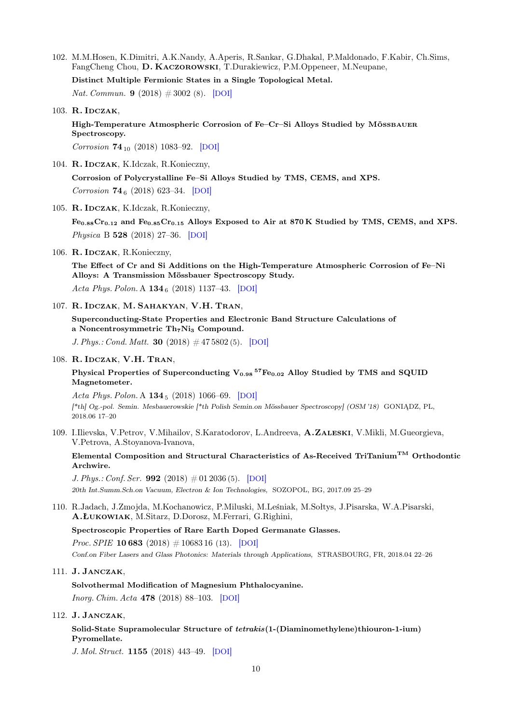102. M.M.Hosen, K.Dimitri, A.K.Nandy, A.Aperis, R.Sankar, G.Dhakal, P.Maldonado, F.Kabir, Ch.Sims, FangCheng Chou, D. Kaczorowski, T.Durakiewicz, P.M.Oppeneer, M.Neupane,

Distinct Multiple Fermionic States in a Single Topological Metal.

Nat. Commun. **9** (2018)  $\#3002$  (8). [[DOI](https://dx.doi.org/10.1038/s41467-018-05233-1)]

103. R. IDCZAK,

High-Temperature Atmospheric Corrosion of Fe–Cr–Si Alloys Studied by MÖSSBAUER Spectroscopy.

Corrosion **74**<sub>10</sub> (2018) 1083-92. [[DOI](https://dx.doi.org/10.5006/2776)]

104. R. Idczak, K.Idczak, R.Konieczny,

Corrosion of Polycrystalline Fe–Si Alloys Studied by TMS, CEMS, and XPS. Corrosion  $74_6$  (2018) 623-34. [[DOI](https://dx.doi.org/10.5006/2676)]

105. R. Idczak, K.Idczak, R.Konieczny,

 $Fe<sub>0.88</sub>Cr<sub>0.12</sub>$  and  $Fe<sub>0.85</sub>Cr<sub>0.15</sub>$  Alloys Exposed to Air at 870 K Studied by TMS, CEMS, and XPS. Physica B 528 (2018) 27–36. [[DOI](https://dx.doi.org/10.1016/j.physb.2017.10.082)]

106. R. IDCZAK, R. Konieczny,

The Effect of Cr and Si Additions on the High-Temperature Atmospheric Corrosion of Fe–Ni Alloys: A Transmission Mössbauer Spectroscopy Study. Acta Phys. Polon. A  $134_6$  (2018) 1137-43. [[DOI](https://dx.doi.org/10.12693/APhysPolA.134.1137)]

107. R. Idczak, M. Sahakyan, V.H. Tran,

Superconducting-State Properties and Electronic Band Structure Calculations of a Noncentrosymmetric Th<sub>7</sub>Ni<sub>3</sub> Compound.

J. Phys.: Cond. Matt. 30  $(2018) \# 47\,5802(5)$ . [[DOI](https://dx.doi.org/10.1088/1361-648X/aae7be)]

#### 108. R. Idczak, V.H. Tran,

## Physical Properties of Superconducting  $\rm V_{0.98}$   $^{57}Fe_{0.02}$  Alloy Studied by TMS and SQUID Magnetometer.

Acta Phys. Polon. A  $134_5$  (2018) 1066–69. [[DOI](https://dx.doi.org/10.12693/APhysPolA.134.1066)] [\*th] Og.-pol. Semin. Mesbauerowskie [\*th Polish Semin.on Mössbauer Spectroscopy] (OSM '18) GONIĄDZ, PL, 2018.06 17–20

109. I.Ilievska, V.Petrov, V.Mihailov, S.Karatodorov, L.Andreeva, A.Zaleski, V.Mikli, M.Gueorgieva, V.Petrova, A.Stoyanova-Ivanova,

Elemental Composition and Structural Characteristics of As-Received TriTanium<sup>TM</sup> Orthodontic Archwire.

J. Phys.: Conf. Ser. 992 (2018)  $\#01\,2036(5)$ . [[DOI](https://dx.doi.org/10.1088/1742-6596/992/1/012036)] 20th Int.Summ.Sch.on Vacuum, Electron & Ion Technologies, SOZOPOL, BG, 2017.09 25–29

110. R.Jadach, J.Zmojda, M.Kochanowicz, P.Miluski, M.Leśniak, M.Sołtys, J.Pisarska, W.A.Pisarski, A.Łukowiak, M.Sitarz, D.Dorosz, M.Ferrari, G.Righini,

Spectroscopic Properties of Rare Earth Doped Germanate Glasses.

*Proc. SPIE* **10 683** (2018)  $\# 1068316$  (13). [[DOI](https://dx.doi.org/10.1117/12.2322626)]

Conf.on Fiber Lasers and Glass Photonics: Materials through Applications, STRASBOURG, FR, 2018.04 22–26

111. J. Janczak,

Solvothermal Modification of Magnesium Phthalocyanine.

Inorg. Chim. Acta 478 (2018) 88–103. [[DOI](https://dx.doi.org/10.1016/j.ica.2018.03.018)]

112. J. Janczak,

Solid-State Supramolecular Structure of tetrakis(1-(Diaminomethylene)thiouron-1-ium) Pyromellate.

J. Mol. Struct. 1155 (2018) 443–49. [[DOI](https://dx.doi.org/10.1016/j.molstruc.2017.11.026)]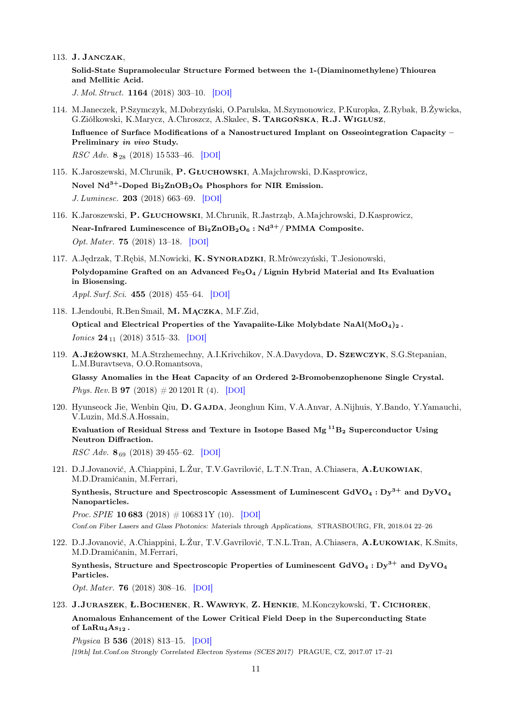113. J. Janczak,

```
Solid-State Supramolecular Structure Formed between the 1-(Diaminomethylene) Thiourea
and Mellitic Acid.
```
J. Mol. Struct. 1164 (2018) 303–10. [[DOI](https://dx.doi.org/10.1016/j.molstruc.2018.03.092)]

- 114. M.Janeczek, P.Szymczyk, M.Dobrzyński, O.Parulska, M.Szymonowicz, P.Kuropka, Z.Rybak, B.Żywicka, G.Ziółkowski, K.Marycz, A.Chroszcz, A.Skalec, S. Targońska, R.J.Wiglusz, Influence of Surface Modifications of a Nanostructured Implant on Osseointegration Capacity – Preliminary in vivo Study. RSC Adv. 8<sup>28</sup> (2018) 15 533–46. [[DOI](https://dx.doi.org/10.1039/C8RA01625A)]
- 115. K.Jaroszewski, M.Chrunik, P. Głuchowski, A.Majchrowski, D.Kasprowicz, Novel  $Nd^{3+}$ -Doped  $Bi_2ZnOB_2O_6$  Phosphors for NIR Emission. J. Luminesc. 203 (2018) 663–69. [[DOI](https://dx.doi.org/10.1016/j.jlumin.2018.07.014)]
- 116. K.Jaroszewski, P. Głuchowski, M.Chrunik, R.Jastrząb, A.Majchrowski, D.Kasprowicz, Near-Infrared Luminescence of  $Bi_2ZnOB_2O_6$ : Nd<sup>3+</sup>/PMMA Composite. Opt. Mater. 75 (2018) 13–18. [[DOI](https://dx.doi.org/10.1016/j.optmat.2017.10.013)]
- 117. A.Jędrzak, T.Rębiś, M.Nowicki, K. Synoradzki, R.Mrówczyński, T.Jesionowski, Polydopamine Grafted on an Advanced  $Fe<sub>3</sub>O<sub>4</sub>$  / Lignin Hybrid Material and Its Evaluation in Biosensing. Appl. Surf. Sci. 455 (2018) 455–64. [[DOI](https://dx.doi.org/10.1016/j.apsusc.2018.05.155)]
- 118. I.Jendoubi, R.Ben Smail, M. Mączka, M.F.Zid, Optical and Electrical Properties of the Yavapaiite-Like Molybdate  $N\alpha A/(M\omega_4)_2$ . *Ionics*  $24_{11}$  (2018) 3515–33. [[DOI](https://dx.doi.org/10.1007/s11581-018-2490-x)]
- 119. A.Jeżowski, M.A.Strzhemechny, A.I.Krivchikov, N.A.Davydova, D. Szewczyk, S.G.Stepanian, L.M.Buravtseva, O.O.Romantsova,

Glassy Anomalies in the Heat Capacity of an Ordered 2-Bromobenzophenone Single Crystal. *Phys. Rev.* B **97** (2018)  $\# 201201 \text{R}$  (4). [[DOI](https://dx.doi.org/10.1103/PhysRevB.97.201201)]

120. Hyunseock Jie, Wenbin Qiu, D. Gajda, Jeonghun Kim, V.A.Anvar, A.Nijhuis, Y.Bando, Y.Yamauchi, V.Luzin, Md.S.A.Hossain,

Evaluation of Residual Stress and Texture in Isotope Based  $Mg^{11}B_2$  Superconductor Using Neutron Diffraction.

 $RSC Adv. 8<sub>69</sub>$  (2018) 39 455–62. [[DOI](https://dx.doi.org/10.1039/C8RA05906C)]

121. D.J.Jovanović, A.Chiappini, L.Żur, T.V.Gavrilović, L.T.N.Tran, A.Chiasera, A.Łukowiak, M.D.Dramićanin, M.Ferrari,

Synthesis, Structure and Spectroscopic Assessment of Luminescent  $GdVO_4 : Dy^{3+}$  and  $DyVO_4$ Nanoparticles.

*Proc. SPIE* **10 683** (2018)  $\# 10683$  1Y (10). [[DOI](https://dx.doi.org/10.1117/12.2306124)] Conf.on Fiber Lasers and Glass Photonics: Materials through Applications, STRASBOURG, FR, 2018.04 22–26

122. D.J.Jovanović, A.Chiappini, L.Żur, T.V.Gavrilović, T.N.L.Tran, A.Chiasera, A.Łukowiak, K.Smits, M.D.Dramićanin, M.Ferrari,

Synthesis, Structure and Spectroscopic Properties of Luminescent  $GdVO_4 : Dy^{3+}$  and  $DvVO_4$ Particles.

Opt. Mater. 76 (2018) 308–16. [[DOI](https://dx.doi.org/10.1016/j.optmat.2017.12.046)]

123. J.Juraszek, Ł.Bochenek, R.Wawryk, Z. Henkie, M.Konczykowski, T. Cichorek, Anomalous Enhancement of the Lower Critical Field Deep in the Superconducting State of  $LaRu<sub>4</sub>As<sub>12</sub>$ .

Physica B 536 (2018) 813–15. [[DOI](https://dx.doi.org/10.1016/j.physb.2017.10.007)] [19th] Int.Conf.on Strongly Correlated Electron Systems (SCES 2017) PRAGUE, CZ, 2017.07 17–21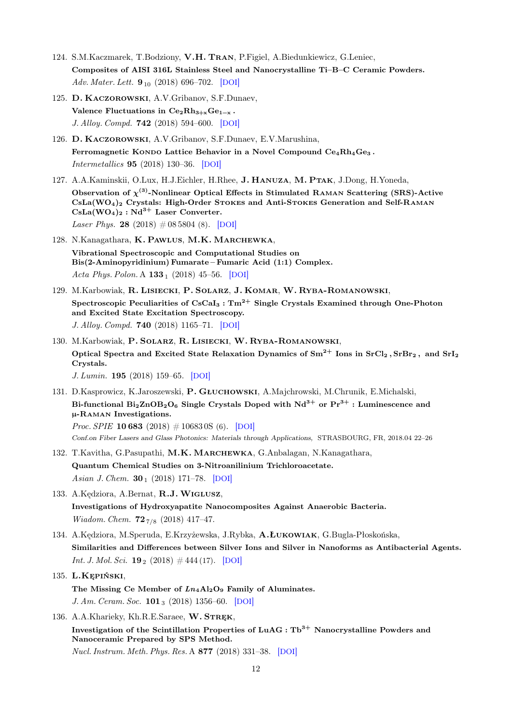- 124. S.M.Kaczmarek, T.Bodziony, V.H. Tran, P.Figiel, A.Biedunkiewicz, G.Leniec, Composites of AISI 316L Stainless Steel and Nanocrystalline Ti–B–C Ceramic Powders. Adv. Mater. Lett.  $9_{10}$  (2018) 696–702. [[DOI](https://dx.doi.org/10.5185/amlett.2018.2161)]
- 125. D. Kaczorowski, A.V.Gribanov, S.F.Dunaev, Valence Fluctuations in  $Ce<sub>2</sub>Rh<sub>3+x</sub>Ge<sub>1-x</sub>$ . J. Alloy. Compd. 742 (2018) 594–600. [[DOI](https://dx.doi.org/10.1016/j.jallcom.2018.01.243)]
- 126. D. Kaczorowski, A.V.Gribanov, S.F.Dunaev, E.V.Marushina, Ferromagnetic Kondo Lattice Behavior in a Novel Compound  $Ce_4Rh_4Ge_3$ . Intermetallics 95 (2018) 130–36. [[DOI](https://dx.doi.org/10.1016/j.intermet.2018.02.004)]
- 127. A.A.Kaminskii, O.Lux, H.J.Eichler, H.Rhee, J. HANUZA, M. PTAK, J.Dong, H.Yoneda, Observation of  $\chi^{(3)}$ -Nonlinear Optical Effects in Stimulated RAMAN Scattering (SRS)-Active CsLa(WO4)<sup>2</sup> Crystals: High-Order Stokes and Anti-Stokes Generation and Self-Raman  $CsLa(WO<sub>4</sub>)<sub>2</sub> : Nd<sup>3+</sup> Laser Converter.$ Laser Phys. 28 (2018)  $\#08\,5804$  (8). [[DOI](https://dx.doi.org/10.1088/1555-6611/aabdb3)]
- 128. N.Kanagathara, K. Pawlus, M.K. Marchewka, Vibrational Spectroscopic and Computational Studies on Bis(2-Aminopyridinium) Fumarate – Fumaric Acid (1:1) Complex. Acta Phys. Polon. A  $133_1$  (2018) 45–56. [[DOI](https://dx.doi.org/10.12693/APhysPolA.133.45)]
- 129. M.Karbowiak, R. Lisiecki, P. Solarz, J. Komar, W. Ryba-Romanowski, Spectroscopic Peculiarities of  $CsCaI_3 : Tm^{2+}$  Single Crystals Examined through One-Photon and Excited State Excitation Spectroscopy. J. Alloy. Compd. 740 (2018) 1165–71. [[DOI](https://dx.doi.org/10.1016/j.jallcom.2018.01.058)]
- 130. M.Karbowiak, P. Solarz, R. Lisiecki, W. Ryba-Romanowski, Optical Spectra and Excited State Relaxation Dynamics of  $Sm^{2+}$  Ions in  $SrCl<sub>2</sub>$ ,  $SrBr<sub>2</sub>$ , and  $SrI<sub>2</sub>$ Crystals.

J. Lumin. 195 (2018) 159–65. [[DOI](https://dx.doi.org/10.1016/j.jlumin.2017.11.012)]

131. D.Kasprowicz, K.Jaroszewski, P. Głuchowski, A.Majchrowski, M.Chrunik, E.Michalski, Bi-functional  $Bi_2ZnOB_2O_6$  Single Crystals Doped with  $Nd^{3+}$  or  $Pr^{3+}$  : Luminescence and µ-Raman Investigations. *Proc. SPIE* **10 683** (2018)  $\# 106830S$  (6). [[DOI](https://dx.doi.org/10.1117/12.2306526)]

Conf.on Fiber Lasers and Glass Photonics: Materials through Applications, STRASBOURG, FR, 2018.04 22–26

- 132. T.Kavitha, G.Pasupathi, M.K. Marchewka, G.Anbalagan, N.Kanagathara, Quantum Chemical Studies on 3-Nitroanilinium Trichloroacetate. Asian J. Chem.  $30_1$  (2018) 171–78. [[DOI](https://dx.doi.org/10.14233/ajchem.2018.20971)]
- 133. A.Kędziora, A.Bernat, R.J.Wiglusz, Investigations of Hydroxyapatite Nanocomposites Against Anaerobic Bacteria. Wiadom. Chem.  $72_{7/8}$  (2018) 417-47.
- 134. A.Kędziora, M.Speruda, E.Krzyżewska, J.Rybka, A.Łukowiak, G.Bugla-Płoskońska, Similarities and Differences between Silver Ions and Silver in Nanoforms as Antibacterial Agents. *Int. J. Mol. Sci.* **19**<sub>2</sub> (2018)  $\#$  444 (17). [[DOI](https://dx.doi.org/10.3390/ijms19020444)]
- 135. L.Kępiński,
	- The Missing Ce Member of  $Ln_4Al_2O_9$  Family of Aluminates. J. Am. Ceram. Soc.  $101_3$  (2018) 1356–60. [[DOI](https://dx.doi.org/10.1111/jace.15284)]
- 136. A.A.Kharieky, Kh.R.E.Saraee, W. STREK, Investigation of the Scintillation Properties of  $LuAG : Tb<sup>3+</sup>$  Nanocrystalline Powders and Nanoceramic Prepared by SPS Method. Nucl. Instrum. Meth. Phys. Res. A 877 (2018) 331–38. [[DOI](https://dx.doi.org/10.1016/j.nima.2017.10.017)]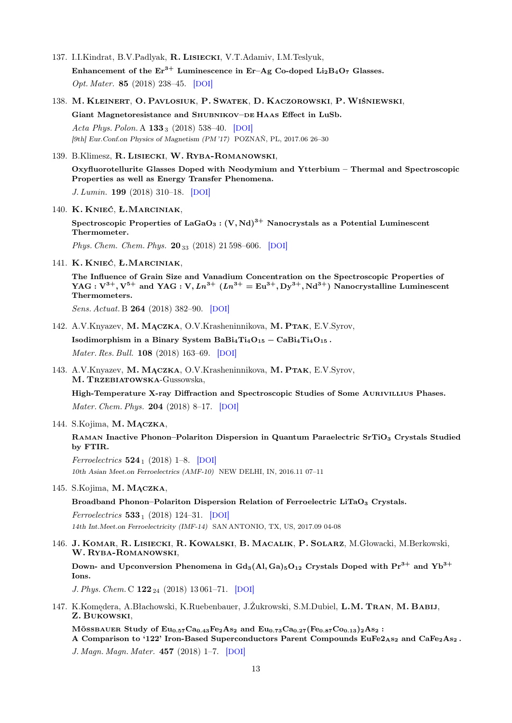- 137. I.I.Kindrat, B.V.Padlyak, R. Lisiecki, V.T.Adamiv, I.M.Teslyuk, Enhancement of the  $Er^{3+}$  Luminescence in Er–Ag Co-doped Li<sub>2</sub>B<sub>4</sub>O<sub>7</sub> Glasses. Opt. Mater. 85 (2018) 238–45. [[DOI](https://dx.doi.org/10.1016/j.optmat.2018.08.052)]
- 138. M. Kleinert, O. Pavlosiuk, P. Swatek, D. Kaczorowski, P.Wiśniewski, Giant Magnetoresistance and SHUBNIKOV-DE HAAS Effect in LuSb. Acta Phys. Polon. A  $133_3$  (2018) 538-40. [[DOI](https://dx.doi.org/10.12693/APhysPolA.133.538)]

[9th] Eur.Conf.on Physics of Magnetism (PM '17) POZNAŃ, PL, 2017.06 26–30

139. B.Klimesz, R. Lisiecki, W. Ryba-Romanowski,

Oxyfluorotellurite Glasses Doped with Neodymium and Ytterbium – Thermal and Spectroscopic Properties as well as Energy Transfer Phenomena.

J. Lumin. 199 (2018) 310–18. [[DOI](https://dx.doi.org/10.1016/j.jlumin.2018.03.051)]

140. K. Knieć, Ł.Marciniak,

Spectroscopic Properties of LaGaO<sub>3</sub> :  $(V, Nd)^{3+}$  Nanocrystals as a Potential Luminescent Thermometer.

Phys. Chem. Chem. Phys. 20<sub>33</sub> (2018) 21 598–606. [[DOI](https://dx.doi.org/10.1039/C8CP04080J)]

141. K. Knieć, Ł.Marciniak,

The Influence of Grain Size and Vanadium Concentration on the Spectroscopic Properties of YAG :  $V^{3+}$ ,  $V^{5+}$  and YAG :  $V$ ,  $Ln^{3+}$  ( $Ln^{3+} = Eu^{3+}$ ,  $Dy^{3+}$ ,  $Nd^{3+}$ ) Nanocrystalline Luminescent Thermometers.

Sens. Actuat. B 264 (2018) 382–90. [[DOI](https://dx.doi.org/10.1016/j.snb.2018.02.189)]

142. A.V.Knyazev, M. Mączka, O.V.Krasheninnikova, M. Ptak, E.V.Syrov,

Isodimorphism in a Binary System BaBi<sub>4</sub>Ti<sub>4</sub>O<sub>15</sub> – CaBi<sub>4</sub>Ti<sub>4</sub>O<sub>15</sub>. Mater. Res. Bull. 108 (2018) 163–69. [[DOI](https://dx.doi.org/10.1016/j.materresbull.2018.09.006)]

143. A.V.Knyazev, M. Mączka, O.V.Krasheninnikova, M. Ptak, E.V.Syrov, M. Trzebiatowska-Gussowska,

High-Temperature X-ray Diffraction and Spectroscopic Studies of Some Aurivillius Phases. Mater. Chem. Phys. 204 (2018) 8–17. [[DOI](https://dx.doi.org/10.1016/j.matchemphys.2017.10.022)]

144. S.Kojima, M. Mączka,

RAMAN Inactive Phonon–Polariton Dispersion in Quantum Paraelectric SrTiO<sub>3</sub> Crystals Studied by FTIR.

Ferroelectrics  $524_1$  (2018) 1–8. [[DOI](https://dx.doi.org/10.1080/00150193.2018.1431493)] 10th Asian Meet.on Ferroelectrics (AMF-10) NEW DELHI, IN, 2016.11 07–11

145. S.Kojima, M. Mączka,

Broadband Phonon–Polariton Dispersion Relation of Ferroelectric LiTaO<sub>3</sub> Crystals.

Ferroelectrics  $533_1$  (2018) 124–31. [[DOI](https://dx.doi.org/10.1080/00150193.2018.1431493)] 14th Int.Meet.on Ferroelectricity (IMF-14) SAN ANTONIO, TX, US, 2017.09 04-08

146. J. Komar, R. Lisiecki, R. Kowalski, B. Macalik, P. Solarz, M.Głowacki, M.Berkowski, W. Ryba-Romanowski,

Down- and Upconversion Phenomena in  $Gd_3(Al, Ga)_5O_{12}$  Crystals Doped with  $Pr^{3+}$  and  $Yb^{3+}$ Ions.

J. Phys. Chem. C  $122_{24}$  (2018) 13 061–71. [[DOI](https://dx.doi.org/10.1021/acs.jpcc.8b03441)]

147. K.Komędera, A.Błachowski, K.Ruebenbauer, J.Żukrowski, S.M.Dubiel, L.M. Tran, M. Babij, Z. Bukowski,

MÖSSBAUER Study of  $Eu_{0.57}Ca_{0.43}Fe_2As_2$  and  $Eu_{0.73}Ca_{0.27}(Fe_{0.87}Co_{0.13})_2As_2$ :

A Comparison to '122' Iron-Based Superconductors Parent Compounds  $EuFe<sub>2As<sub>2</sub></sub>$  and CaFe<sub>2</sub>As<sub>2</sub>.

J. Magn. Magn. Mater. 457 (2018) 1–7. [[DOI](https://dx.doi.org/10.1016/j.jmmm.2018.02.079)]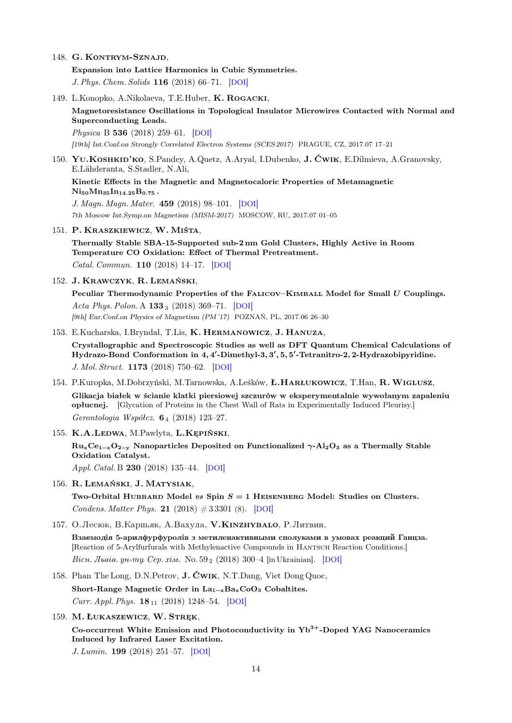148. G. KONTRYM-SZNAJD,

Expansion into Lattice Harmonics in Cubic Symmetries. J. Phys. Chem. Solids 116 (2018) 66–71. [[DOI](https://dx.doi.org/10.1016/j.jpcs.2018.01.014)]

- 149. L.Konopko, A.Nikolaeva, T.E.Huber, K. Rogacki, Magnetoresistance Oscillations in Topological Insulator Microwires Contacted with Normal and Superconducting Leads. Physica B 536 (2018) 259–61. [[DOI](https://dx.doi.org/10.1016/j.physb.2017.09.082)] [19th] Int.Conf.on Strongly Correlated Electron Systems (SCES 2017) PRAGUE, CZ, 2017.07 17–21
- 150. YU.KOSHKID'KO, S.Pandey, A.Quetz, A.Aryal, I.Dubenko, J. ĆWIK, E.Dilmieva, A.Granovsky, E.Lähderanta, S.Stadler, N.Ali,

Kinetic Effects in the Magnetic and Magnetocaloric Properties of Metamagnetic  $Ni_{50}Mn_{35}In_{14.25}B_{0.75}$ .

J. Magn. Magn. Mater. 459 (2018) 98–101. [[DOI](https://dx.doi.org/10.1016/j.jmmm.2017.11.125)] 7th Moscow Int.Symp.on Magnetism (MISM-2017) MOSCOW, RU, 2017.07 01–05

151. P. Kraszkiewicz, W. Miśta,

Thermally Stable SBA-15-Supported sub-2 nm Gold Clusters, Highly Active in Room Temperature CO Oxidation: Effect of Thermal Pretreatment. Catal. Commun. 110 (2018) 14–17. [[DOI](https://dx.doi.org/10.1016/j.catcom.2018.03.004)]

152. J. Krawczyk, R. Lemański,

Peculiar Thermodynamic Properties of the FALICOV–KIMBALL Model for Small U Couplings. Acta Phys. Polon. A  $133_3$  (2018) 369-71. [[DOI](https://dx.doi.org/10.12693/APhysPolA.133.369)] [9th] Eur.Conf.on Physics of Magnetism (PM '17) POZNAŃ, PL, 2017.06 26–30

153. E.Kucharska, I.Bryndal, T.Lis, K. Hermanowicz, J. Hanuza,

Crystallographic and Spectroscopic Studies as well as DFT Quantum Chemical Calculations of Hydrazo-Bond Conformation in 4, 4'-Dimethyl-3, 3', 5, 5'-Tetranitro-2, 2-Hydrazobipyridine. J. Mol. Struct. 1173 (2018) 750–62. [[DOI](https://dx.doi.org/10.1016/j.molstruc.2018.07.040)]

- 154. P.Kuropka, M.Dobrzyński, M.Tarnowska, A.Leśków, Ł.HARŁUKOWICZ, T.Han, R. WIGLUSZ, Glikacja białek w ścianie klatki piersiowej szczurów w eksperymentalnie wywołanym zapaleniu opłucnej. [Glycation of Proteins in the Chest Wall of Rats in Experimentally Induced Pleurisy.] Gerontologia Współcz. 6<sup>4</sup> (2018) 123–27.
- 155. K.A.Ledwa, M.Pawlyta, L.Kępiński,  $Ru_xCe_{1-x}O_{2-y}$  Nanoparticles Deposited on Functionalized  $\gamma$ -Al<sub>2</sub>O<sub>3</sub> as a Thermally Stable Oxidation Catalyst. Appl. Catal. B 230 (2018) 135–44. [[DOI](https://dx.doi.org/10.1016/j.apcatb.2018.02.037)]
- 156. R. Lemański, J. Matysiak,

Two-Orbital HUBBARD Model vs Spin  $S = 1$  HEISENBERG Model: Studies on Clusters. Condens. Matter Phys. 21  $(2018) \# 3\,3301$  (8). [[DOI](https://dx.doi.org/10.5488/CMP.21.33301)]

157. О.Лесюк, В.Карпьяк, А.Вахула, V.КINZHYBALO, Р.Литвин,

Взаємодія 5-арилфурфуролів з метиленактивными сполуками в умовах реакций Ганцза. [Reaction of 5-Arylfurfurals with Methylenactive Compounds in Hantsch Reaction Conditions.] Bicu. Jheie. yu-my. Cep. xim. No.  $59_2$  (2018) 300–4 [in Ukrainian]. [[DOI](https://dx.doi.org/10.30970/vch.5902.300)]

- 158. Phan The Long, D.N.Petrov, J. Ćwik, N.T.Dang, Viet Dong Quoc, Short-Range Magnetic Order in La<sub>1-x</sub>Ba<sub>x</sub>CoO<sub>3</sub> Cobaltites. Curr. Appl. Phys.  $18_{11}$  (2018) 1248–54. [[DOI](https://dx.doi.org/10.1016/j.cap.2018.07.001)]
- 159. M. Łukaszewicz, W. Stręk,

Co-occurrent White Emission and Photoconductivity in  $Yb<sup>3+</sup>$ -Doped YAG Nanoceramics Induced by Infrared Laser Excitation.

J. Lumin. 199 (2018) 251–57. [[DOI](https://dx.doi.org/10.1016/j.jlumin.2018.03.063)]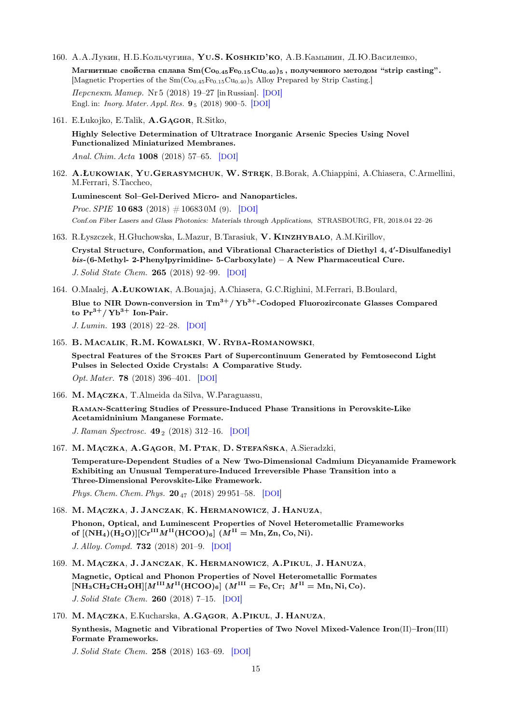- 160. A.A.Лукин, Н.Б.Кольчугина, YU.S. KOSHKID'КО, A.B.Камынин, Д.Ю.Василенко, Магнитные свойства сплава Sm( $Co_{0.45}Fe_{0.15}Cu_{0.40}$ )<sub>5</sub>, полученного методом "strip casting". [Magnetic Properties of the Sm(Co<sub>0.45</sub>Fe<sub>0.15</sub>Cu<sub>0.40</sub>)<sub>5</sub> Alloy Prepared by Strip Casting.]  $I\ell$ ерспект. Матер. Nr 5 (2018) 19–27 [in Russian]. [[DOI](https://dx.doi.org/10.30791/1028-978X-2018-3-19-27)] Engl. in: Inorg. Mater. Appl. Res. 9 <sup>5</sup> (2018) 900–5. [[DOI](https://dx.doi.org/10.1134/S2075113318050192)]
- 161. E.Łukojko, E.Talik, A.Gągor, R.Sitko,

Highly Selective Determination of Ultratrace Inorganic Arsenic Species Using Novel Functionalized Miniaturized Membranes. Anal. Chim. Acta 1008 (2018) 57–65. [[DOI](https://dx.doi.org/10.1016/j.aca.2017.12.038)]

162. A.Łukowiak, Yu.Gerasymchuk, W. Stręk, B.Borak, A.Chiappini, A.Chiasera, C.Armellini, M.Ferrari, S.Taccheo,

Luminescent Sol–Gel-Derived Micro- and Nanoparticles. *Proc. SPIE* **10 683** (2018)  $\# 10683$  0M (9). [[DOI](https://dx.doi.org/10.1117/12.2314734)] Conf.on Fiber Lasers and Glass Photonics: Materials through Applications, STRASBOURG, FR, 2018.04 22–26

163. R.Łyszczek, H.Głuchowska, L.Mazur, B.Tarasiuk, V. Kinzhybalo, A.M.Kirillov,

Crystal Structure, Conformation, and Vibrational Characteristics of Diethyl 4,4'-Disulfanediyl  $bis-(6-Methyl-2-Phenylpyrimidine-5-Carboxylate) - A New Pharmacautical Cure.$ J. Solid State Chem. 265 (2018) 92–99. [[DOI](https://dx.doi.org/10.1016/j.jssc.2018.05.022)]

- 164. O.Maalej, A.Łukowiak, A.Bouajaj, A.Chiasera, G.C.Righini, M.Ferrari, B.Boulard, Blue to NIR Down-conversion in  $Tm^{3+}/Yb^{3+}$ -Codoped Fluorozirconate Glasses Compared to  $Pr^{3+}/Yb^{3+}$  Ion-Pair. J. Lumin. 193 (2018) 22–28. [[DOI](https://dx.doi.org/10.1016/j.jlumin.2017.09.021)]
- 165. B. Macalik, R.M. Kowalski, W. Ryba-Romanowski,

Spectral Features of the Stokes Part of Supercontinuum Generated by Femtosecond Light Pulses in Selected Oxide Crystals: A Comparative Study.

Opt. Mater. 78 (2018) 396–401. [[DOI](https://dx.doi.org/10.1016/j.optmat.2018.02.048)]

166. M. Mączka, T.Almeida da Silva, W.Paraguassu,

Raman-Scattering Studies of Pressure-Induced Phase Transitions in Perovskite-Like Acetamidninium Manganese Formate.

J. Raman Spectrosc.  $49_2$  (2018) 312–16. [[DOI](https://dx.doi.org/10.1002/jrs.5285)]

167. M. Mączka, A.Gągor, M. Ptak, D. Stefańska, A.Sieradzki,

Temperature-Dependent Studies of a New Two-Dimensional Cadmium Dicyanamide Framework Exhibiting an Unusual Temperature-Induced Irreversible Phase Transition into a Three-Dimensional Perovskite-Like Framework.

Phys. Chem. Chem. Phys.  $20_{47}$  (2018) 29 951–58. [[DOI](https://dx.doi.org/10.1039/C8CP06190D)]

- 168. M. Mączka, J. Janczak, K. Hermanowicz, J. Hanuza, Phonon, Optical, and Luminescent Properties of Novel Heterometallic Frameworks of  $[(NH_4)(H_2O)][Cr^{III}M^{II}(HCOO)_6]$   $(M^{II} = Mn, Zn, Co, Ni)$ . J. Alloy. Compd. 732 (2018) 201–9. [[DOI](https://dx.doi.org/10.1016/j.jallcom.2017.10.183)]
- 169. M. Mączka, J. Janczak, K. Hermanowicz, A.Pikul, J. Hanuza, Magnetic, Optical and Phonon Properties of Novel Heterometallic Formates  $[NH_3CH_2CH_2OH][M^{III}M^{II}(HCOO)_6]$  ( $M^{III}$  = Fe, Cr;  $M^{II}$  = Mn, Ni, Co). J. Solid State Chem. 260 (2018) 7–15. [[DOI](https://dx.doi.org/10.1016/j.jssc.2017.12.017)]
- 170. M. Mączka, E.Kucharska, A.Gągor, A.Pikul, J. Hanuza, Synthesis, Magnetic and Vibrational Properties of Two Novel Mixed-Valence Iron(II)–Iron(III) Formate Frameworks.

J. Solid State Chem. 258 (2018) 163–69. [[DOI](https://dx.doi.org/10.1016/j.jssc.2017.10.016)]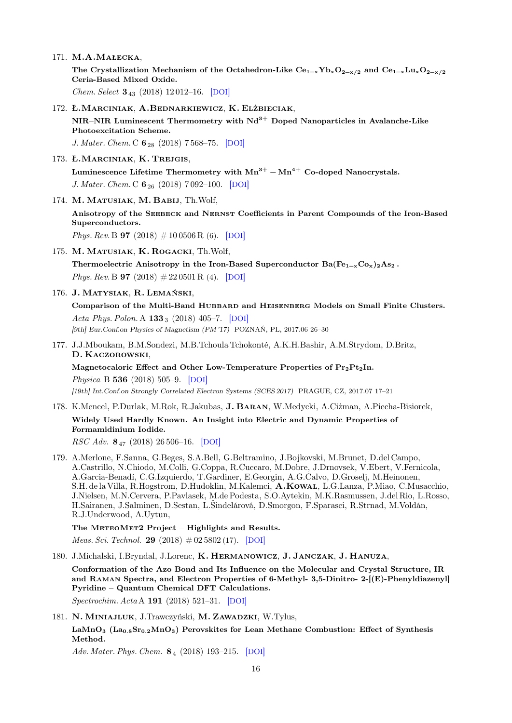171. M.A.Małecka,

The Crystallization Mechanism of the Octahedron-Like  $Ce_{1-x}Yb_xO_{2-x/2}$  and  $Ce_{1-x}Lu_xO_{2-x/2}$ Ceria-Based Mixed Oxide.

Chem. Select 3<sup>43</sup> (2018) 12 012–16. [[DOI](https://dx.doi.org/10.1002/slct.201802674)]

172. Ł.Marciniak, A.Bednarkiewicz, K. Elżbieciak,

NIR–NIR Luminescent Thermometry with  $Nd^{3+}$  Doped Nanoparticles in Avalanche-Like Photoexcitation Scheme.

J. Mater. Chem. C  $6_{28}$  (2018) 7568–75. [[DOI](https://dx.doi.org/10.1039/C8TC01553H)]

173. Ł.Marciniak, K. Trejgis,

Luminescence Lifetime Thermometry with  $Mn^{3+} - Mn^{4+}$  Co-doped Nanocrystals. J. Mater. Chem. C  $6_{26}$  (2018) 7 092-100. [[DOI](https://dx.doi.org/10.1039/C8TC01981A)]

174. M. Matusiak, M. Babij, Th.Wolf,

Anisotropy of the Seebeck and Nernst Coefficients in Parent Compounds of the Iron-Based Superconductors.

*Phys. Rev.* B **97** (2018)  $\# 10\,0506 \text{ R}$  (6). [[DOI](https://dx.doi.org/10.1103/PhysRevB.97.100506)]

175. M. Matusiak, K. Rogacki, Th.Wolf,

Thermoelectric Anisotropy in the Iron-Based Superconductor  $Ba(Fe_{1-x}Co_x)_{2}As_{2}$ . Phys. Rev. B **97** (2018)  $\# 22\,0501\,\text{R}$  (4). [[DOI](https://dx.doi.org/10.1103/PhysRevB.97.220501)]

## 176. J. Matysiak, R. Lemański,

Comparison of the Multi-Band Hubbard and Heisenberg Models on Small Finite Clusters. Acta Phys. Polon. A  $133_3$  (2018) 405–7. [[DOI](https://dx.doi.org/10.12693/APhysPolA.133.405)] [9th] Eur.Conf.on Physics of Magnetism (PM '17) POZNAŃ, PL, 2017.06 26–30

177. J.J.Mboukam, B.M.Sondezi, M.B.Tchoula Tchokonté, A.K.H.Bashir, A.M.Strydom, D.Britz, D. Kaczorowski,

Magnetocaloric Effect and Other Low-Temperature Properties of  $Pr_2Pt_2In$ . Physica B 536 (2018) 505–9. [[DOI](https://dx.doi.org/10.1016/j.physb.2017.07.069)]

[19th] Int.Conf.on Strongly Correlated Electron Systems (SCES 2017) PRAGUE, CZ, 2017.07 17–21

## 178. K.Mencel, P.Durlak, M.Rok, R.Jakubas, J. Baran, W.Medycki, A.Ciżman, A.Piecha-Bisiorek, Widely Used Hardly Known. An Insight into Electric and Dynamic Properties of Formamidinium Iodide.

 $RSC Adv. 8<sub>47</sub>$  (2018) 26 506–16. [[DOI](https://dx.doi.org/10.1039/C8RA03871F)]

179. A.Merlone, F.Sanna, G.Beges, S.A.Bell, G.Beltramino, J.Bojkovski, M.Brunet, D.del Campo, A.Castrillo, N.Chiodo, M.Colli, G.Coppa, R.Cuccaro, M.Dobre, J.Drnovsek, V.Ebert, V.Fernicola, A.Garcia-Benadí, C.G.Izquierdo, T.Gardiner, E.Georgin, A.G.Calvo, D.Groselj, M.Heinonen, S.H. de la Villa, R.Hogstrom, D.Hudoklin, M.Kalemci, A.Kowal, L.G.Lanza, P.Miao, C.Musacchio, J.Nielsen, M.N.Cervera, P.Pavlasek, M.de Podesta, S.O.Aytekin, M.K.Rasmussen, J.del Rio, L.Rosso, H.Sairanen, J.Salminen, D.Sestan, L.Šindelárová, D.Smorgon, F.Sparasci, R.Strnad, M.Voldán, R.J.Underwood, A.Uytun,

The METEOMET2 Project - Highlights and Results.

*Meas. Sci. Technol.* **29** (2018)  $\#02\,5802\,(17)$ . [[DOI](https://dx.doi.org/10.1088/1361-6501/aa99fc)]

180. J.Michalski, I.Bryndal, J.Lorenc, K. Hermanowicz, J. Janczak, J. Hanuza,

Conformation of the Azo Bond and Its Influence on the Molecular and Crystal Structure, IR and Raman Spectra, and Electron Properties of 6-Methyl- 3,5-Dinitro- 2-[(E)-Phenyldiazenyl] Pyridine – Quantum Chemical DFT Calculations.

Spectrochim. Acta A 191 (2018) 521–31. [[DOI](https://dx.doi.org/10.1016/j.saa.2017.10.053)]

## 181. N. MINIAJLUK, J.Trawczyński, M. ZAWADZKI, W.Tylus,

LaMnO<sub>3</sub> (La<sub>0.8</sub>Sr<sub>0.2</sub>MnO<sub>3</sub>) Perovskites for Lean Methane Combustion: Effect of Synthesis Method.

Adv. Mater. Phys. Chem. 8<sub>4</sub> (2018) 193-215. [[DOI](https://dx.doi.org/10.4236/ampc.2018.84013)]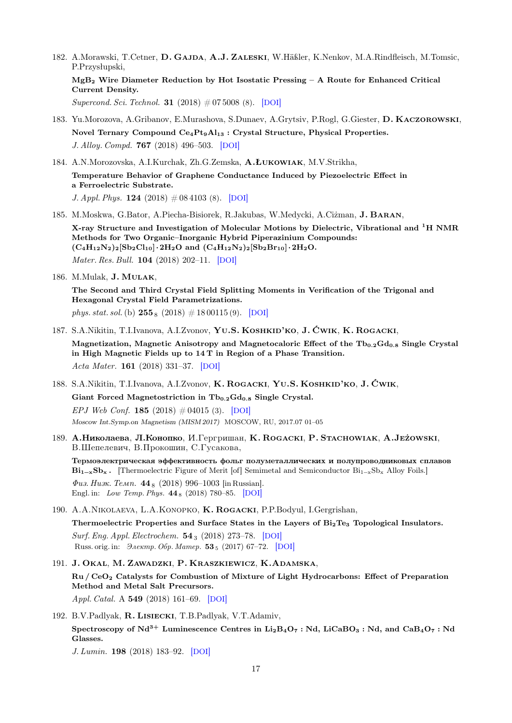182. A.Morawski, T.Cetner, D. GAJDA, A.J. ZALESKI, W.Häßler, K.Nenkov, M.A.Rindfleisch, M.Tomsic, P.Przysłupski,

MgB<sup>2</sup> Wire Diameter Reduction by Hot Isostatic Pressing – A Route for Enhanced Critical Current Density.

Supercond. Sci. Technol. **31** (2018)  $\#075008$  (8). [[DOI](https://dx.doi.org/10.1088/1361-6668/aac55a)]

- 183. Yu.Morozova, A.Gribanov, E.Murashova, S.Dunaev, A.Grytsiv, P.Rogl, G.Giester, D. Kaczorowski, Novel Ternary Compound Ce4Pt9Al<sup>13</sup> : Crystal Structure, Physical Properties. J. Alloy. Compd. 767 (2018) 496–503. [[DOI](https://dx.doi.org/10.1016/j.jallcom.2018.07.146)]
- 184. A.N.Morozovska, A.I.Kurchak, Zh.G.Zemska, A.Łukowiak, M.V.Strikha,

Temperature Behavior of Graphene Conductance Induced by Piezoelectric Effect in a Ferroelectric Substrate.

J. Appl. Phys.  $124$  (2018)  $\#$  08 4103 (8). [[DOI](https://dx.doi.org/10.1063/1.5034340)]

- 185. M.Moskwa, G.Bator, A.Piecha-Bisiorek, R.Jakubas, W.Medycki, A.Ciżman, J. Baran, X-ray Structure and Investigation of Molecular Motions by Dielectric, Vibrational and <sup>1</sup>H NMR Methods for Two Organic–Inorganic Hybrid Piperazinium Compounds:  $(C_4H_{12}N_2)_2[Sb_2Cl_{10}]\cdot 2H_2O$  and  $(C_4H_{12}N_2)_2[Sb_2Br_{10}]\cdot 2H_2O$ . Mater. Res. Bull. 104 (2018) 202–11. [[DOI](https://dx.doi.org/10.1016/j.materresbull.2018.03.048)]
- 186. M.Mulak, J. Mulak,

The Second and Third Crystal Field Splitting Moments in Verification of the Trigonal and Hexagonal Crystal Field Parametrizations. phys. stat. sol. (b)  $255_8$  (2018)  $\#$  18 00115 (9). [[DOI](https://dx.doi.org/10.1002/pssb.201800115)]

- 187. S.A.Nikitin, T.I.Ivanova, A.I.Zvonov, Yu.S. Koshkid'ko, J. Ćwik, K. Rogacki, Magnetization, Magnetic Anisotropy and Magnetocaloric Effect of the  $Tb_{0.2}Gd_{0.8}$  Single Crystal in High Magnetic Fields up to 14 T in Region of a Phase Transition. Acta Mater. 161 (2018) 331–37. [[DOI](https://dx.doi.org/10.1016/j.actamat.2018.09.017)]
- 188. S.A.Nikitin, T.I.Ivanova, A.I.Zvonov, K. Rogacki, Yu.S. Koshkid'ko, J. Ćwik, Giant Forced Magnetostriction in  $Tb_{0,2}Gd_{0,8}$  Single Crystal. EPJ Web Conf. 185 (2018)  $\#04015$  (3). [[DOI](https://dx.doi.org/10.1051/epjconf/201818504015)] Moscow Int.Symp.on Magnetism (MISM 2017) MOSCOW, RU, 2017.07 01–05
- 189. A.Николаева, Л.Конопко, И.Гергришан, K. ROGACKI, P. Sтасноwiak, A.Jeżowski, В.Шепелевич, В.Прокошин, С.Гусакова,

Термоэлектрическая эффективность фольг полуметаллических и полупроводниковых сплавов  $Bi_{1-x}Sb_x$ . [Thermoelectric Figure of Merit [of] Semimetal and Semiconductor  $Bi_{1-x}Sb_x$  Alloy Foils.]  $\Phi$ us. Husk. Temp. 44<sub>8</sub> (2018) 996–1003 [in Russian]. Engl. in: *Low Temp. Phys.* 44<sub>8</sub> (2018) 780–85. [[DOI](https://dx.doi.org/10.1063/1.5049158)]

- 190. A.A.Nikolaeva, L.A.Konopko, K. Rogacki, P.P.Bodyul, I.Gergrishan, Thermoelectric Properties and Surface States in the Layers of Bi<sub>2</sub>Te<sub>3</sub> Topological Insulators. Surf. Eng. Appl. Electrochem. 54<sup>3</sup> (2018) 273–78. [[DOI](https://dx.doi.org/10.3103/S1068375518030092)] Russ. orig. in:  $\partial \text{newmp. } O\delta p$ . Mamep. 53 5 (2017) 67–72. [[DOI](https://dx.doi.org/10.5281/zenodo.1054139)]
- 191. J. Okal, M. Zawadzki, P. Kraszkiewicz, K.Adamska, Ru / CeO<sup>2</sup> Catalysts for Combustion of Mixture of Light Hydrocarbons: Effect of Preparation Method and Metal Salt Precursors. Appl. Catal. A 549 (2018) 161–69. [[DOI](https://dx.doi.org/10.1016/j.apcata.2017.09.036)]
- 192. B.V.Padlyak, R. LISIECKI, T.B.Padlyak, V.T.Adamiv, Spectroscopy of  $Nd^{3+}$  Luminescence Centres in Li<sub>2</sub>B<sub>4</sub>O<sub>7</sub> : Nd, LiCaBO<sub>3</sub> : Nd, and CaB<sub>4</sub>O<sub>7</sub> : Nd Glasses.

J. Lumin. 198 (2018) 183–92. [[DOI](https://dx.doi.org/10.1016/j.jlumin.2018.02.046)]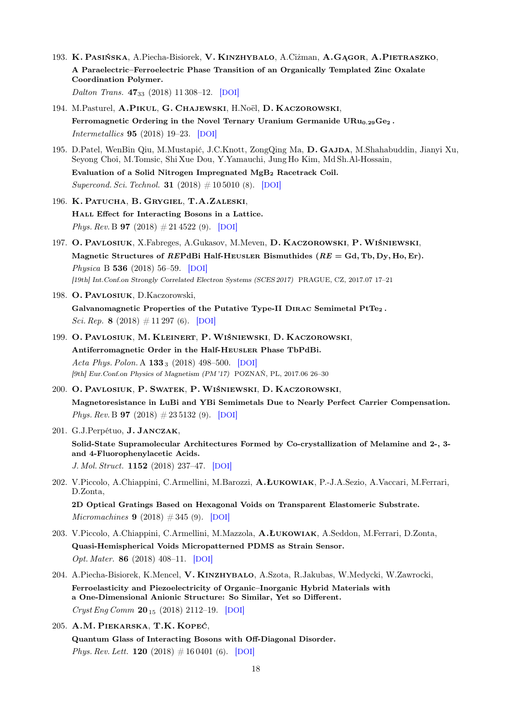- 193. K. Pasińska, A.Piecha-Bisiorek, V. Kinzhybalo, A.Ciżman, A.Gągor, A.Pietraszko, A Paraelectric–Ferroelectric Phase Transition of an Organically Templated Zinc Oxalate Coordination Polymer. Dalton Trans. **47**<sub>33</sub> (2018) 11 308-12. [[DOI](https://dx.doi.org/10.1039/C8DT02859A)]
- 194. M.Pasturel, A.Pikul, G. Chajewski, H.Noël, D. Kaczorowski, Ferromagnetic Ordering in the Novel Ternary Uranium Germanide  $URu_{0.29}Ge_2$ . Intermetallics 95 (2018) 19–23. [[DOI](https://dx.doi.org/10.1016/j.intermet.2018.01.011)]
- 195. D.Patel, WenBin Qiu, M.Mustapić, J.C.Knott, ZongQing Ma, D. GAJDA, M.Shahabuddin, Jianyi Xu, Seyong Choi, M.Tomsic, Shi Xue Dou, Y.Yamauchi, Jung Ho Kim, Md Sh.Al-Hossain, Evaluation of a Solid Nitrogen Impregnated MgB<sup>2</sup> Racetrack Coil.

Supercond. Sci. Technol. **31** (2018)  $\# 10\,5010$  (8). [[DOI](https://dx.doi.org/10.1088/1361-6668/aad9e0)]

- 196. K. Patucha, B. Grygiel, T.A.Zaleski, Hall Effect for Interacting Bosons in a Lattice. *Phys. Rev.* B **97** (2018)  $\# 21\,4522$  (9). [[DOI](https://dx.doi.org/10.1103/PhysRevB.97.214522)]
- 197. O. Pavlosiuk, X.Fabreges, A.Gukasov, M.Meven, D. Kaczorowski, P.Wiśniewski, Magnetic Structures of REPdBi Half-HEUSLER Bismuthides ( $RE = Gd$ , Tb, Dy, Ho, Er). Physica B 536 (2018) 56–59. [[DOI](https://dx.doi.org/10.1016/j.physb.2017.10.062)] [19th] Int.Conf.on Strongly Correlated Electron Systems (SCES 2017) PRAGUE, CZ, 2017.07 17–21
- 198. O. Pavlosiuk, D.Kaczorowski, Galvanomagnetic Properties of the Putative Type-II DIRAC Semimetal  $PtTe<sub>2</sub>$ . Sci. Rep. 8 (2018)  $\#$  11 297 (6). [[DOI](https://dx.doi.org/10.1038/s41598-018-29545-w)]
- 199. O. Pavlosiuk, M. Kleinert, P.Wiśniewski, D. Kaczorowski, Antiferromagnetic Order in the Half-Heusler Phase TbPdBi. Acta Phys. Polon. A  $133_3$  (2018) 498–500. [[DOI](https://dx.doi.org/10.12693/APhysPolA.133.498)] [9th] Eur.Conf.on Physics of Magnetism (PM '17) POZNAŃ, PL, 2017.06 26–30
- 200. O. Pavlosiuk, P. Swatek, P.Wiśniewski, D. Kaczorowski, Magnetoresistance in LuBi and YBi Semimetals Due to Nearly Perfect Carrier Compensation. Phys. Rev. B **97** (2018)  $\# 23\,5132$  (9). [[DOI](https://dx.doi.org/10.1103/PhysRevB.97.235132)]
- 201. G.J.Perpétuo, J. Janczak, Solid-State Supramolecular Architectures Formed by Co-crystallization of Melamine and 2-, 3 and 4-Fluorophenylacetic Acids. J. Mol. Struct. 1152 (2018) 237–47. [[DOI](https://dx.doi.org/10.1016/j.molstruc.2017.09.099)]
- 202. V.Piccolo, A.Chiappini, C.Armellini, M.Barozzi, A.Łukowiak, P.-J.A.Sezio, A.Vaccari, M.Ferrari, D.Zonta,

2D Optical Gratings Based on Hexagonal Voids on Transparent Elastomeric Substrate. *Micromachines* **9** (2018)  $\# 345$  (9). [[DOI](https://dx.doi.org/10.3390/mi9070345)]

- 203. V.Piccolo, A.Chiappini, C.Armellini, M.Mazzola, A.Łukowiak, A.Seddon, M.Ferrari, D.Zonta, Quasi-Hemispherical Voids Micropatterned PDMS as Strain Sensor. Opt. Mater. 86 (2018) 408–11. [[DOI](https://dx.doi.org/10.1016/j.optmat.2018.10.038)]
- 204. A.Piecha-Bisiorek, K.Mencel, V. KINZHYBALO, A.Szota, R.Jakubas, W.Medycki, W.Zawrocki, Ferroelasticity and Piezoelectricity of Organic–Inorganic Hybrid Materials with a One-Dimensional Anionic Structure: So Similar, Yet so Different.  $Cryst Eng Comm 20_{15} (2018) 2112-19. [DOI]$  $Cryst Eng Comm 20_{15} (2018) 2112-19. [DOI]$  $Cryst Eng Comm 20_{15} (2018) 2112-19. [DOI]$
- 205. A.M. Piekarska, T.K. Kopeć,

Quantum Glass of Interacting Bosons with Off-Diagonal Disorder. Phys. Rev. Lett. **120** (2018)  $\# 16\,0401$  (6). [[DOI](https://dx.doi.org/10.1103/PhysRevLett.120.160401)]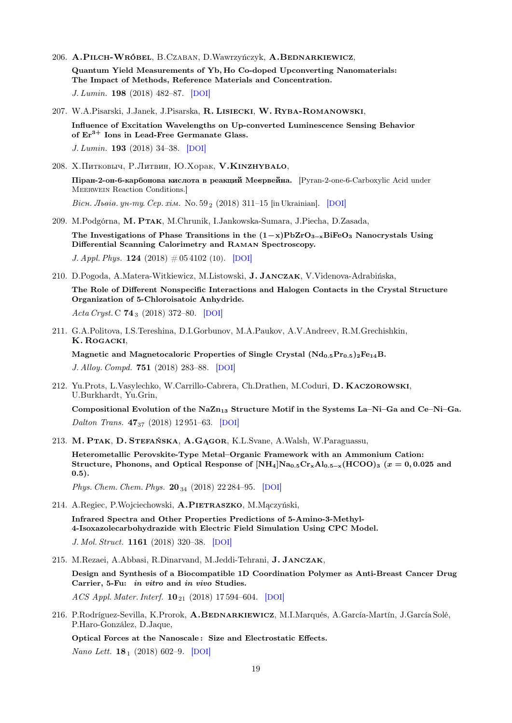- 206. A.Pilch-Wróbel, B.Czaban, D.Wawrzyńczyk, A.Bednarkiewicz, Quantum Yield Measurements of Yb, Ho Co-doped Upconverting Nanomaterials: The Impact of Methods, Reference Materials and Concentration. J. Lumin. 198 (2018) 482–87. [[DOI](https://dx.doi.org/10.1016/j.jlumin.2018.02.070)]
- 207. W.A.Pisarski, J.Janek, J.Pisarska, R. Lisiecki, W. Ryba-Romanowski, Influence of Excitation Wavelengths on Up-converted Luminescence Sensing Behavior of  $Er^{3+}$  Ions in Lead-Free Germanate Glass. J. Lumin. 193 (2018) 34–38. [[DOI](https://dx.doi.org/10.1016/j.jlumin.2017.09.003)]
- 208. X.Питковыч, Р.Литвин, Ю.Хорак, V.КINZHYBALO, Піран-2-он-6-карбонова кислота в реакций Меєрвейна. [Pyran-2-one-6-Carboxylic Acid under Meerwein Reaction Conditions.] Bicu. Jheie. yu-my. Cep. xim. No.  $59_2$  (2018) 311–15 [in Ukrainian]. [[DOI](https://dx.doi.org/10.30970/vch.5902.311)]
- 209. M.Podgórna, M. Ptak, M.Chrunik, I.Jankowska-Sumara, J.Piecha, D.Zasada, The Investigations of Phase Transitions in the  $(1-x)PbZrO_{3-x}BiFeO_3$  Nanocrystals Using Differential Scanning Calorimetry and Raman Spectroscopy. J. Appl. Phys. 124 (2018)  $\# 05\,4102$  (10). [[DOI](https://dx.doi.org/10.1063/1.5039805)]
- 210. D.Pogoda, A.Matera-Witkiewicz, M.Listowski, J. Janczak, V.Videnova-Adrabińska, The Role of Different Nonspecific Interactions and Halogen Contacts in the Crystal Structure Organization of 5-Chloroisatoic Anhydride. Acta Cryst. C  $74_3$  (2018) 372–80. [[DOI](https://dx.doi.org/10.1107/S2053229618002280)]
- 211. G.A.Politova, I.S.Tereshina, D.I.Gorbunov, M.A.Paukov, A.V.Andreev, R.M.Grechishkin, K. Rogacki, Magnetic and Magnetocaloric Properties of Single Crystal  $(Nd_{0.5}Pr_{0.5})_2Fe_{14}B$ .

J. Alloy. Compd. 751 (2018) 283–88. [[DOI](https://dx.doi.org/10.1016/j.jallcom.2018.04.120)]

212. Yu.Prots, L.Vasylechko, W.Carrillo-Cabrera, Ch.Drathen, M.Coduri, D. Kaczorowski, U.Burkhardt, Yu.Grin,

Compositional Evolution of the  $NaZn_{13}$  Structure Motif in the Systems La–Ni–Ga and Ce–Ni–Ga. Dalton Trans. 47<sup>37</sup> (2018) 12 951–63. [[DOI](https://dx.doi.org/10.1039/C8DT02273A)]

213. M. Ptak, D. Stefańska, A.Gągor, K.L.Svane, A.Walsh, W.Paraguassu,

Heterometallic Perovskite-Type Metal–Organic Framework with an Ammonium Cation: Structure, Phonons, and Optical Response of  $[NH_4]Na_{0.5}Cr_xAl_{0.5-x} (HCOO)_3$  ( $x = 0,0.025$  and 0.5).

Phys. Chem. Chem. Phys.  $20_{34}$  (2018) 22 284–95. [[DOI](https://dx.doi.org/10.1039/C8CP03788D)]

214. A.Regiec, P.Wojciechowski, A.Pietraszko, M.Mączyński,

Infrared Spectra and Other Properties Predictions of 5-Amino-3-Methyl-4-Isoxazolecarbohydrazide with Electric Field Simulation Using CPC Model.

J. Mol. Struct. 1161 (2018) 320–38. [[DOI](https://dx.doi.org/10.1016/j.molstruc.2018.01.085)]

215. M.Rezaei, A.Abbasi, R.Dinarvand, M.Jeddi-Tehrani, J. Janczak, Design and Synthesis of a Biocompatible 1D Coordination Polymer as Anti-Breast Cancer Drug Carrier, 5-Fu: in vitro and in vivo Studies. ACS Appl. Mater. Interf.  $10_{21}$  (2018) 17 594–604. [[DOI](https://dx.doi.org/10.1021/acsami.8b03111)]

216. P.Rodríguez-Sevilla, K.Prorok, A.BEDNARKIEWICZ, M.I.Marqués, A.García-Martín, J.García Solé, P.Haro-González, D.Jaque,

Optical Forces at the Nanoscale : Size and Electrostatic Effects.

Nano Lett. **18**<sub>1</sub> (2018) 602–9. [[DOI](https://dx.doi.org/10.1021/acs.nanolett.7b04804)]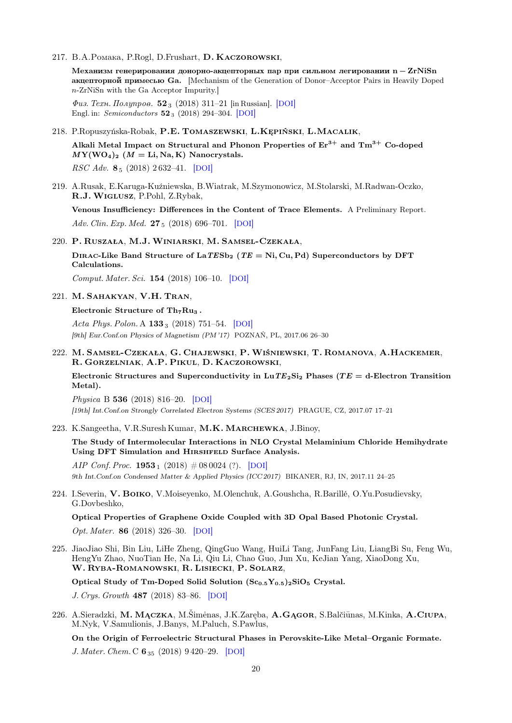217. B.A.Pomaka, P.Rogl, D.Frushart, D. KACZOROWSKI,

Mеханизм генерирования донорно-акцепторных пар при сильном легировании n − ZrNiSn акцепторной примесью Ga. [Mechanism of the Generation of Donor–Acceptor Pairs in Heavily Doped n-ZrNiSn with the Ga Acceptor Impurity.]

 $\Phi u$ з. Техн. Полупров. 52<sub>3</sub> (2018) 311–21 [in Russian]. [[DOI](https://dx.doi.org/10.21883/FTP.2018.03.45614.8573)] Engl. in: Semiconductors 52 <sup>3</sup> (2018) 294–304. [[DOI](https://dx.doi.org/10.1134/S1063782618030193)]

218. P.Ropuszyńska-Robak, P.E. Tomaszewski, L.Kępiński, L.Macalik,

Alkali Metal Impact on Structural and Phonon Properties of  $Er^{3+}$  and  $Tm^{3+}$  Co-doped  $MY(WO<sub>4</sub>)<sub>2</sub>$  ( $M = \text{Li}, \text{Na}, \text{K}$ ) Nanocrystals.

RSC Adv. 8<sup>5</sup> (2018) 2 632–41. [[DOI](https://dx.doi.org/10.1039/C7RA10706D)]

219. A.Rusak, E.Karuga-Kuźniewska, B.Wiatrak, M.Szymonowicz, M.Stolarski, M.Radwan-Oczko, R.J.Wiglusz, P.Pohl, Z.Rybak,

Venous Insufficiency: Differences in the Content of Trace Elements. A Preliminary Report. Adv. Clin. Exp. Med. 27<sub>5</sub> (2018) 696–701. [[DOI](https://dx.doi.org/10.17219/acem/68902)]

220. P. Ruszała, M.J.Winiarski, M. Samsel-Czekała,

DIRAC-Like Band Structure of LaTESb<sub>2</sub> (TE = Ni, Cu, Pd) Superconductors by DFT Calculations.

Comput. Mater. Sci. 154 (2018) 106–10. [[DOI](https://dx.doi.org/10.1016/j.commatsci.2018.07.042)]

221. M. Sahakyan, V.H. Tran,

Electronic Structure of Th<sub>7</sub>Ru<sub>3</sub>.

Acta Phys. Polon. A  $133_3$  (2018) 751–54. [[DOI](https://dx.doi.org/10.12693/APhysPolA.133.751)] [9th] Eur.Conf.on Physics of Magnetism (PM '17) POZNAŃ, PL, 2017.06 26–30

222. M. Samsel-Czekała, G. Chajewski, P.Wiśniewski, T. Romanova, A.Hackemer, R. Gorzelniak, A.P. Pikul, D. Kaczorowski,

Electronic Structures and Superconductivity in LuTE<sub>2</sub>Si<sub>2</sub> Phases (TE = d-Electron Transition Metal).

Physica B 536 (2018) 816–20. [[DOI](https://dx.doi.org/10.1016/j.physb.2017.10.004)] [19th] Int.Conf.on Strongly Correlated Electron Systems (SCES 2017) PRAGUE, CZ, 2017.07 17–21

223. K.Sangeetha, V.R.Suresh Kumar, M.K. Marchewka, J.Binoy,

The Study of Intermolecular Interactions in NLO Crystal Melaminium Chloride Hemihydrate Using DFT Simulation and HIRSHFELD Surface Analysis.

AIP Conf. Proc. 1953<sub>1</sub> (2018)  $\#$  08 0024 (?). [[DOI](https://dx.doi.org/10.1063/1.5032830)] 9th Int.Conf.on Condensed Matter & Applied Physics (ICC 2017) BIKANER, RJ, IN, 2017.11 24–25

224. I.Severin, V. Boiko, V.Moiseyenko, M.Olenchuk, A.Goushcha, R.Barillé, O.Yu.Posudievsky, G.Dovbeshko,

Optical Properties of Graphene Oxide Coupled with 3D Opal Based Photonic Crystal. Opt. Mater. 86 (2018) 326–30. [[DOI](https://dx.doi.org/10.1016/j.optmat.2018.10.014)]

225. JiaoJiao Shi, Bin Liu, LiHe Zheng, QingGuo Wang, HuiLi Tang, JunFang Liu, LiangBi Su, Feng Wu, HengYu Zhao, NuoTian He, Na Li, Qiu Li, Chao Guo, Jun Xu, KeJian Yang, XiaoDong Xu, W. Ryba-Romanowski, R. Lisiecki, P. Solarz,

Optical Study of Tm-Doped Solid Solution  $(Sc_{0.5}Y_{0.5})_2SiO_5$  Crystal.

J. Crys. Growth 487 (2018) 83–86. [[DOI](https://dx.doi.org/10.1016/j.jcrysgro.2018.02.006)]

226. A.Sieradzki, M. MĄCZKA, M.Šimėnas, J.K.Zaręba, A.GĄGOR, S.Balčiūnas, M.Kinka, A.CIUPA, M.Nyk, V.Samulionis, J.Banys, M.Paluch, S.Pawlus,

On the Origin of Ferroelectric Structural Phases in Perovskite-Like Metal–Organic Formate. J. Mater. Chem. C 6 <sub>35</sub> (2018) 9 4 20 - 29. [[DOI](https://dx.doi.org/10.1039/C8TC02421A)]

20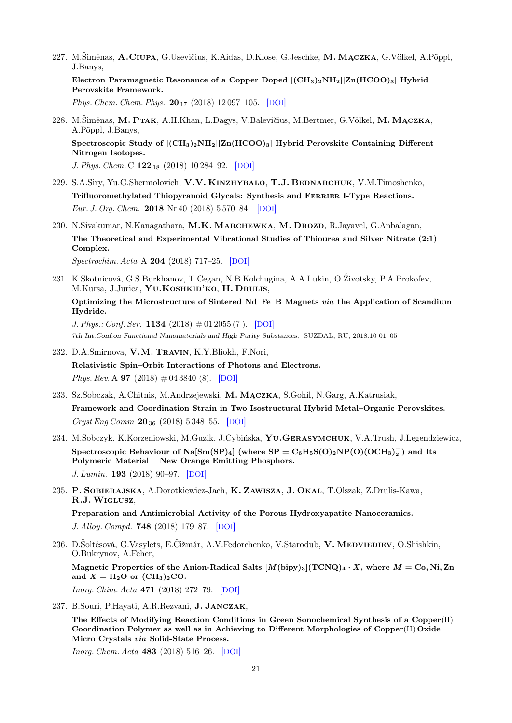227. M.Šimėnas, A.CIUPA, G.Usevičius, K.Aidas, D.Klose, G.Jeschke, M. MĄCZKA, G.Völkel, A.Pöppl, J.Banys,

Electron Paramagnetic Resonance of a Copper Doped  $[(CH<sub>3</sub>)<sub>2</sub>NH<sub>2</sub>][Zn(HCOO)<sub>3</sub>]$  Hybrid Perovskite Framework.

Phys. Chem. Chem. Phys. 20<sub>17</sub> (2018) 12 097-105. [[DOI](https://dx.doi.org/10.1039/C8CP01426D)]

228. M.Šimėnas, M. PTAK, A.H.Khan, L.Dagys, V.Balevičius, M.Bertmer, G.Völkel, M. MACZKA, A.Pöppl, J.Banys,

Spectroscopic Study of  $[(CH_3)_2NH_2][Zn(HCOO)_3]$  Hybrid Perovskite Containing Different Nitrogen Isotopes.

J. Phys. Chem. C  $122_{18}$  (2018) 10 284–92. [[DOI](https://dx.doi.org/10.1021/acs.jpcc.8b02734)]

- 229. S.A.Siry, Yu.G.Shermolovich, V.V. KINZHYBALO, T.J. BEDNARCHUK, V.M.Timoshenko, Trifluoromethylated Thiopyranoid Glycals: Synthesis and Ferrier I-Type Reactions. Eur. J. Org. Chem. 2018 Nr 40 (2018) 5 570–84. [[DOI](https://dx.doi.org/10.1002/ejoc.201800643)]
- 230. N.Sivakumar, N.Kanagathara, M.K. MARCHEWKA, M. DROZD, R.Jayavel, G.Anbalagan, The Theoretical and Experimental Vibrational Studies of Thiourea and Silver Nitrate (2:1) Complex.

Spectrochim. Acta A 204 (2018) 717–25. [[DOI](https://dx.doi.org/10.1016/j.saa.2018.06.035)]

231. K.Skotnicová, G.S.Burkhanov, T.Cegan, N.B.Kolchugina, A.A.Lukin, O.Životsky, P.A.Prokofev, M.Kursa, J.Jurica, YU.KOSHKID'KO, H. DRULIS, Optimizing the Microstructure of Sintered Nd–Fe–B Magnets via the Application of Scandium Hydride. J. Phys.: Conf. Ser. 1134  $(2018) \# 01 2055 (7)$ . [[DOI](https://dx.doi.org/10.1088/1742-6596/1134/1/012055)]

7th Int.Conf.on Functional Nanomaterials and High Purity Substances, SUZDAL, RU, 2018.10 01–05

- 232. D.A.Smirnova, V.M. Travin, K.Y.Bliokh, F.Nori, Relativistic Spin–Orbit Interactions of Photons and Electrons. Phys. Rev. A **97** (2018)  $\#04\,3840$  (8). [[DOI](https://dx.doi.org/10.1103/PhysRevA.97.043840)]
- 233. Sz.Sobczak, A.Chitnis, M.Andrzejewski, M. Mączka, S.Gohil, N.Garg, A.Katrusiak, Framework and Coordination Strain in Two Isostructural Hybrid Metal–Organic Perovskites.  $Cryst Eng Comm 20_{36} (2018) 5348–55. [DOI]$  $Cryst Eng Comm 20_{36} (2018) 5348–55. [DOI]$  $Cryst Eng Comm 20_{36} (2018) 5348–55. [DOI]$
- 234. M.Sobczyk, K.Korzeniowski, M.Guzik, J.Cybińska, Yu.Gerasymchuk, V.A.Trush, J.Legendziewicz, Spectroscopic Behaviour of Na $[\mathrm{Sm(SP)_{4}}]$  (where  $\mathrm{SP}=\mathrm{C_{6}H_{5}S(O)_{2}NP(O)(OCH_{3})_{2}^{-}}$ ) and Its Polymeric Material – New Orange Emitting Phosphors. J. Lumin. 193 (2018) 90–97. [[DOI](https://dx.doi.org/10.1016/j.jlumin.2017.08.064)]
- 235. P. Sobierajska, A.Dorotkiewicz-Jach, K. Zawisza, J. Okal, T.Olszak, Z.Drulis-Kawa, R.J.Wiglusz,

Preparation and Antimicrobial Activity of the Porous Hydroxyapatite Nanoceramics. J. Alloy. Compd. 748 (2018) 179–87. [[DOI](https://dx.doi.org/10.1016/j.jallcom.2018.03.162)]

236. D.Šoltésová, G.Vasylets, E.Čižmár, A.V.Fedorchenko, V.Starodub, V. MEDVIEDIEV, O.Shishkin, O.Bukrynov, A.Feher,

Magnetic Properties of the Anion-Radical Salts  $[M(bipy)_3](TCNQ)_4 \cdot X$ , where  $M = Co$ , Ni, Zn and  $X = H_2O$  or  $(CH_3)_2CO$ .

Inorg. Chim. Acta 471 (2018) 272–79. [[DOI](https://dx.doi.org/10.1016/j.ica.2017.11.001)]

237. B.Souri, P.Hayati, A.R.Rezvani, J. Janczak,

The Effects of Modifying Reaction Conditions in Green Sonochemical Synthesis of a Copper(II) Coordination Polymer as well as in Achieving to Different Morphologies of Copper(II) Oxide Micro Crystals via Solid-State Process.

Inorg. Chem. Acta 483 (2018) 516–26. [[DOI](https://dx.doi.org/10.1016/j.ica.2018.08.019)]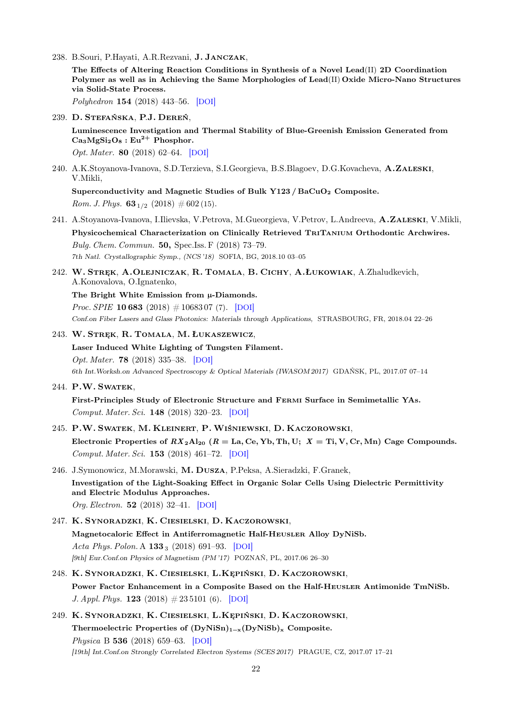238. B.Souri, P.Hayati, A.R.Rezvani, J. Janczak,

The Effects of Altering Reaction Conditions in Synthesis of a Novel Lead(II) 2D Coordination Polymer as well as in Achieving the Same Morphologies of Lead(II) Oxide Micro-Nano Structures via Solid-State Process.

Polyhedron 154 (2018) 443–56. [[DOI](https://dx.doi.org/10.1016/j.poly.2018.07.017)]

239. D. Stefańska, P.J. Dereń,

Luminescence Investigation and Thermal Stability of Blue-Greenish Emission Generated from  $Ca<sub>3</sub>MgSi<sub>2</sub>O<sub>8</sub>$ : Eu<sup>2+</sup> Phosphor.

Opt. Mater. 80 (2018) 62–64. [[DOI](https://dx.doi.org/10.1016/j.optmat.2018.04.031)]

240. A.K.Stoyanova-Ivanova, S.D.Terzieva, S.I.Georgieva, B.S.Blagoev, D.G.Kovacheva, A.ZALESKI, V.Mikli,

Superconductivity and Magnetic Studies of Bulk Y123 / BaCuO<sub>2</sub> Composite. *Rom. J. Phys.*  $63_{1/2}$  (2018)  $\# 602$  (15).

- 241. A.Stoyanova-Ivanova, I.Ilievska, V.Petrova, M.Gueorgieva, V.Petrov, L.Andreeva, A.Zaleski, V.Mikli, Physicochemical Characterization on Clinically Retrieved TriTanium Orthodontic Archwires. Bulg. Chem. Commun. 50, Spec.Iss. F (2018) 73–79. 7th Natl. Crystallographic Symp., (NCS '18) SOFIA, BG, 2018.10 03–05
- 242. W. Stręk, A.Olejniczak, R. Tomala, B. Cichy, A.Łukowiak, A.Zhaludkevich, A.Konovalova, O.Ignatenko,
	- The Bright White Emission from  $\mu$ -Diamonds.

*Proc. SPIE* **10 683** (2018)  $\# 1068307$  (7). [[DOI](https://dx.doi.org/10.1117/12.2318052)] Conf.on Fiber Lasers and Glass Photonics: Materials through Applications, STRASBOURG, FR, 2018.04 22–26

243. W. Stręk, R. Tomala, M. Łukaszewicz,

Laser Induced White Lighting of Tungsten Filament. Opt. Mater. 78 (2018) 335–38. [[DOI](https://dx.doi.org/10.1016/j.optmat.2018.02.043)] 6th Int.Worksh.on Advanced Spectroscopy & Optical Materials (IWASOM 2017) GDAŃSK, PL, 2017.07 07–14

244. P.W. Swatek,

First-Principles Study of Electronic Structure and Fermi Surface in Semimetallic YAs. Comput. Mater. Sci. 148 (2018) 320–23. [[DOI](https://dx.doi.org/10.1016/j.commatsci.2018.03.001)]

- 245. P.W. Swatek, M. Kleinert, P.Wiśniewski, D. Kaczorowski, Electronic Properties of  $RX_2Al_{20}$  ( $R = La$ , Ce, Yb, Th, U;  $X = Ti$ , V, Cr, Mn) Cage Compounds. Comput. Mater. Sci. 153 (2018) 461–72. [[DOI](https://dx.doi.org/10.1016/j.commatsci.2018.06.047)]
- 246. J.Symonowicz, M.Morawski, M. Dusza, P.Peksa, A.Sieradzki, F.Granek, Investigation of the Light-Soaking Effect in Organic Solar Cells Using Dielectric Permittivity and Electric Modulus Approaches. Org. Electron. 52 (2018) 32–41. [[DOI](https://dx.doi.org/10.1016/j.orgel.2017.09.048)]
- 247. K. Synoradzki, K. Ciesielski, D. Kaczorowski, Magnetocaloric Effect in Antiferromagnetic Half-Heusler Alloy DyNiSb. Acta Phys. Polon. A  $133_3$  (2018) 691-93. [[DOI](https://dx.doi.org/10.12693/APhysPolA.133.691)] [9th] Eur.Conf.on Physics of Magnetism (PM '17) POZNAŃ, PL, 2017.06 26–30
- 248. K. Synoradzki, K. Ciesielski, L.Kępiński, D. Kaczorowski, Power Factor Enhancement in a Composite Based on the Half-Heusler Antimonide TmNiSb. J. Appl. Phys. **123** (2018)  $\# 23\,5101$  (6). [[DOI](https://dx.doi.org/10.1063/1.5038395)]
- 249. K. Synoradzki, K. Ciesielski, L.Kępiński, D. Kaczorowski, Thermoelectric Properties of  $(DyNiSn)_{1-x}(DyNiSb)_x$  Composite. Physica B 536 (2018) 659–63. [[DOI](https://dx.doi.org/10.1016/j.physb.2017.10.054)] [19th] Int.Conf.on Strongly Correlated Electron Systems (SCES 2017) PRAGUE, CZ, 2017.07 17–21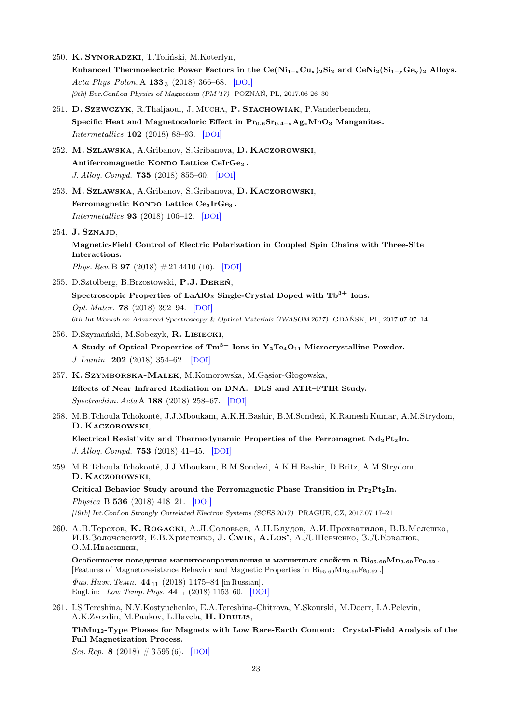- 250. K. Synoradzki, T.Toliński, M.Koterlyn, Enhanced Thermoelectric Power Factors in the Ce( $Ni_{1-x}Cu_{x}$ )<sub>2</sub>Si<sub>2</sub> and CeNi<sub>2</sub>(Si<sub>1−y</sub>Ge<sub>y</sub>)<sub>2</sub> Alloys. Acta Phys. Polon. A  $133_3$  (2018) 366–68. [[DOI](https://dx.doi.org/10.12693/APhysPolA.133.366)] [9th] Eur.Conf.on Physics of Magnetism (PM '17) POZNAŃ, PL, 2017.06 26–30
- 251. D. Szewczyk, R.Thaljaoui, J. Mucha, P. Stachowiak, P.Vanderbemden, Specific Heat and Magnetocaloric Effect in Pr<sub>0.6</sub>Sr<sub>0.4-x</sub>Ag<sub>x</sub>MnO<sub>3</sub> Manganites. Intermetallics 102 (2018) 88–93. [[DOI](https://dx.doi.org/10.1016/j.intermet.2018.09.002)]
- 252. M. Szlawska, A.Gribanov, S.Gribanova, D. Kaczorowski, Antiferromagnetic Kondo Lattice CeIrGe<sub>2</sub>. J. Alloy. Compd. 735 (2018) 855–60. [[DOI](https://dx.doi.org/10.1016/j.jallcom.2017.11.151)]
- 253. M. Szlawska, A.Gribanov, S.Gribanova, D. Kaczorowski, Ferromagnetic KONDO Lattice  $Ce<sub>2</sub>IrGe<sub>3</sub>$ . Intermetallics 93 (2018) 106–12. [[DOI](https://dx.doi.org/10.1016/j.intermet.2017.11.014)]

254. J. Sznajd,

Magnetic-Field Control of Electric Polarization in Coupled Spin Chains with Three-Site Interactions.

*Phys. Rev.* B **97** (2018)  $\#21\,4410\,10$ . [[DOI](https://dx.doi.org/10.1103/PhysRevB.97.214410)]

- 255. D.Sztolberg, B.Brzostowski, P.J. Dereń, Spectroscopic Properties of LaAlO<sub>3</sub> Single-Crystal Doped with  $\text{Tb}^{3+}$  Ions. Opt. Mater. 78 (2018) 392–94. [[DOI](https://dx.doi.org/10.1016/j.optmat.2018.02.046)] 6th Int.Worksh.on Advanced Spectroscopy & Optical Materials (IWASOM 2017) GDAŃSK, PL, 2017.07 07–14
- 256. D.Szymański, M.Sobczyk, R. Lisiecki, A Study of Optical Properties of  $\text{Tm}^{3+}$  Ions in  $\text{Y}_2 \text{Te}_4 \text{O}_{11}$  Microcrystalline Powder. J. Lumin. 202 (2018) 354–62. [[DOI](https://dx.doi.org/10.1016/j.jlumin.2018.05.079)]
- 257. K. Szymborska-Małek, M.Komorowska, M.Gąsior-Głogowska, Effects of Near Infrared Radiation on DNA. DLS and ATR–FTIR Study. Spectrochim. Acta A 188 (2018) 258–67. [[DOI](https://dx.doi.org/10.1016/j.saa.2017.07.004)]
- 258. M.B.Tchoula Tchokonté, J.J.Mboukam, A.K.H.Bashir, B.M.Sondezi, K.Ramesh Kumar, A.M.Strydom, D. Kaczorowski,

Electrical Resistivity and Thermodynamic Properties of the Ferromagnet Nd<sub>2</sub>Pt<sub>2</sub>In. J. Alloy. Compd. 753 (2018) 41–45. [[DOI](https://dx.doi.org/10.1016/j.jallcom.2018.04.193)]

259. M.B.Tchoula Tchokonté, J.J.Mboukam, B.M.Sondezi, A.K.H.Bashir, D.Britz, A.M.Strydom, D. Kaczorowski,

Critical Behavior Study around the Ferromagnetic Phase Transition in  $Pr_2Pt_2In$ . Physica B 536 (2018) 418–21. [[DOI](https://dx.doi.org/10.1016/j.physb.2017.10.070)] [19th] Int.Conf.on Strongly Correlated Electron Systems (SCES 2017) PRAGUE, CZ, 2017.07 17–21

260. A.B. Терехов, К. ROGACKI, A.Л.Соловьев, A.Н.Блудов, A.И.Прохватилов, В.В.Мелешко, И.В.Золочевский, Е.В.Христенко, **J. Ćwik, A.Los'**, A.Д.Шевченко, З.Д.Ковалюк,  $O.M.H$ васишин,

Особенности поведения магнитосопротивления и магнитных свойств в  $\text{Bi}_{95.69}\text{Mn}_{3.69}\text{Fe}_{0.62}$ . [Features of Magnetoresistance Behavior and Magnetic Properties in  $\text{Big}_{56,69}\text{Mn}_{3.69}\text{Fe}_{0.62}$ .]  $\Phi$ us. Husk. Temp. 44<sub>11</sub> (2018) 1475–84 [in Russian].

Engl. in: *Low Temp. Phys.* **44**<sub>11</sub> (2018) 1153-60. [[DOI](https://dx.doi.org/10.1063/1.5060969)]

261. I.S.Tereshina, N.V.Kostyuchenko, E.A.Tereshina-Chitrova, Y.Skourski, M.Doerr, I.A.Pelevin, A.K.Zvezdin, M.Paukov, L.Havela, H. Drulis,

ThMn12-Type Phases for Magnets with Low Rare-Earth Content: Crystal-Field Analysis of the Full Magnetization Process.

Sci. Rep. 8 (2018)  $\#3\,595(6)$ . [[DOI](https://dx.doi.org/10.1038/s41598-018-21756-5)]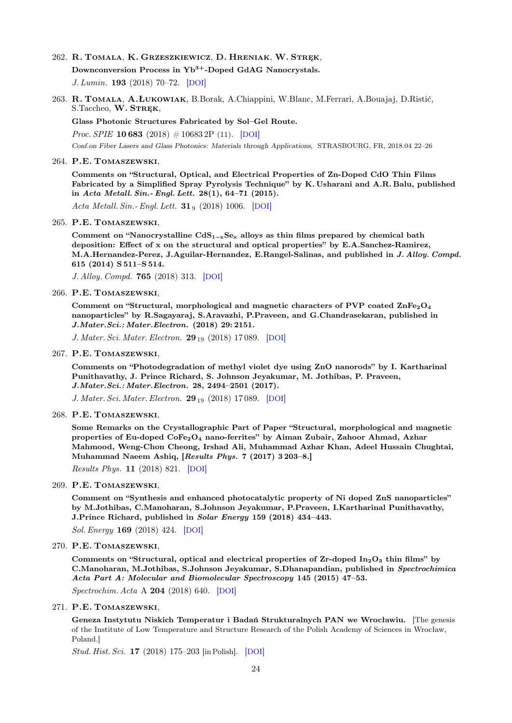## 262. R. Tomala, K. Grzeszkiewicz, D. Hreniak, W. Stręk,

Downconversion Process in Yb<sup>3+</sup>-Doped GdAG Nanocrystals. J. Lumin. 193 (2018) 70–72. [[DOI](https://dx.doi.org/10.1016/j.jlumin.2017.06.038)]

263. R. Tomala, A.Łukowiak, B.Borak, A.Chiappini, W.Blanc, M.Ferrari, A.Bouajaj, D.Ristić, S.Taccheo, W. STREK,

Glass Photonic Structures Fabricated by Sol–Gel Route.

*Proc. SPIE* **10 683** (2018)  $\# 10683$  2P (11). [[DOI](https://dx.doi.org/10.1117/12.2306449)]

Conf.on Fiber Lasers and Glass Photonics: Materials through Applications, STRASBOURG, FR, 2018.04 22–26

#### 264. P.E. Tomaszewski,

Comments on "Structural, Optical, and Electrical Properties of Zn-Doped CdO Thin Films Fabricated by a Simplified Spray Pyrolysis Technique" by K. Usharani and A.R. Balu, published in Acta Metall. Sin.- Engl. Lett. 28(1), 64–71 (2015).

Acta Metall. Sin.- Engl. Lett.  $31_9$  (2018) 1006. [[DOI](https://dx.doi.org/10.1007/s40195-018-0763-z)]

#### 265. P.E. Tomaszewski,

Comment on "Nanocrystalline  $CdS_{1-x}Se_x$  alloys as thin films prepared by chemical bath deposition: Effect of x on the structural and optical properties" by E.A.Sanchez-Ramirez, M.A.Hernandez-Perez, J.Aguilar-Hernandez, E.Rangel-Salinas, and published in J. Alloy. Compd. 615 (2014) S 511–S 514.

J. Alloy. Compd. 765 (2018) 313. [[DOI](https://dx.doi.org/10.1016/j.jallcom.2018.06.204)]

#### 266. P.E. Tomaszewski,

Comment on "Structural, morphological and magnetic characters of PVP coated  $\text{ZnFe}_2\text{O}_4$ nanoparticles" by R.Sagayaraj, S.Aravazhi, P.Praveen, and G.Chandrasekaran, published in J.Mater.Sci.: Mater.Electron. (2018) 29: 2151.

J. Mater. Sci. Mater. Electron. 29<sub>19</sub> (2018) 17089. [[DOI](https://dx.doi.org/10.1007/s10854-018-9892-4)]

#### 267. P.E. Tomaszewski,

Comments on "Photodegradation of methyl violet dye using ZnO nanorods" by I. Kartharinal Punithavathy, J. Prince Richard, S. Johnson Jeyakumar, M. Jothibas, P. Praveen, J.Mater.Sci.: Mater.Electron. 28, 2494–2501 (2017).

J. Mater. Sci. Mater. Electron. 29<sub>19</sub> (2018) 17 089. [[DOI](https://dx.doi.org/10.1007/s10854-018-9892-4)]

#### 268. P.E. Tomaszewski,

Some Remarks on the Crystallographic Part of Paper "Structural, morphological and magnetic properties of Eu-doped  $\text{CoFe}_2\text{O}_4$  nano-ferrites" by Aiman Zubair, Zahoor Ahmad, Azhar Mahmood, Weng-Chon Cheong, Irshad Ali, Muhammad Azhar Khan, Adeel Hussain Chughtai, Muhammad Naeem Ashiq, [Results Phys. 7 (2017) 3 203–8.]

Results Phys. 11 (2018) 821. [[DOI](https://dx.doi.org/10.1016/j.rinp.2018.10.053)]

269. P.E. Tomaszewski,

Comment on "Synthesis and enhanced photocatalytic property of Ni doped ZnS nanoparticles" by M.Jothibas, C.Manoharan, S.Johnson Jeyakumar, P.Praveen, I.Kartharinal Punithavathy, J.Prince Richard, published in Solar Energy 159 (2018) 434–443.

Sol. Energy 169 (2018) 424. [[DOI](https://dx.doi.org/10.1016/j.solener.2018.05.018)]

270. P.E. Tomaszewski,

Comments on "Structural, optical and electrical properties of  $Zr$ -doped  $In_2O_3$  thin films" by C.Manoharan, M.Jothibas, S.Johnson Jeyakumar, S.Dhanapandian, published in Spectrochimica Acta Part A: Molecular and Biomolecular Spectroscopy 145 (2015) 47–53.

Spectrochim. Acta A 204 (2018) 640. [[DOI](https://dx.doi.org/10.1016/j.saa.2018.06.090)]

## 271. P.E. Tomaszewski,

Geneza Instytutu Niskich Temperatur i Badań Strukturalnych PAN we Wrocławiu. [The genesis of the Institute of Low Temperature and Structure Research of the Polish Academy of Sciences in Wrocław, Poland.]

Stud. Hist. Sci. 17 (2018) 175–203 [in Polish]. [[DOI](https://dx.doi.org/10.4467/2543702XSHS.18.008.9328)]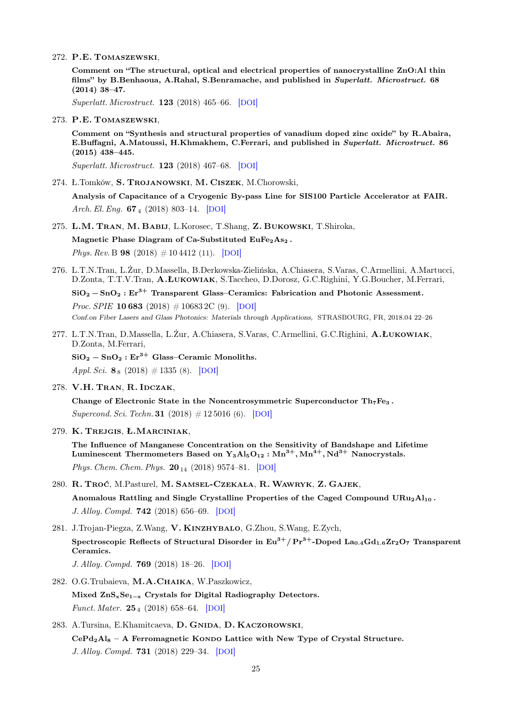272. P.E. Tomaszewski,

Comment on "The structural, optical and electrical properties of nanocrystalline ZnO:Al thin films" by B.Benhaoua, A.Rahal, S.Benramache, and published in Superlatt. Microstruct. 68 (2014) 38–47.

Superlatt. Microstruct. 123 (2018) 465–66. [[DOI](https://dx.doi.org/10.1016/j.spmi.2018.05.011)]

273. P.E. Tomaszewski,

Comment on "Synthesis and structural properties of vanadium doped zinc oxide" by R.Abaira, E.Buffagni, A.Matoussi, H.Khmakhem, C.Ferrari, and published in Superlatt. Microstruct. 86 (2015) 438–445.

Superlatt. Microstruct. 123 (2018) 467–68. [[DOI](https://dx.doi.org/10.1016/j.spmi.2018.05.022)]

274. Ł.Tomków, S. Trojanowski, M. Ciszek, M.Chorowski,

Analysis of Capacitance of a Cryogenic By-pass Line for SIS100 Particle Accelerator at FAIR. Arch. El. Eng.  $67_4$  (2018) 803-14. [[DOI](https://dx.doi.org/10.1515/aee.2018.124741)]

- 275. L.M. Tran, M. Babij, L.Korosec, T.Shang, Z. Bukowski, T.Shiroka, Magnetic Phase Diagram of Ca-Substituted EuFe<sub>2</sub>As<sub>2</sub>. *Phys. Rev.* B **98** (2018)  $\# 10\,4412$  (11). [[DOI](https://dx.doi.org/10.1103/PhysRevB.98.104412)]
- 276. L.T.N.Tran, L.Żur, D.Massella, B.Derkowska-Zielińska, A.Chiasera, S.Varas, C.Armellini, A.Martucci, D.Zonta, T.T.V.Tran, A.Łukowiak, S.Taccheo, D.Dorosz, G.C.Righini, Y.G.Boucher, M.Ferrari,  $SiO<sub>2</sub> - SnO<sub>2</sub> : Er<sup>3+</sup> Transparent Glass–Ceramics: Fabrication and Photonic Assessment.$ *Proc. SPIE* **10 683** (2018)  $\# 10683$  2C (9). [[DOI](https://dx.doi.org/10.1117/12.2306767)] Conf.on Fiber Lasers and Glass Photonics: Materials through Applications, STRASBOURG, FR, 2018.04 22–26
- 277. L.T.N.Tran, D.Massella, L.Żur, A.Chiasera, S.Varas, C.Armellini, G.C.Righini, A.Łukowiak, D.Zonta, M.Ferrari,  $SiO<sub>2</sub> - SnO<sub>2</sub> : Er<sup>3+</sup> Glass–Ceramic Monoliths.$

Appl. Sci.  $\mathbf{8}_8$  (2018) # 1335 (8). [[DOI](https://dx.doi.org/10.3390/app8081335)]

278. V.H. Tran, R. Idczak,

Change of Electronic State in the Noncentrosymmetric Superconductor  $Th_7Fe_3$ . Supercond. Sci. Techn. **31** (2018)  $\#$  12 5016 (6). [[DOI](https://dx.doi.org/10.1088/1361-6668/aae7c2)]

279. K. Trejgis, Ł.Marciniak,

The Influence of Manganese Concentration on the Sensitivity of Bandshape and Lifetime Luminescent Thermometers Based on  $Y_3Al_5O_{12}$ :  $Mn^{3+}$ ,  $Mn^{4+}$ ,  $Nd^{3+}$  Nanocrystals. Phys. Chem. Chem. Phys.  $20_{14}$  (2018) 9574–81. [[DOI](https://dx.doi.org/10.1039/C8CP00558C)]

- 280. R. Troć, M.Pasturel, M. Samsel-Czekała, R.Wawryk, Z. Gajek, Anomalous Rattling and Single Crystalline Properties of the Caged Compound  $URu<sub>2</sub>Al<sub>10</sub>$ . J. Alloy. Compd. 742 (2018) 656–69. [[DOI](https://dx.doi.org/10.1016/j.jallcom.2018.01.319)]
- 281. J.Trojan-Piegza, Z.Wang, V. Kinzhybalo, G.Zhou, S.Wang, E.Zych, Spectroscopic Reflects of Structural Disorder in  $Eu^{3+}/Pr^{3+}$ -Doped La<sub>0.4</sub>Gd<sub>1.6</sub>Zr<sub>2</sub>O<sub>7</sub> Transparent Ceramics.

J. Alloy. Compd. 769 (2018) 18–26. [[DOI](https://dx.doi.org/10.1016/j.jallcom.2018.07.233)]

- 282. O.G.Trubaieva, M.A.Chaika, W.Paszkowicz, Mixed ZnS<sub>x</sub>Se<sub>1-x</sub> Crystals for Digital Radiography Detectors. Funct. Mater. 25<sup>4</sup> (2018) 658–64. [[DOI](https://dx.doi.org/10.15407/fm25.04.658)]
- 283. A.Tursina, E.Khamitcaeva, D. GNIDA, D. KACZOROWSKI,  $CePd_2Al_8 - A$  Ferromagnetic Kondo Lattice with New Type of Crystal Structure. J. Alloy. Compd. 731 (2018) 229–34. [[DOI](https://dx.doi.org/10.1016/j.jallcom.2017.10.031)]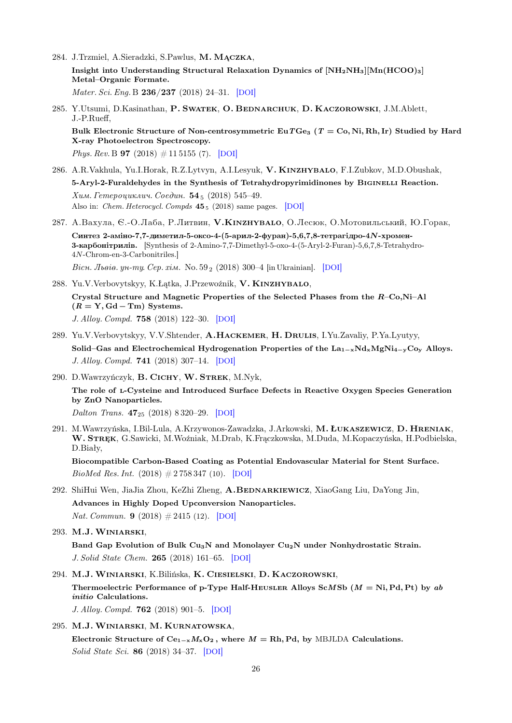- 284. J.Trzmiel, A.Sieradzki, S.Pawlus, M. Mączka, Insight into Understanding Structural Relaxation Dynamics of  $\text{[NH}_2\text{NH}_3\text{][Mn(HCOO)}_3\text{]}$ Metal–Organic Formate. Mater. Sci. Eng. B 236/237 (2018) 24–31. [[DOI](https://dx.doi.org/10.1016/j.mseb.2018.12.005)]
- 285. Y.Utsumi, D.Kasinathan, P. SWATEK, O. BEDNARCHUK, D. KACZOROWSKI, J.M.Ablett, J.-P.Rueff, Bulk Electronic Structure of Non-centrosymmetric EuTGe<sub>3</sub> ( $T = Co$ , Ni, Rh, Ir) Studied by Hard X-ray Photoelectron Spectroscopy. *Phys. Rev.* B **97** (2018)  $\#$  11 5155 (7). [[DOI](https://dx.doi.org/10.1103/PhysRevB.97.115155)]
- 286. A.R.Vakhula, Yu.I.Horak, R.Z.Lytvyn, A.I.Lesyuk, V. KINZHYBALO, F.I.Zubkov, M.D.Obushak, 5-Aryl-2-Furaldehydes in the Synthesis of Tetrahydropyrimidinones by BIGINELLI Reaction.  $X$ им. Гетероциклич. Соедин. 54 $_5$  (2018) 545–49. Also in: *Chem. Heterocycl. Compds* 45<sub>5</sub> (2018) same pages. [[DOI](https://dx.doi.org/10.1007/s10593-018-2301-3)]
- 287. A.Baxула, Є.-O.Лаба, Р.Литвин, V.KINZHYBALO, O.Лесюк, О.Мотовильський, Ю.Горак, Синтез 2-аміно-7,7-диметил-5-оксо-4-(5-арил-2-фуран)-5,6,7,8-тетрагідро-4N-хромен-3-карбонітрилів. [Synthesis of 2-Amino-7,7-Dimethyl-5-oxo-4-(5-Aryl-2-Furan)-5,6,7,8-Tetrahydro-4N-Chrom-en-3-Carbonitriles.] Bicu. Jheie. yu-my. Cep. xim. No.  $59_2$  (2018) 300–4 [in Ukrainian]. [[DOI](https://dx.doi.org/10.30970/vch.5902.300)]
- 288. Yu.V.Verbovytskyy, K.Łątka, J.Przewoźnik, V. Kinzhybalo, Crystal Structure and Magnetic Properties of the Selected Phases from the R–Co,Ni–Al  $(R = Y, Gd - Tm)$  Systems. J. Alloy. Compd. 758 (2018) 122–30. [[DOI](https://dx.doi.org/10.1016/j.jallcom.2018.05.123)]
- 289. Yu.V.Verbovytskyy, V.V.Shtender, A.Hackemer, H. Drulis, I.Yu.Zavaliy, P.Ya.Lyutyy, Solid–Gas and Electrochemical Hydrogenation Properties of the  $La_{1-x}Nd_xMgNi_{4-y}Co_y$  Alloys. J. Alloy. Compd. 741 (2018) 307–14. [[DOI](https://dx.doi.org/10.1016/j.jallcom.2018.01.067)]
- 290. D.Wawrzyńczyk, B. Cichy, W. Strek, M.Nyk,

The role of l-Cysteine and Introduced Surface Defects in Reactive Oxygen Species Generation by ZnO Nanoparticles.

Dalton Trans. 47<sup>25</sup> (2018) 8 320–29. [[DOI](https://dx.doi.org/10.1039/C8DT00725J)]

291. M.Wawrzyńska, I.Bil-Lula, A.Krzywonos-Zawadzka, J.Arkowski, M. Łukaszewicz, D. Hreniak, W. STREK, G.Sawicki, M.Woźniak, M.Drab, K.Fraczkowska, M.Duda, M.Kopaczyńska, H.Podbielska, D.Biały,

Biocompatible Carbon-Based Coating as Potential Endovascular Material for Stent Surface. BioMed Res. Int.  $(2018) \# 2758347 (10)$ . [[DOI](https://dx.doi.org/10.1155/2018/2758347)]

- 292. ShiHui Wen, JiaJia Zhou, KeZhi Zheng, A.BEDNARKIEWICZ, XiaoGang Liu, DaYong Jin, Advances in Highly Doped Upconversion Nanoparticles. Nat. Commun. **9** (2018)  $\#2415$  (12). [[DOI](https://dx.doi.org/10.1038/s41467-018-04813-5)]
- 293. M.J.Winiarski,

Band Gap Evolution of Bulk Cu3N and Monolayer Cu2N under Nonhydrostatic Strain. J. Solid State Chem. 265 (2018) 161–65. [[DOI](https://dx.doi.org/10.1016/j.jssc.2018.07.018)]

294. M.J.Winiarski, K.Bilińska, K. Ciesielski, D. Kaczorowski,

Thermoelectric Performance of p-Type Half-HEUSLER Alloys ScMSb  $(M = Ni, Pd, Pt)$  by ab initio Calculations.

J. Alloy. Compd. 762 (2018) 901–5. [[DOI](https://dx.doi.org/10.1016/j.jallcom.2018.05.257)]

295. M.J.Winiarski, M. Kurnatowska,

Electronic Structure of  $Ce_{1-x}M_xO_2$ , where  $M = Rh$ , Pd, by MBJLDA Calculations. Solid State Sci. 86 (2018) 34–37. [[DOI](https://dx.doi.org/10.1016/j.solidstatesciences.2018.09.016)]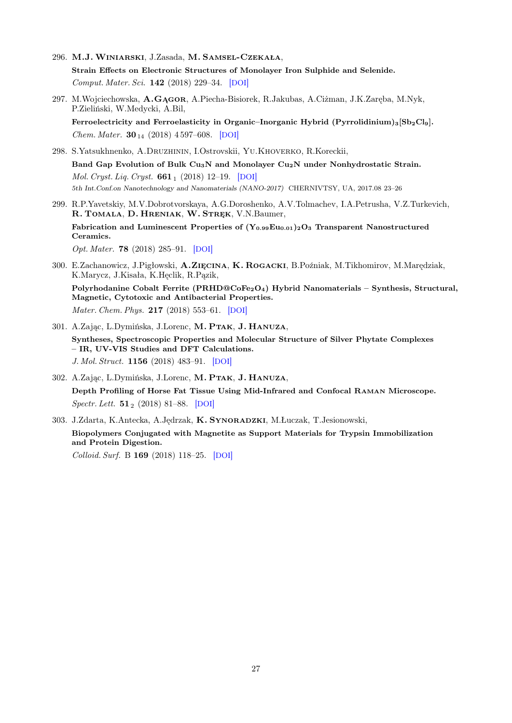- 296. M.J.Winiarski, J.Zasada, M. Samsel-Czekała, Strain Effects on Electronic Structures of Monolayer Iron Sulphide and Selenide. Comput. Mater. Sci. 142 (2018) 229–34. [[DOI](https://dx.doi.org/10.1016/j.commatsci.2017.10.037)]
- 297. M.Wojciechowska, A.Gągor, A.Piecha-Bisiorek, R.Jakubas, A.Ciżman, J.K.Zaręba, M.Nyk, P.Zieliński, W.Medycki, A.Bil, Ferroelectricity and Ferroelasticity in Organic–Inorganic Hybrid (Pyrrolidinium)<sub>3</sub>[Sb<sub>2</sub>Cl<sub>9</sub>].

*Chem. Mater.*  $30_{14}$  (2018) 4597–608. [[DOI](https://dx.doi.org/10.1021/acs.chemmater.8b00962)] 298. S.Yatsukhnenko, A.Druzhinin, I.Ostrovskii, Yu.Khoverko, R.Koreckii,

Band Gap Evolution of Bulk Cu<sub>3</sub>N and Monolayer Cu<sub>2</sub>N under Nonhydrostatic Strain. Mol. Cryst. Liq. Cryst.  $661_1$  (2018) 12-19. [[DOI](https://dx.doi.org/10.1080/15421406.2018.1460233)] 5th Int.Conf.on Nanotechnology and Nanomaterials (NANO-2017) CHERNIVTSY, UA, 2017.08 23–26

- 299. R.P.Yavetskiy, M.V.Dobrotvorskaya, A.G.Doroshenko, A.V.Tolmachev, I.A.Petrusha, V.Z.Turkevich, R. TOMALA, D. HRENIAK, W. STREK, V.N.Baumer, Fabrication and Luminescent Properties of  $(Y_{0.99}Eu_{0.01})_2O_3$  Transparent Nanostructured Ceramics. Opt. Mater. 78 (2018) 285–91. [[DOI](https://dx.doi.org/10.1016/j.optmat.2018.02.034)]
- 300. E.Zachanowicz, J.Pigłowski, A.Zięcina, K. Rogacki, B.Poźniak, M.Tikhomirov, M.Marędziak, K.Marycz, J.Kisała, K.Hęclik, R.Pązik, Polyrhodanine Cobalt Ferrite (PRHD@CoFe<sub>2</sub>O<sub>4</sub>) Hybrid Nanomaterials – Synthesis, Structural, Magnetic, Cytotoxic and Antibacterial Properties. Mater. Chem. Phys. **217** (2018) 553-61. [[DOI](https://dx.doi.org/10.1016/j.matchemphys.2018.05.015)]
- 301. A.Zając, L.Dymińska, J.Lorenc, M. Ptak, J. Hanuza, Syntheses, Spectroscopic Properties and Molecular Structure of Silver Phytate Complexes – IR, UV-VIS Studies and DFT Calculations. J. Mol. Struct. 1156 (2018) 483–91. [[DOI](https://dx.doi.org/10.1016/j.molstruc.2017.12.009)]
- 302. A.Zając, L.Dymińska, J.Lorenc, M. Ptak, J. Hanuza, Depth Profiling of Horse Fat Tissue Using Mid-Infrared and Confocal Raman Microscope.  $Spectr. Lett. 51<sub>2</sub> (2018) 81–88. [DOI]$  $Spectr. Lett. 51<sub>2</sub> (2018) 81–88. [DOI]$  $Spectr. Lett. 51<sub>2</sub> (2018) 81–88. [DOI]$
- 303. J.Zdarta, K.Antecka, A.Jędrzak, K. Synoradzki, M.Łuczak, T.Jesionowski, Biopolymers Conjugated with Magnetite as Support Materials for Trypsin Immobilization and Protein Digestion.

Colloid. Surf. B 169 (2018) 118–25. [[DOI](https://dx.doi.org/10.1016/j.colsurfb.2018.05.018)]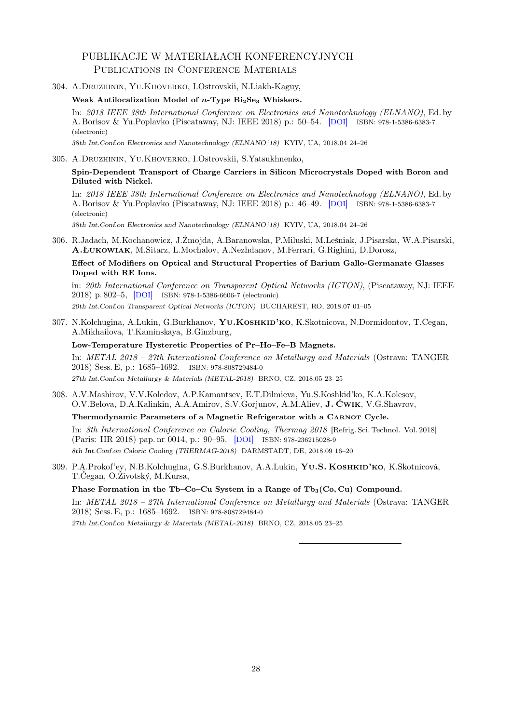## PUBLIKACJE W MATERIAŁACH KONFERENCYJNYCH Publications in Conference Materials

304. A.Druzhinin, Yu.Khoverko, I.Ostrovskii, N.Liakh-Kaguy,

Weak Antilocalization Model of  $n$ -Type Bi<sub>2</sub>Se<sub>3</sub> Whiskers.

In: 2018 IEEE 38th International Conference on Electronics and Nanotechnology (ELNANO), Ed. by A. Borisov & Yu.Poplavko (Piscataway, NJ: IEEE 2018) p.: 50–54. [[DOI](https://dx.doi.org/10.1109/ELNANO.2018.8477501)] ISBN: 978-1-5386-6383-7 (electronic)

38th Int.Conf.on Electronics and Nanotechnology (ELNANO '18) KYIV, UA, 2018.04 24–26

### 305. A.Druzhinin, Yu.Khoverko, I.Ostrovskii, S.Yatsukhnenko,

## Spin-Dependent Transport of Charge Carriers in Silicon Microcrystals Doped with Boron and Diluted with Nickel.

In: 2018 IEEE 38th International Conference on Electronics and Nanotechnology (ELNANO), Ed. by A. Borisov & Yu.Poplavko (Piscataway, NJ: IEEE 2018) p.: 46–49. [[DOI](https://dx.doi.org/10.1109/ELNANO.2018.8477452)] ISBN: 978-1-5386-6383-7 (electronic)

38th Int.Conf.on Electronics and Nanotechnology (ELNANO '18) KYIV, UA, 2018.04 24–26

306. R.Jadach, M.Kochanowicz, J.Żmojda, A.Baranowska, P.Miluski, M.Leśniak, J.Pisarska, W.A.Pisarski, A.Łukowiak, M.Sitarz, L.Mochalov, A.Nezhdanov, M.Ferrari, G.Righini, D.Dorosz,

## Effect of Modifiers on Optical and Structural Properties of Barium Gallo-Germanate Glasses Doped with RE Ions.

in: 20th International Conference on Transparent Optical Networks (ICTON), (Piscataway, NJ: IEEE 2018) p. 802–5, [[DOI](https://dx.doi.org/10.1109/ICTON.2018.8473756)] ISBN: 978-1-5386-6606-7 (electronic) 20th Int.Conf.on Transparent Optical Networks (ICTON) BUCHAREST, RO, 2018.07 01–05

307. N.Kolchugina, A.Lukin, G.Burkhanov, YU.KOSHKID'KO, K.Skotnicova, N.Dormidontov, T.Cegan, A.Mikhailova, T.Kaminskaya, B.Ginzburg,

Low-Temperature Hysteretic Properties of Pr–Ho–Fe–B Magnets.

In: METAL 2018 – 27th International Conference on Metallurgy and Materials (Ostrava: TANGER 2018) Sess. E, p.: 1685–1692. ISBN: 978-808729484-0 27th Int.Conf.on Metallurgy & Materials (METAL-2018) BRNO, CZ, 2018.05 23–25

308. A.V.Mashirov, V.V.Koledov, A.P.Kamantsev, E.T.Dilmieva, Yu.S.Koshkid'ko, K.A.Kolesov, O.V.Belova, D.A.Kalinkin, A.A.Amirov, S.V.Gorjunov, A.M.Aliev, J. Ćwik, V.G.Shavrov,

## Thermodynamic Parameters of a Magnetic Refrigerator with a CARNOT Cycle.

In: 8th International Conference on Caloric Cooling, Thermag 2018 [Refrig. Sci. Technol. Vol. 2018] (Paris: IIR 2018) pap. nr 0014, p.: 90–95. [[DOI](https://dx.doi.org/10.18462/iir.thermag.2018.0014)] ISBN: 978-236215028-9 8th Int.Conf.on Caloric Cooling (THERMAG-2018) DARMSTADT, DE, 2018.09 16–20

309. P.A.Prokof'ev, N.B.Kolchugina, G.S.Burkhanov, A.A.Lukin, YU.S. KOSHKID'KO, K.Skotnicová, T.Čegan, O.Životský, M.Kursa,

## Phase Formation in the Tb–Co–Cu System in a Range of Tb<sub>3</sub>(Co, Cu) Compound.

In: METAL 2018 – 27th International Conference on Metallurgy and Materials (Ostrava: TANGER 2018) Sess. E, p.: 1685–1692. ISBN: 978-808729484-0

27th Int.Conf.on Metallurgy & Materials (METAL-2018) BRNO, CZ, 2018.05 23–25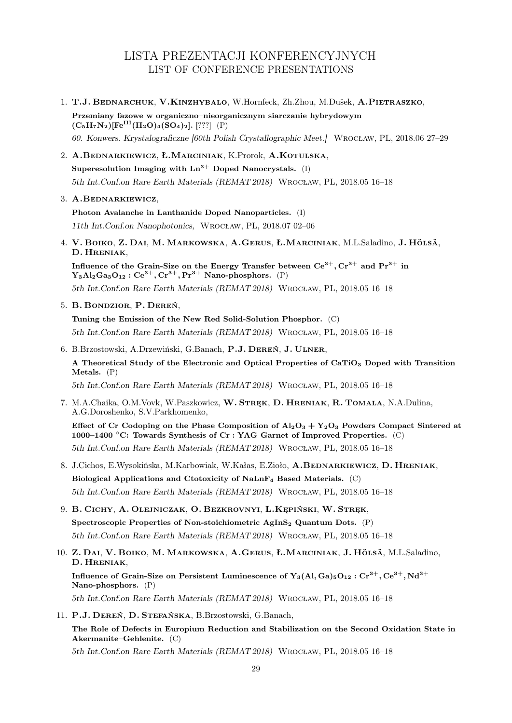# LISTA PREZENTACJI KONFERENCYJNYCH LIST OF CONFERENCE PRESENTATIONS

- 1. T.J. Bednarchuk, V.Kinzhybalo, W.Hornfeck, Zh.Zhou, M.Dušek, A.Pietraszko, Przemiany fazowe w organiczno–nieorganicznym siarczanie hybrydowym  $(C_5H_7N_2)[Fe^{III}(H_2O)_4(SO_4)_2]$ . [???] (P) 60. Konwers. Krystalograficzne [60th Polish Crystallographic Meet.] Wrocław, PL, 2018.06 27–29
- 2. A.Bednarkiewicz, Ł.Marciniak, K.Prorok, A.Kotulska, Superesolution Imaging with  $Ln^{3+}$  Doped Nanocrystals. (I) 5th Int.Conf.on Rare Earth Materials (REMAT 2018) Wrocław, PL, 2018.05 16–18

3. A.Bednarkiewicz,

Photon Avalanche in Lanthanide Doped Nanoparticles. (I) 11th Int.Conf.on Nanophotonics, Wrocław, PL, 2018.07 02–06

4. V. Boiko, Z. Dai, M. Markowska, A.Gerus, Ł.Marciniak, M.L.Saladino, J. Hölsä, D. Hreniak,

Influence of the Grain-Size on the Energy Transfer between  $Ce^{3+}$ ,  $Cr^{3+}$  and  $Pr^{3+}$  in  $Y_3Al_2Ga_3O_{12}$ :  $Ce^{3+}$ ,  $Cr^{3+}$ ,  $Pr^{3+}$  Nano-phosphors. (P) 5th Int.Conf.on Rare Earth Materials (REMAT 2018) Wrocław, PL, 2018.05 16–18

5. B. Bondzior, P. Dereń,

Tuning the Emission of the New Red Solid-Solution Phosphor. (C) 5th Int.Conf.on Rare Earth Materials (REMAT 2018) Wrocław, PL, 2018.05 16–18

6. B.Brzostowski, A.Drzewiński, G.Banach, P.J. Dereń, J. Ulner, A Theoretical Study of the Electronic and Optical Properties of CaTiO<sub>3</sub> Doped with Transition Metals. (P)

5th Int.Conf.on Rare Earth Materials (REMAT 2018) Wrocław, PL, 2018.05 16–18

7. M.A.Chaika, O.M.Vovk, W.Paszkowicz, W. Stręk, D. Hreniak, R. Tomala, N.A.Dulina, A.G.Doroshenko, S.V.Parkhomenko,

Effect of Cr Codoping on the Phase Composition of  $Al_2O_3 + Y_2O_3$  Powders Compact Sintered at 1000–1400 ◦C: Towards Synthesis of Cr : YAG Garnet of Improved Properties. (C) 5th Int.Conf.on Rare Earth Materials (REMAT 2018) Wrocław, PL, 2018.05 16–18

- 8. J.Cichos, E.Wysokińska, M.Karbowiak, W.Kałas, E.Zioło, A.BEDNARKIEWICZ, D. HRENIAK, Biological Applications and Ctotoxicity of NaLnF<sup>4</sup> Based Materials. (C) 5th Int.Conf.on Rare Earth Materials (REMAT 2018) Wrocław, PL, 2018.05 16–18
- 9. B. Cichy, A. Olejniczak, O. Bezkrovnyi, L.Kępiński, W. Stręk, Spectroscopic Properties of Non-stoichiometric  $AgInS<sub>2</sub>$  Quantum Dots. (P) 5th Int.Conf.on Rare Earth Materials (REMAT 2018) Wrocław, PL, 2018.05 16–18
- 10. Z. Dai, V. Boiko, M. Markowska, A.Gerus, Ł.Marciniak, J. Hölsä, M.L.Saladino, D. Hreniak, Influence of Grain-Size on Persistent Luminescence of  $Y_3(Al, Ga)_{5}O_{12} : Cr^{3+}$ ,  $Ce^{3+}$ ,  $Nd^{3+}$ Nano-phosphors. (P) 5th Int.Conf.on Rare Earth Materials (REMAT 2018) Wrocław, PL, 2018.05 16–18
- 11. P.J. Dereń, D. Stefańska, B.Brzostowski, G.Banach, The Role of Defects in Europium Reduction and Stabilization on the Second Oxidation State in Akermanite–Gehlenite. (C)

5th Int.Conf.on Rare Earth Materials (REMAT 2018) Wrocław, PL, 2018.05 16–18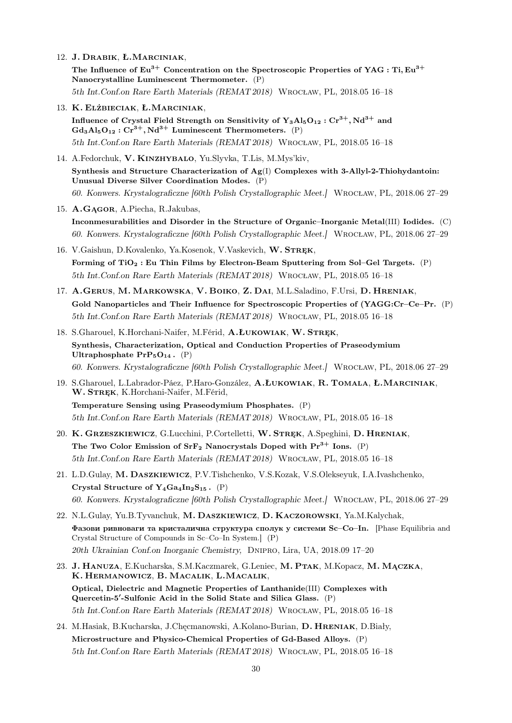12. J. Drabik, Ł.Marciniak,

The Influence of Eu<sup>3+</sup> Concentration on the Spectroscopic Properties of YAG : Ti, Eu<sup>3+</sup> Nanocrystalline Luminescent Thermometer. (P) 5th Int.Conf.on Rare Earth Materials (REMAT 2018) Wrocław, PL, 2018.05 16–18

- 
- 13. K. Elżbieciak, Ł.Marciniak, Influence of Crystal Field Strength on Sensitivity of  $Y_3A\vert_{5}O_{12}$  :  $Cr^{3+}$ , Nd<sup>3+</sup> and  $Gd_3Al_5O_{12}: Cr^{3+}, Nd^{3+}$  Luminescent Thermometers. (P) 5th Int.Conf.on Rare Earth Materials (REMAT 2018) Wrocław, PL, 2018.05 16–18
- 14. A.Fedorchuk, V. Kinzhybalo, Yu.Slyvka, T.Lis, M.Mys'kiv, Synthesis and Structure Characterization of  $Ag(I)$  Complexes with 3-Allyl-2-Thiohydantoin: Unusual Diverse Silver Coordination Modes. (P) 60. Konwers. Krystalograficzne [60th Polish Crystallographic Meet.] Wrocław, PL, 2018.06 27–29
- 15. A.Gągor, A.Piecha, R.Jakubas, Inconmesurabilities and Disorder in the Structure of Organic–Inorganic Metal(III) Iodides. (C) 60. Konwers. Krystalograficzne [60th Polish Crystallographic Meet.] Wrocław, PL, 2018.06 27–29
- 16. V.Gaishun, D.Kovalenko, Ya.Kosenok, V.Vaskevich, W. STREK, Forming of  $TiO<sub>2</sub>$ : Eu Thin Films by Electron-Beam Sputtering from Sol–Gel Targets. (P) 5th Int.Conf.on Rare Earth Materials (REMAT 2018) Wrocław, PL, 2018.05 16–18
- 17. A.Gerus, M. Markowska, V. Boiko, Z. Dai, M.L.Saladino, F.Ursi, D. Hreniak, Gold Nanoparticles and Their Influence for Spectroscopic Properties of (YAGG:Cr–Ce–Pr. (P) 5th Int.Conf.on Rare Earth Materials (REMAT 2018) Wrocław, PL, 2018.05 16–18
- 18. S.Gharouel, K.Horchani-Naifer, M.Férid, A.ŁUKOWIAK, W. STRĘK, Synthesis, Characterization, Optical and Conduction Properties of Praseodymium Ultraphosphate  $PrP_5O_{14}$ . (P) 60. Konwers. Krystalograficzne [60th Polish Crystallographic Meet.] Wrocław, PL, 2018.06 27–29
- 19. S.Gharouel, L.Labrador-Páez, P.Haro-González, A.Łukowiak, R. Tomala, Ł.Marciniak, W. STREK, K.Horchani-Naifer, M.Férid, Temperature Sensing using Praseodymium Phosphates. (P) 5th Int.Conf.on Rare Earth Materials (REMAT 2018) Wrocław, PL, 2018.05 16–18
- 20. K. Grzeszkiewicz, G.Lucchini, P.Cortelletti, W. Stręk, A.Speghini, D. Hreniak, The Two Color Emission of  $\text{SrF}_2$  Nanocrystals Doped with  $\text{Pr}^{3+}$  Ions. (P) 5th Int.Conf.on Rare Earth Materials (REMAT 2018) Wrocław, PL, 2018.05 16–18
- 21. L.D.Gulay, M. Daszkiewicz, P.V.Tishchenko, V.S.Kozak, V.S.Olekseyuk, I.A.Ivashchenko, Crystal Structure of  $Y_4Ga_4In_2S_{15}$ . (P) 60. Konwers. Krystalograficzne [60th Polish Crystallographic Meet.] Wrocław, PL, 2018.06 27–29
- 22. N.L.Gulay, Yu.B.Tyvanchuk, M. Daszkiewicz, D. Kaczorowski, Ya.M.Kalychak, Фазови ривноваги та кристалична структура сполук у системи  $Sc-CoIn.$  [Phase Equilibria and Crystal Structure of Compounds in Sc–Co–In System.] (P) 20th Ukrainian Conf.on Inorganic Chemistry, Dnipro, Lira, UA, 2018.09 17–20
- 23. J. Hanuza, E.Kucharska, S.M.Kaczmarek, G.Leniec, M. Ptak, M.Kopacz, M. Mączka, K. Hermanowicz, B. Macalik, L.Macalik, Optical, Dielectric and Magnetic Properties of Lanthanide(III) Complexes with Quercetin-5'-Sulfonic Acid in the Solid State and Silica Glass. (P) 5th Int.Conf.on Rare Earth Materials (REMAT 2018) Wrocław, PL, 2018.05 16–18
- 24. M.Hasiak, B.Kucharska, J.Chęcmanowski, A.Kolano-Burian, D. Hreniak, D.Biały, Microstructure and Physico-Chemical Properties of Gd-Based Alloys. (P) 5th Int.Conf.on Rare Earth Materials (REMAT 2018) Wrocław, PL, 2018.05 16–18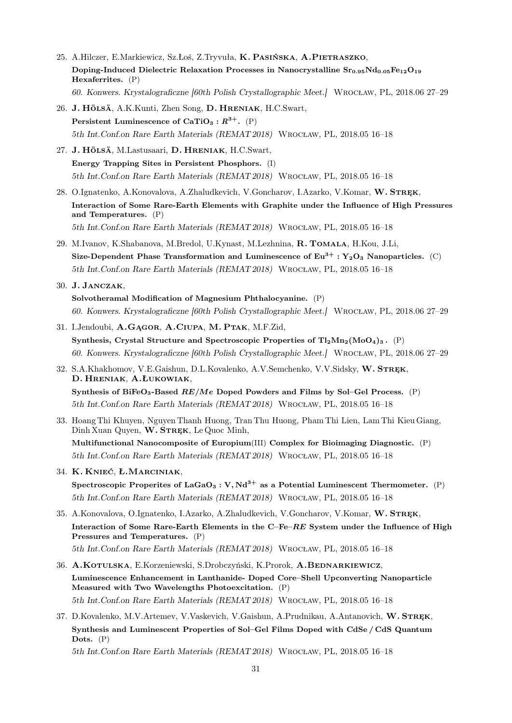- 25. A.Hilczer, E.Markiewicz, Sz.Łoś, Z.Tryvuła, K. Pasińska, A.Pietraszko, Doping-Induced Dielectric Relaxation Processes in Nanocrystalline  $Sr_{0.95}Nd_{0.05}Fe_{12}O_{19}$ Hexaferrites. (P) 60. Konwers. Krystalograficzne [60th Polish Crystallographic Meet.] Wrocław, PL, 2018.06 27–29
- 26. J. Hölsä, A.K.Kunti, Zhen Song, D. Hreniak, H.C.Swart, Persistent Luminescence of CaTiO<sub>3</sub> :  $R^{3+}$ . (P) 5th Int.Conf.on Rare Earth Materials (REMAT 2018) Wrocław, PL, 2018.05 16–18
- 27. J. Hölsä, M.Lastusaari, D. Hreniak, H.C.Swart, Energy Trapping Sites in Persistent Phosphors. (I) 5th Int.Conf.on Rare Earth Materials (REMAT 2018) Wrocław, PL, 2018.05 16–18
- 28. O.Ignatenko, A.Konovalova, A.Zhaludkevich, V.Goncharov, I.Azarko, V.Komar, W. STREK, Interaction of Some Rare-Earth Elements with Graphite under the Influence of High Pressures and Temperatures. (P) 5th Int.Conf.on Rare Earth Materials (REMAT 2018) Wrocław, PL, 2018.05 16–18
- 29. M.Ivanov, K.Shabanova, M.Bredol, U.Kynast, M.Lezhnina, R. Tomala, H.Kou, J.Li, Size-Dependent Phase Transformation and Luminescence of  $Eu^{3+}$ : Y<sub>2</sub>O<sub>3</sub> Nanoparticles. (C) 5th Int.Conf.on Rare Earth Materials (REMAT 2018) Wrocław, PL, 2018.05 16–18
- 30. J. Janczak, Solvotheramal Modification of Magnesium Phthalocyanine. (P) 60. Konwers. Krystalograficzne [60th Polish Crystallographic Meet.] Wrocław, PL, 2018.06 27–29
- 31. I.Jendoubi, A.Gągor, A.Ciupa, M. Ptak, M.F.Zid, Synthesis, Crystal Structure and Spectroscopic Properties of  $Tl_2Mn_2(MoO_4)_3$ . (P) 60. Konwers. Krystalograficzne [60th Polish Crystallographic Meet.] Wrocław, PL, 2018.06 27–29
- 32. S.A.Khakhomov, V.E.Gaishun, D.L.Kovalenko, A.V.Semchenko, V.V.Sidsky, W. STREK, D. Hreniak, A.Łukowiak, Synthesis of BiFeO<sub>3</sub>-Based  $RE/Me$  Doped Powders and Films by Sol–Gel Process. (P) 5th Int.Conf.on Rare Earth Materials (REMAT 2018) Wrocław, PL, 2018.05 16–18
- 33. Hoang Thi Khuyen, Nguyen Thanh Huong, Tran Thu Huong, Pham Thi Lien, Lam Thi Kieu Giang, Dinh Xuan Quyen, W. STREK, Le Quoc Minh, Multifunctional Nanocomposite of Europium(III) Complex for Bioimaging Diagnostic. (P) 5th Int.Conf.on Rare Earth Materials (REMAT 2018) Wrocław, PL, 2018.05 16–18
- 34. K. Knieć, Ł.Marciniak, Spectroscopic Properites of LaGaO<sub>3</sub> : V, Nd<sup>3+</sup> as a Potential Luminescent Thermometer. (P) 5th Int.Conf.on Rare Earth Materials (REMAT 2018) Wrocław, PL, 2018.05 16–18
- 35. A.Konovalova, O.Ignatenko, I.Azarko, A.Zhaludkevich, V.Goncharov, V.Komar, W. STREK, Interaction of Some Rare-Earth Elements in the C–Fe–RE System under the Influence of High Pressures and Temperatures. (P) 5th Int.Conf.on Rare Earth Materials (REMAT 2018) Wrocław, PL, 2018.05 16–18
- 36. A.Kotulska, E.Korzeniewski, S.Drobczyński, K.Prorok, A.BEDNARKIEWICZ, Luminescence Enhancement in Lanthanide- Doped Core–Shell Upconverting Nanoparticle Measured with Two Wavelengths Photoexcitation. (P) 5th Int.Conf.on Rare Earth Materials (REMAT 2018) Wrocław, PL, 2018.05 16–18
- 37. D.Kovalenko, M.V.Artemev, V.Vaskevich, V.Gaishun, A.Prudnikau, A.Antanovich, W.STREK, Synthesis and Luminescent Properties of Sol–Gel Films Doped with CdSe / CdS Quantum Dots. (P)

5th Int.Conf.on Rare Earth Materials (REMAT 2018) Wrocław, PL, 2018.05 16–18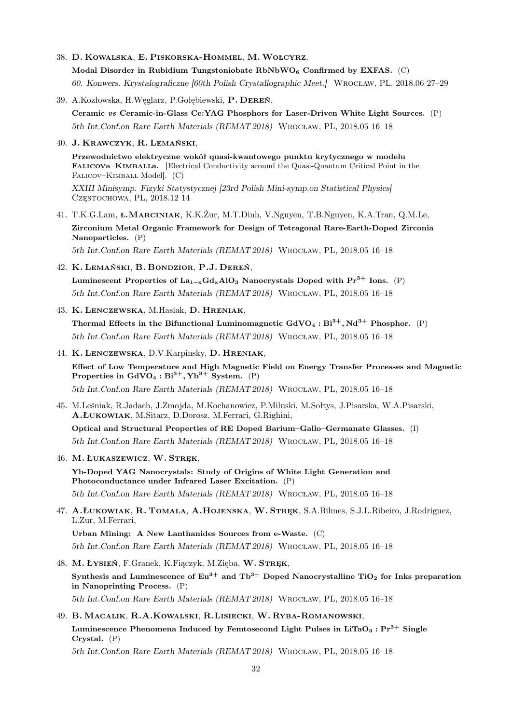- 38. D. Kowalska, E. Piskorska-Hommel, M.Wołcyrz, Modal Disorder in Rubidium Tungstoniobate  $RbNbWO<sub>6</sub>$  Confirmed by EXFAS. (C) 60. Konwers. Krystalograficzne [60th Polish Crystallographic Meet.] Wrocław, PL, 2018.06 27–29
- 39. A.Kozłowska, H.Węglarz, P.Gołębiewski, P. Dereń, Ceramic vs Ceramic-in-Glass Ce:YAG Phosphors for Laser-Driven White Light Sources. (P) 5th Int.Conf.on Rare Earth Materials (REMAT 2018) Wrocław, PL, 2018.05 16–18
- 40. J. Krawczyk, R. Lemański,

Przewodnictwo elektryczne wokół quasi-kwantowego punktu krytycznego w modelu FALICOVA–KIMBALLA. [Electrical Conductivity around the Quasi-Quantum Critical Point in the FALICOV–KIMBALL Model]. (C)

XXIII Minisymp. Fizyki Statystycznej [23rd Polish Mini-symp.on Statistical Physics] Częstochowa, PL, 2018.12 14

- 41. T.K.G.Lam, ł.Marciniak, K.K.Żur, M.T.Dinh, V.Nguyen, T.B.Nguyen, K.A.Tran, Q.M.Le, Zirconium Metal Organic Framework for Design of Tetragonal Rare-Earth-Doped Zirconia Nanoparticles. (P) 5th Int.Conf.on Rare Earth Materials (REMAT 2018) Wrocław, PL, 2018.05 16–18
- 42. K. Lemański, B. Bondzior, P.J. Dereń, Luminescent Properties of La<sub>1−x</sub>Gd<sub>x</sub>AlO<sub>3</sub> Nanocrystals Doped with Pr<sup>3+</sup> Ions. (P) 5th Int.Conf.on Rare Earth Materials (REMAT 2018) Wrocław, PL, 2018.05 16–18
- 43. K. Lenczewska, M.Hasiak, D. Hreniak,

Thermal Effects in the Bifunctional Luminomagnetic  $GdVO_4 : Bi^{3+}$ ,  $Nd^{3+}$  Phosphor. (P) 5th Int.Conf.on Rare Earth Materials (REMAT 2018) Wrocław, PL, 2018.05 16–18

44. K. Lenczewska, D.V.Karpinsky, D. Hreniak,

Effect of Low Temperature and High Magnetic Field on Energy Transfer Processes and Magnetic Properties in  $GdVO_4 : Bi^{3+}$ ,  $Yb^{3+}$  System. (P)

5th Int.Conf.on Rare Earth Materials (REMAT 2018) Wrocław, PL, 2018.05 16–18

45. M.Leśniak, R.Jadach, J.Zmojda, M.Kochanowicz, P.Miluski, M.Sołtys, J.Pisarska, W.A.Pisarski, A.Łukowiak, M.Sitarz, D.Dorosz, M.Ferrari, G.Righini,

Optical and Structural Properties of RE Doped Barium–Gallo–Germanate Glasses. (I) 5th Int.Conf.on Rare Earth Materials (REMAT 2018) Wrocław, PL, 2018.05 16–18

46. M. ŁUKASZEWICZ, W. STREK,

Yb-Doped YAG Nanocrystals: Study of Origins of White Light Generation and Photoconductance under Infrared Laser Excitation. (P)

5th Int.Conf.on Rare Earth Materials (REMAT 2018) Wrocław, PL, 2018.05 16–18

47. A.Łukowiak, R. Tomala, A.Hojenska, W. Stręk, S.A.Bilmes, S.J.L.Ribeiro, J.Rodriguez, L.Zur, M.Ferrari,

Urban Mining: A New Lanthanides Sources from e-Waste. (C) 5th Int.Conf.on Rare Earth Materials (REMAT 2018) Wrocław, PL, 2018.05 16–18

- 48. M. ŁYSIEŃ, F.Granek, K.Fiączyk, M.Zięba, W. STREK, Synthesis and Luminescence of  $Eu^{3+}$  and Tb<sup>3+</sup> Doped Nanocrystalline TiO<sub>2</sub> for Inks preparation in Nanoprinting Process. (P) 5th Int.Conf.on Rare Earth Materials (REMAT 2018) Wrocław, PL, 2018.05 16–18
- 49. B. Macalik, R.A.Kowalski, R.Lisiecki, W. Ryba-Romanowski, Luminescence Phenomena Induced by Femtosecond Light Pulses in LiTaO<sub>3</sub> :  $Pr^{3+}$  Single Crystal. (P) 5th Int.Conf.on Rare Earth Materials (REMAT 2018) Wrocław, PL, 2018.05 16–18

32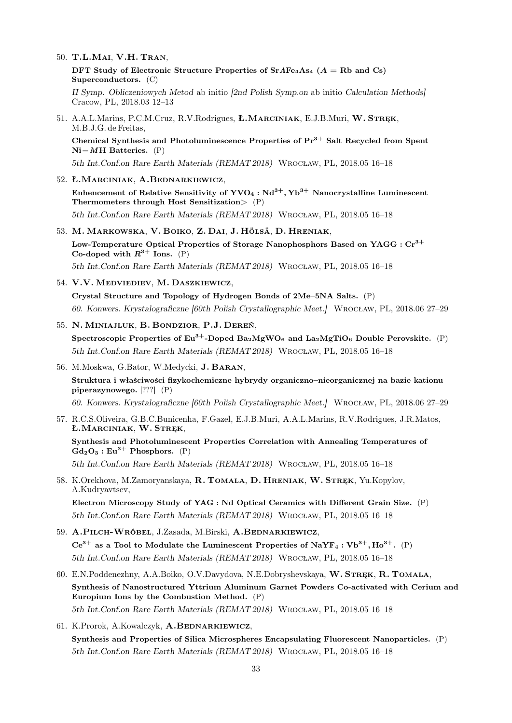- 50. T.L.Mai, V.H. Tran,
	- DFT Study of Electronic Structure Properties of  $SrAFe<sub>4</sub>As<sub>4</sub>$  ( $A = Rb$  and Cs) Superconductors. (C)

II Symp. Obliczeniowych Metod ab initio [2nd Polish Symp.on ab initio Calculation Methods] Cracow, PL, 2018.03 12–13

51. A.A.L.Marins, P.C.M.Cruz, R.V.Rodrigues, Ł.MARCINIAK, E.J.B.Muri, W. STREK, M.B.J.G. de Freitas,

Chemical Synthesis and Photoluminescence Properties of  $Pr<sup>3+</sup>$  Salt Recycled from Spent Ni−MH Batteries. (P)

5th Int.Conf.on Rare Earth Materials (REMAT 2018) Wrocław, PL, 2018.05 16–18

- 52. Ł.Marciniak, A.Bednarkiewicz, Enhencement of Relative Sensitivity of  $\text{YVO}_4 : \text{Nd}^{3+}$ ,  $\text{Yb}^{3+}$  Nanocrystalline Luminescent Thermometers through Host Sensitization> (P) 5th Int.Conf.on Rare Earth Materials (REMAT 2018) Wrocław, PL, 2018.05 16–18
- 53. M. Markowska, V. Boiko, Z. Dai, J. Hölsä, D. Hreniak, Low-Temperature Optical Properties of Storage Nanophosphors Based on YAGG :  $Cr^{3+}$ Co-doped with  $R^{3+}$  Ions. (P) 5th Int.Conf.on Rare Earth Materials (REMAT 2018) Wrocław, PL, 2018.05 16–18
- 54. V.V. Medviediev, M. Daszkiewicz,

Crystal Structure and Topology of Hydrogen Bonds of 2Me–5NA Salts. (P) 60. Konwers. Krystalograficzne [60th Polish Crystallographic Meet.] Wrocław, PL, 2018.06 27–29

- 55. N. Miniajluk, B. Bondzior, P.J. Dereń, Spectroscopic Properties of  $Eu^{3+}$ -Doped  $Ba_2MgWO_6$  and  $La_2MgTiO_6$  Double Perovskite. (P) 5th Int.Conf.on Rare Earth Materials (REMAT 2018) Wrocław, PL, 2018.05 16–18
- 56. M.Moskwa, G.Bator, W.Medycki, J. Baran, Struktura i właściwości fizykochemiczne hybrydy organiczno–nieorganicznej na bazie kationu piperazynowego. [???] (P) 60. Konwers. Krystalograficzne [60th Polish Crystallographic Meet.] Wrocław, PL, 2018.06 27–29
- 57. R.C.S.Oliveira, G.B.C.Bunicenha, F.Gazel, E.J.B.Muri, A.A.L.Marins, R.V.Rodrigues, J.R.Matos, Ł.Marciniak, W. Stręk,

Synthesis and Photoluminescent Properties Correlation with Annealing Temperatures of  $Gd_2O_3:Eu^{3+}$  Phosphors. (P)

5th Int.Conf.on Rare Earth Materials (REMAT 2018) Wrocław, PL, 2018.05 16–18

58. K.Orekhova, M.Zamoryanskaya, R. Tomala, D. Hreniak, W. Stręk, Yu.Kopylov, A.Kudryavtsev,

Electron Microscopy Study of YAG : Nd Optical Ceramics with Different Grain Size. (P) 5th Int.Conf.on Rare Earth Materials (REMAT 2018) Wrocław, PL, 2018.05 16–18

- 59. A.Pilch-Wróbel, J.Zasada, M.Birski, A.Bednarkiewicz,  $Ce^{3+}$  as a Tool to Modulate the Luminescent Properties of NaYF<sub>4</sub> : Vb<sup>3+</sup>, Ho<sup>3+</sup>. (P) 5th Int.Conf.on Rare Earth Materials (REMAT 2018) Wrocław, PL, 2018.05 16–18
- 60. E.N.Poddenezhny, A.A.Boiko, O.V.Davydova, N.E.Dobryshevskaya, W. Stręk, R. Tomala, Synthesis of Nanostructured Yttrium Aluminum Garnet Powders Co-activated with Cerium and Europium Ions by the Combustion Method. (P) 5th Int.Conf.on Rare Earth Materials (REMAT 2018) Wrocław, PL, 2018.05 16–18
- 61. K.Prorok, A.Kowalczyk, A.BEDNARKIEWICZ,

Synthesis and Properties of Silica Microspheres Encapsulating Fluorescent Nanoparticles. (P) 5th Int.Conf.on Rare Earth Materials (REMAT 2018) Wrocław, PL, 2018.05 16–18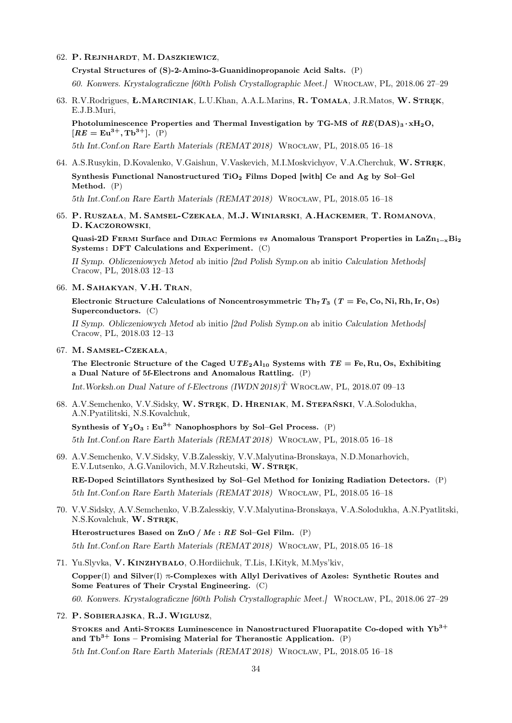62. P. Rejnhardt, M. Daszkiewicz,

Crystal Structures of (S)-2-Amino-3-Guanidinopropanoic Acid Salts. (P)

60. Konwers. Krystalograficzne [60th Polish Crystallographic Meet.] Wrocław, PL, 2018.06 27–29

63. R.V.Rodrigues, Ł.MARCINIAK, L.U.Khan, A.A.L.Marins, R. TOMALA, J.R.Matos, W. STREK, E.J.B.Muri,

Photoluminescence Properties and Thermal Investigation by TG-MS of  $RE(DAS)_{3} \cdot xH_{2}O$ ,  $[RE = \text{Eu}^{3+}, \text{Tb}^{3+}].$  (P)

5th Int.Conf.on Rare Earth Materials (REMAT 2018) Wrocław, PL, 2018.05 16–18

## 64. A.S.Rusykin, D.Kovalenko, V.Gaishun, V.Vaskevich, M.I.Moskvichyov, V.A.Cherchuk, W. STREK, Synthesis Functional Nanostructured TiO<sub>2</sub> Films Doped [with] Ce and Ag by Sol-Gel

Method. (P)

5th Int.Conf.on Rare Earth Materials (REMAT 2018) Wrocław, PL, 2018.05 16–18

65. P. Ruszała, M. Samsel-Czekała, M.J.Winiarski, A.Hackemer, T. Romanova, D. Kaczorowski,

Quasi-2D FERMI Surface and DIRAC Fermions vs Anomalous Transport Properties in LaZn<sub>1 $-x$ </sub>Bi<sub>2</sub> Systems : DFT Calculations and Experiment. (C)

II Symp. Obliczeniowych Metod ab initio [2nd Polish Symp.on ab initio Calculation Methods] Cracow, PL, 2018.03 12–13

66. M. Sahakyan, V.H. Tran,

Electronic Structure Calculations of Noncentrosymmetric Th<sub>7</sub>T<sub>3</sub> (T = Fe, Co, Ni, Rh, Ir, Os) Superconductors. (C)

II Symp. Obliczeniowych Metod ab initio [2nd Polish Symp.on ab initio Calculation Methods] Cracow, PL, 2018.03 12–13

67. M. Samsel-Czekała,

The Electronic Structure of the Caged  $UTE_2Al_{10}$  Systems with  $TE = Fe$ , Ru, Os, Exhibiting a Dual Nature of 5f-Electrons and Anomalous Rattling. (P)

Int.Worksh.on Dual Nature of f-Electrons (IWDN 2018)Ť Wrocław, PL, 2018.07 09–13

68. A.V.Semchenko, V.V.Sidsky, W. Stręk, D. Hreniak, M. Stefański, V.A.Solodukha, A.N.Pyatilitski, N.S.Kovalchuk,

Synthesis of  $Y_2O_3 : Eu^{3+}$  Nanophosphors by Sol–Gel Process. (P)

5th Int.Conf.on Rare Earth Materials (REMAT 2018) Wrocław, PL, 2018.05 16–18

69. A.V.Semchenko, V.V.Sidsky, V.B.Zalesskiy, V.V.Malyutina-Bronskaya, N.D.Monarhovich, E.V.Lutsenko, A.G.Vanilovich, M.V.Rzheutski, W. STREK,

RE-Doped Scintillators Synthesized by Sol–Gel Method for Ionizing Radiation Detectors. (P)

5th Int.Conf.on Rare Earth Materials (REMAT 2018) Wrocław, PL, 2018.05 16–18

70. V.V.Sidsky, A.V.Semchenko, V.B.Zalesskiy, V.V.Malyutina-Bronskaya, V.A.Solodukha, A.N.Pyatlitski, N.S.Kovalchuk, W. STRĘK,

Hterostructures Based on  $\mathbb{Z}nO / Me : RE$  Sol-Gel Film. (P) 5th Int.Conf.on Rare Earth Materials (REMAT 2018) Wrocław, PL, 2018.05 16–18

71. Yu.Slyvka, V. Kinzhybalo, O.Hordiichuk, T.Lis, I.Kityk, M.Mys'kiv, Copper $(I)$  and Silver $(I)$   $\pi$ -Complexes with Allyl Derivatives of Azoles: Synthetic Routes and Some Features of Their Crystal Engineering. (C) 60. Konwers. Krystalograficzne [60th Polish Crystallographic Meet.] Wrocław, PL, 2018.06 27–29

72. P. Sobierajska, R.J.Wiglusz,

STOKES and Anti-STOKES Luminescence in Nanostructured Fluorapatite Co-doped with  $Yb^{3+}$ and  $Tb^{3+}$  Ions – Promising Material for Theranostic Application. (P)

5th Int.Conf.on Rare Earth Materials (REMAT 2018) Wrocław, PL, 2018.05 16–18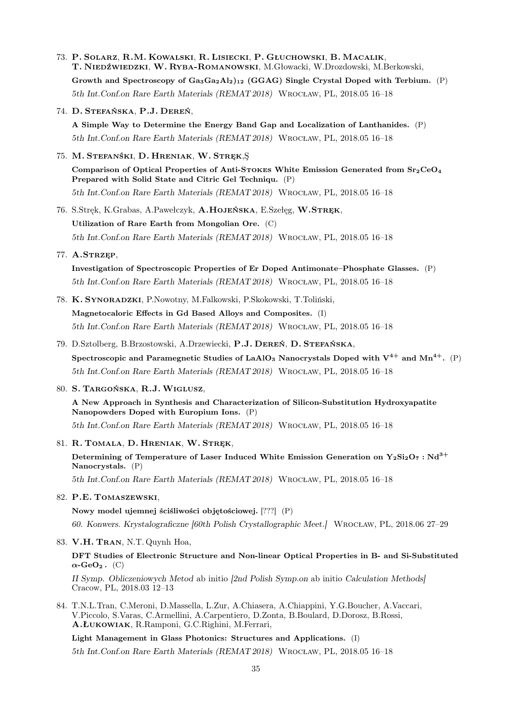- 73. P. Solarz, R.M. Kowalski, R. Lisiecki, P. Głuchowski, B. Macalik, T. Niedźwiedzki, W. Ryba-Romanowski, M.Głowacki, W.Drozdowski, M.Berkowski, Growth and Spectroscopy of  $Ga_3Ga_2Al_2_{12}$  (GGAG) Single Crystal Doped with Terbium. (P) 5th Int.Conf.on Rare Earth Materials (REMAT 2018) Wrocław, PL, 2018.05 16–18
- 74. D. Stefańska, P.J. Dereń,

A Simple Way to Determine the Energy Band Gap and Localization of Lanthanides. (P) 5th Int.Conf.on Rare Earth Materials (REMAT 2018) Wrocław, PL, 2018.05 16–18

75. M. Stefanśki, D. Hreniak, W. Stręk,Ş

Comparison of Optical Properties of Anti-STOKES White Emission Generated from  $Sr_2CeO_4$ Prepared with Solid State and Citric Gel Techniqu. (P) 5th Int.Conf.on Rare Earth Materials (REMAT 2018) Wrocław, PL, 2018.05 16–18

76. S.Stręk, K.Grabas, A.Pawełczyk, A.Hojeńska, E.Szełęg, W.Stręk, Utilization of Rare Earth from Mongolian Ore. (C) 5th Int.Conf.on Rare Earth Materials (REMAT 2018) Wrocław, PL, 2018.05 16–18

77. A.Strzęp,

Investigation of Spectroscopic Properties of Er Doped Antimonate–Phosphate Glasses. (P) 5th Int.Conf.on Rare Earth Materials (REMAT 2018) Wrocław, PL, 2018.05 16–18

- 78. K. Synoradzki, P.Nowotny, M.Falkowski, P.Skokowski, T.Toliński, Magnetocaloric Effects in Gd Based Alloys and Composites. (I) 5th Int.Conf.on Rare Earth Materials (REMAT 2018) Wrocław, PL, 2018.05 16–18
- 79. D.Sztolberg, B.Brzostowski, A.Drzewiecki, P.J. Dereń, D. Stefańska, Spectroscopic and Paramegnetic Studies of LaAlO<sub>3</sub> Nanocrystals Doped with  $V^{4+}$  and  $Mn^{4+}$ . (P) 5th Int.Conf.on Rare Earth Materials (REMAT 2018) Wrocław, PL, 2018.05 16–18
- 80. S. Targońska, R.J.Wiglusz,

A New Approach in Synthesis and Characterization of Silicon-Substitution Hydroxyapatite Nanopowders Doped with Europium Ions. (P) 5th Int.Conf.on Rare Earth Materials (REMAT 2018) Wrocław, PL, 2018.05 16–18

- 
- 81. R. Tomala, D. Hreniak, W. Stręk, Determining of Temperature of Laser Induced White Emission Generation on  $Y_2Si_2O_7$ : Nd<sup>3+</sup> Nanocrystals. (P) 5th Int.Conf.on Rare Earth Materials (REMAT 2018) Wrocław, PL, 2018.05 16–18
- 82. P.E. Tomaszewski,

Nowy model ujemnej ściśliwości objętościowej. [???] (P) 60. Konwers. Krystalograficzne [60th Polish Crystallographic Meet.] Wrocław, PL, 2018.06 27–29

83. V.H. Tran, N.T. Quynh Hoa,

DFT Studies of Electronic Structure and Non-linear Optical Properties in B- and Si-Substituted  $\alpha$ -GeO<sub>2</sub>. (C)

II Symp. Obliczeniowych Metod ab initio [2nd Polish Symp.on ab initio Calculation Methods] Cracow, PL, 2018.03 12–13

84. T.N.L.Tran, C.Meroni, D.Massella, L.Zur, A.Chiasera, A.Chiappini, Y.G.Boucher, A.Vaccari, V.Piccolo, S.Varas, C.Armellini, A.Carpentiero, D.Zonta, B.Boulard, D.Dorosz, B.Rossi, A.Łukowiak, R.Ramponi, G.C.Righini, M.Ferrari,

Light Management in Glass Photonics: Structures and Applications. (I) 5th Int.Conf.on Rare Earth Materials (REMAT 2018) Wrocław, PL, 2018.05 16–18